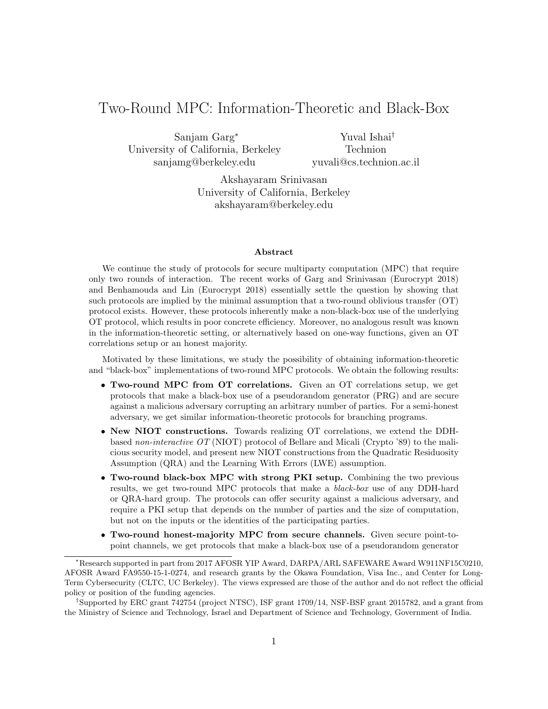# Two-Round MPC: Information-Theoretic and Black-Box

Sanjam Garg<sup>∗</sup> University of California, Berkeley sanjamg@berkeley.edu

Yuval Ishai† Technion yuvali@cs.technion.ac.il

Akshayaram Srinivasan University of California, Berkeley akshayaram@berkeley.edu

#### Abstract

We continue the study of protocols for secure multiparty computation (MPC) that require only two rounds of interaction. The recent works of Garg and Srinivasan (Eurocrypt 2018) and Benhamouda and Lin (Eurocrypt 2018) essentially settle the question by showing that such protocols are implied by the minimal assumption that a two-round oblivious transfer (OT) protocol exists. However, these protocols inherently make a non-black-box use of the underlying OT protocol, which results in poor concrete efficiency. Moreover, no analogous result was known in the information-theoretic setting, or alternatively based on one-way functions, given an OT correlations setup or an honest majority.

Motivated by these limitations, we study the possibility of obtaining information-theoretic and "black-box" implementations of two-round MPC protocols. We obtain the following results:

- Two-round MPC from OT correlations. Given an OT correlations setup, we get protocols that make a black-box use of a pseudorandom generator (PRG) and are secure against a malicious adversary corrupting an arbitrary number of parties. For a semi-honest adversary, we get similar information-theoretic protocols for branching programs.
- New NIOT constructions. Towards realizing OT correlations, we extend the DDHbased non-interactive OT (NIOT) protocol of Bellare and Micali (Crypto '89) to the malicious security model, and present new NIOT constructions from the Quadratic Residuosity Assumption (QRA) and the Learning With Errors (LWE) assumption.
- Two-round black-box MPC with strong PKI setup. Combining the two previous results, we get two-round MPC protocols that make a black-box use of any DDH-hard or QRA-hard group. The protocols can offer security against a malicious adversary, and require a PKI setup that depends on the number of parties and the size of computation, but not on the inputs or the identities of the participating parties.
- Two-round honest-majority MPC from secure channels. Given secure point-topoint channels, we get protocols that make a black-box use of a pseudorandom generator

<sup>∗</sup>Research supported in part from 2017 AFOSR YIP Award, DARPA/ARL SAFEWARE Award W911NF15C0210, AFOSR Award FA9550-15-1-0274, and research grants by the Okawa Foundation, Visa Inc., and Center for Long-Term Cybersecurity (CLTC, UC Berkeley). The views expressed are those of the author and do not reflect the official policy or position of the funding agencies.

<sup>†</sup>Supported by ERC grant 742754 (project NTSC), ISF grant 1709/14, NSF-BSF grant 2015782, and a grant from the Ministry of Science and Technology, Israel and Department of Science and Technology, Government of India.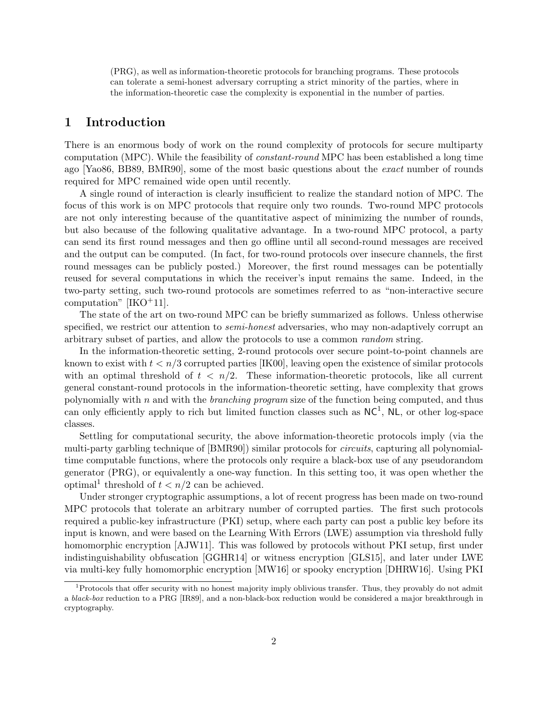(PRG), as well as information-theoretic protocols for branching programs. These protocols can tolerate a semi-honest adversary corrupting a strict minority of the parties, where in the information-theoretic case the complexity is exponential in the number of parties.

## 1 Introduction

There is an enormous body of work on the round complexity of protocols for secure multiparty computation (MPC). While the feasibility of constant-round MPC has been established a long time ago [Yao86, BB89, BMR90], some of the most basic questions about the exact number of rounds required for MPC remained wide open until recently.

A single round of interaction is clearly insufficient to realize the standard notion of MPC. The focus of this work is on MPC protocols that require only two rounds. Two-round MPC protocols are not only interesting because of the quantitative aspect of minimizing the number of rounds, but also because of the following qualitative advantage. In a two-round MPC protocol, a party can send its first round messages and then go offline until all second-round messages are received and the output can be computed. (In fact, for two-round protocols over insecure channels, the first round messages can be publicly posted.) Moreover, the first round messages can be potentially reused for several computations in which the receiver's input remains the same. Indeed, in the two-party setting, such two-round protocols are sometimes referred to as "non-interactive secure computation" [IKO+11].

The state of the art on two-round MPC can be briefly summarized as follows. Unless otherwise specified, we restrict our attention to *semi-honest* adversaries, who may non-adaptively corrupt an arbitrary subset of parties, and allow the protocols to use a common random string.

In the information-theoretic setting, 2-round protocols over secure point-to-point channels are known to exist with  $t < n/3$  corrupted parties [IK00], leaving open the existence of similar protocols with an optimal threshold of  $t < n/2$ . These information-theoretic protocols, like all current general constant-round protocols in the information-theoretic setting, have complexity that grows polynomially with n and with the *branching program* size of the function being computed, and thus can only efficiently apply to rich but limited function classes such as  $NC<sup>1</sup>$ , NL, or other log-space classes.

Settling for computational security, the above information-theoretic protocols imply (via the multi-party garbling technique of [BMR90]) similar protocols for *circuits*, capturing all polynomialtime computable functions, where the protocols only require a black-box use of any pseudorandom generator (PRG), or equivalently a one-way function. In this setting too, it was open whether the optimal<sup>1</sup> threshold of  $t < n/2$  can be achieved.

Under stronger cryptographic assumptions, a lot of recent progress has been made on two-round MPC protocols that tolerate an arbitrary number of corrupted parties. The first such protocols required a public-key infrastructure (PKI) setup, where each party can post a public key before its input is known, and were based on the Learning With Errors (LWE) assumption via threshold fully homomorphic encryption [AJW11]. This was followed by protocols without PKI setup, first under indistinguishability obfuscation [GGHR14] or witness encryption [GLS15], and later under LWE via multi-key fully homomorphic encryption [MW16] or spooky encryption [DHRW16]. Using PKI

<sup>1</sup>Protocols that offer security with no honest majority imply oblivious transfer. Thus, they provably do not admit a black-box reduction to a PRG [IR89], and a non-black-box reduction would be considered a major breakthrough in cryptography.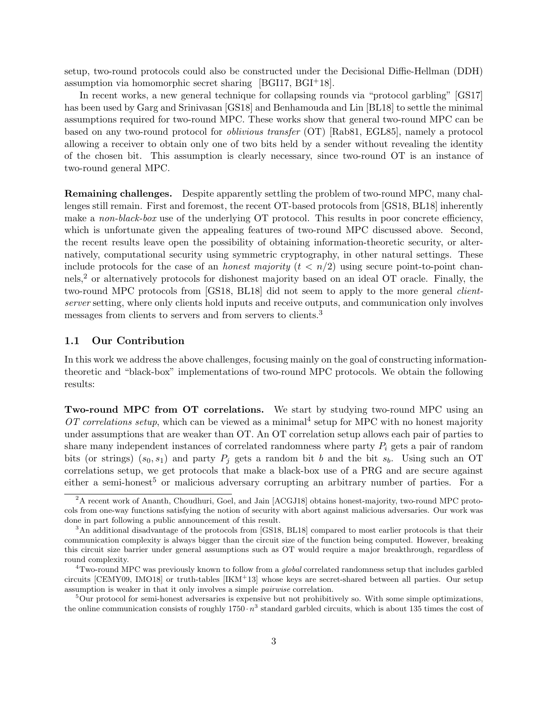setup, two-round protocols could also be constructed under the Decisional Diffie-Hellman (DDH) assumption via homomorphic secret sharing [BGI17, BGI+18].

In recent works, a new general technique for collapsing rounds via "protocol garbling" [GS17] has been used by Garg and Srinivasan [GS18] and Benhamouda and Lin [BL18] to settle the minimal assumptions required for two-round MPC. These works show that general two-round MPC can be based on any two-round protocol for oblivious transfer (OT) [Rab81, EGL85], namely a protocol allowing a receiver to obtain only one of two bits held by a sender without revealing the identity of the chosen bit. This assumption is clearly necessary, since two-round OT is an instance of two-round general MPC.

Remaining challenges. Despite apparently settling the problem of two-round MPC, many challenges still remain. First and foremost, the recent OT-based protocols from [GS18, BL18] inherently make a non-black-box use of the underlying OT protocol. This results in poor concrete efficiency, which is unfortunate given the appealing features of two-round MPC discussed above. Second, the recent results leave open the possibility of obtaining information-theoretic security, or alternatively, computational security using symmetric cryptography, in other natural settings. These include protocols for the case of an *honest majority*  $(t < n/2)$  using secure point-to-point channels,<sup>2</sup> or alternatively protocols for dishonest majority based on an ideal OT oracle. Finally, the two-round MPC protocols from [GS18, BL18] did not seem to apply to the more general clientserver setting, where only clients hold inputs and receive outputs, and communication only involves messages from clients to servers and from servers to clients.<sup>3</sup>

#### 1.1 Our Contribution

In this work we address the above challenges, focusing mainly on the goal of constructing informationtheoretic and "black-box" implementations of two-round MPC protocols. We obtain the following results:

Two-round MPC from OT correlations. We start by studying two-round MPC using an OT correlations setup, which can be viewed as a minimal<sup>4</sup> setup for MPC with no honest majority under assumptions that are weaker than OT. An OT correlation setup allows each pair of parties to share many independent instances of correlated randomness where party  $P_i$  gets a pair of random bits (or strings)  $(s_0, s_1)$  and party  $P_i$  gets a random bit b and the bit  $s_b$ . Using such an OT correlations setup, we get protocols that make a black-box use of a PRG and are secure against either a semi-honest<sup>5</sup> or malicious adversary corrupting an arbitrary number of parties. For a

<sup>&</sup>lt;sup>2</sup>A recent work of Ananth, Choudhuri, Goel, and Jain [ACGJ18] obtains honest-majority, two-round MPC protocols from one-way functions satisfying the notion of security with abort against malicious adversaries. Our work was done in part following a public announcement of this result.

<sup>&</sup>lt;sup>3</sup>An additional disadvantage of the protocols from [GS18, BL18] compared to most earlier protocols is that their communication complexity is always bigger than the circuit size of the function being computed. However, breaking this circuit size barrier under general assumptions such as OT would require a major breakthrough, regardless of round complexity.

<sup>&</sup>lt;sup>4</sup>Two-round MPC was previously known to follow from a *global* correlated randomness setup that includes garbled circuits  $[CEMY09, IMO18]$  or truth-tables  $[IKM<sup>+</sup>13]$  whose keys are secret-shared between all parties. Our setup assumption is weaker in that it only involves a simple pairwise correlation.

<sup>5</sup>Our protocol for semi-honest adversaries is expensive but not prohibitively so. With some simple optimizations, the online communication consists of roughly  $1750 \cdot n^3$  standard garbled circuits, which is about 135 times the cost of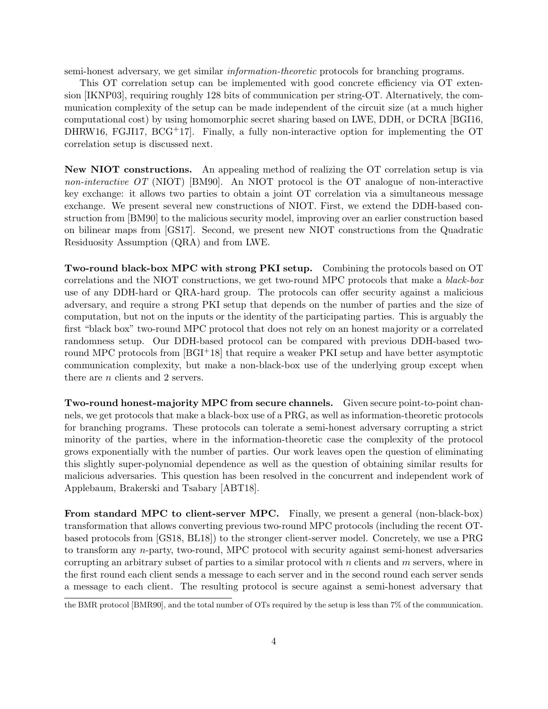semi-honest adversary, we get similar *information-theoretic* protocols for branching programs.

This OT correlation setup can be implemented with good concrete efficiency via OT extension [IKNP03], requiring roughly 128 bits of communication per string-OT. Alternatively, the communication complexity of the setup can be made independent of the circuit size (at a much higher computational cost) by using homomorphic secret sharing based on LWE, DDH, or DCRA [BGI16, DHRW16, FGJI17, BCG<sup>+</sup>17. Finally, a fully non-interactive option for implementing the OT correlation setup is discussed next.

New NIOT constructions. An appealing method of realizing the OT correlation setup is via non-interactive OT (NIOT) [BM90]. An NIOT protocol is the OT analogue of non-interactive key exchange: it allows two parties to obtain a joint OT correlation via a simultaneous message exchange. We present several new constructions of NIOT. First, we extend the DDH-based construction from [BM90] to the malicious security model, improving over an earlier construction based on bilinear maps from [GS17]. Second, we present new NIOT constructions from the Quadratic Residuosity Assumption (QRA) and from LWE.

Two-round black-box MPC with strong PKI setup. Combining the protocols based on OT correlations and the NIOT constructions, we get two-round MPC protocols that make a black-box use of any DDH-hard or QRA-hard group. The protocols can offer security against a malicious adversary, and require a strong PKI setup that depends on the number of parties and the size of computation, but not on the inputs or the identity of the participating parties. This is arguably the first "black box" two-round MPC protocol that does not rely on an honest majority or a correlated randomness setup. Our DDH-based protocol can be compared with previous DDH-based tworound MPC protocols from [BGI+18] that require a weaker PKI setup and have better asymptotic communication complexity, but make a non-black-box use of the underlying group except when there are *n* clients and 2 servers.

Two-round honest-majority MPC from secure channels. Given secure point-to-point channels, we get protocols that make a black-box use of a PRG, as well as information-theoretic protocols for branching programs. These protocols can tolerate a semi-honest adversary corrupting a strict minority of the parties, where in the information-theoretic case the complexity of the protocol grows exponentially with the number of parties. Our work leaves open the question of eliminating this slightly super-polynomial dependence as well as the question of obtaining similar results for malicious adversaries. This question has been resolved in the concurrent and independent work of Applebaum, Brakerski and Tsabary [ABT18].

From standard MPC to client-server MPC. Finally, we present a general (non-black-box) transformation that allows converting previous two-round MPC protocols (including the recent OTbased protocols from [GS18, BL18]) to the stronger client-server model. Concretely, we use a PRG to transform any n-party, two-round, MPC protocol with security against semi-honest adversaries corrupting an arbitrary subset of parties to a similar protocol with  $n$  clients and  $m$  servers, where in the first round each client sends a message to each server and in the second round each server sends a message to each client. The resulting protocol is secure against a semi-honest adversary that

the BMR protocol [BMR90], and the total number of OTs required by the setup is less than 7% of the communication.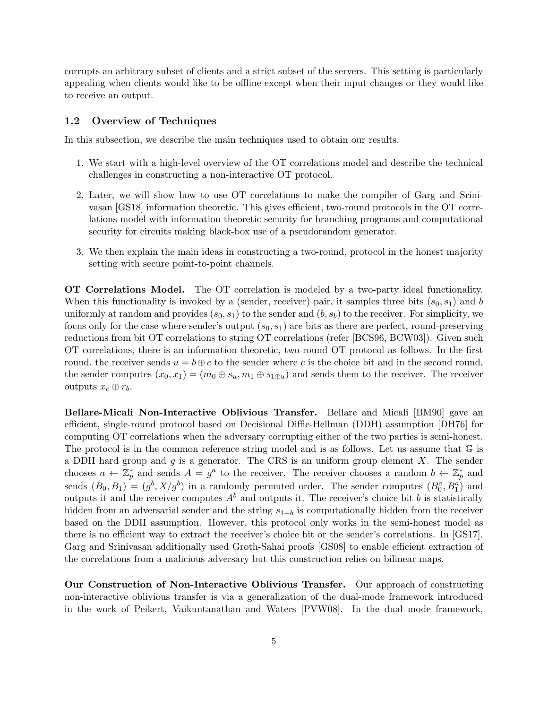corrupts an arbitrary subset of clients and a strict subset of the servers. This setting is particularly appealing when clients would like to be offline except when their input changes or they would like to receive an output.

#### 1.2 Overview of Techniques

In this subsection, we describe the main techniques used to obtain our results.

- 1. We start with a high-level overview of the OT correlations model and describe the technical challenges in constructing a non-interactive OT protocol.
- 2. Later, we will show how to use OT correlations to make the compiler of Garg and Srinivasan [GS18] information theoretic. This gives efficient, two-round protocols in the OT correlations model with information theoretic security for branching programs and computational security for circuits making black-box use of a pseudorandom generator.
- 3. We then explain the main ideas in constructing a two-round, protocol in the honest majority setting with secure point-to-point channels.

OT Correlations Model. The OT correlation is modeled by a two-party ideal functionality. When this functionality is invoked by a (sender, receiver) pair, it samples three bits  $(s_0, s_1)$  and b uniformly at random and provides  $(s_0, s_1)$  to the sender and  $(b, s_b)$  to the receiver. For simplicity, we focus only for the case where sender's output  $(s_0, s_1)$  are bits as there are perfect, round-preserving reductions from bit OT correlations to string OT correlations (refer [BCS96, BCW03]). Given such OT correlations, there is an information theoretic, two-round OT protocol as follows. In the first round, the receiver sends  $u = b \oplus c$  to the sender where c is the choice bit and in the second round, the sender computes  $(x_0, x_1) = (m_0 \oplus s_u, m_1 \oplus s_{1 \oplus u})$  and sends them to the receiver. The receiver outputs  $x_c \oplus r_b$ .

Bellare-Micali Non-Interactive Oblivious Transfer. Bellare and Micali [BM90] gave an efficient, single-round protocol based on Decisional Diffie-Hellman (DDH) assumption [DH76] for computing OT correlations when the adversary corrupting either of the two parties is semi-honest. The protocol is in the common reference string model and is as follows. Let us assume that G is a DDH hard group and  $g$  is a generator. The CRS is an uniform group element  $X$ . The sender chooses  $a \leftarrow \mathbb{Z}_p^*$  and sends  $A = g^a$  to the receiver. The receiver chooses a random  $b \leftarrow \mathbb{Z}_p^*$  and sends  $(B_0, B_1) = (g^b, X/g^b)$  in a randomly permuted order. The sender computes  $(B_0^a, B_1^a)$  and outputs it and the receiver computes  $A^b$  and outputs it. The receiver's choice bit b is statistically hidden from an adversarial sender and the string  $s_{1-b}$  is computationally hidden from the receiver based on the DDH assumption. However, this protocol only works in the semi-honest model as there is no efficient way to extract the receiver's choice bit or the sender's correlations. In [GS17], Garg and Srinivasan additionally used Groth-Sahai proofs [GS08] to enable efficient extraction of the correlations from a malicious adversary but this construction relies on bilinear maps.

Our Construction of Non-Interactive Oblivious Transfer. Our approach of constructing non-interactive oblivious transfer is via a generalization of the dual-mode framework introduced in the work of Peikert, Vaikuntanathan and Waters [PVW08]. In the dual mode framework,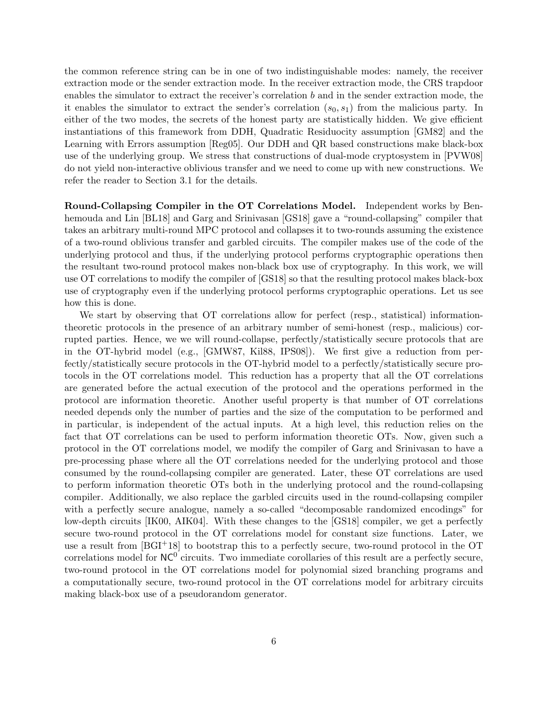the common reference string can be in one of two indistinguishable modes: namely, the receiver extraction mode or the sender extraction mode. In the receiver extraction mode, the CRS trapdoor enables the simulator to extract the receiver's correlation b and in the sender extraction mode, the it enables the simulator to extract the sender's correlation  $(s_0, s_1)$  from the malicious party. In either of the two modes, the secrets of the honest party are statistically hidden. We give efficient instantiations of this framework from DDH, Quadratic Residuocity assumption [GM82] and the Learning with Errors assumption [Reg05]. Our DDH and QR based constructions make black-box use of the underlying group. We stress that constructions of dual-mode cryptosystem in [PVW08] do not yield non-interactive oblivious transfer and we need to come up with new constructions. We refer the reader to Section 3.1 for the details.

Round-Collapsing Compiler in the OT Correlations Model. Independent works by Benhemouda and Lin [BL18] and Garg and Srinivasan [GS18] gave a "round-collapsing" compiler that takes an arbitrary multi-round MPC protocol and collapses it to two-rounds assuming the existence of a two-round oblivious transfer and garbled circuits. The compiler makes use of the code of the underlying protocol and thus, if the underlying protocol performs cryptographic operations then the resultant two-round protocol makes non-black box use of cryptography. In this work, we will use OT correlations to modify the compiler of [GS18] so that the resulting protocol makes black-box use of cryptography even if the underlying protocol performs cryptographic operations. Let us see how this is done.

We start by observing that OT correlations allow for perfect (resp., statistical) informationtheoretic protocols in the presence of an arbitrary number of semi-honest (resp., malicious) corrupted parties. Hence, we we will round-collapse, perfectly/statistically secure protocols that are in the OT-hybrid model (e.g., [GMW87, Kil88, IPS08]). We first give a reduction from perfectly/statistically secure protocols in the OT-hybrid model to a perfectly/statistically secure protocols in the OT correlations model. This reduction has a property that all the OT correlations are generated before the actual execution of the protocol and the operations performed in the protocol are information theoretic. Another useful property is that number of OT correlations needed depends only the number of parties and the size of the computation to be performed and in particular, is independent of the actual inputs. At a high level, this reduction relies on the fact that OT correlations can be used to perform information theoretic OTs. Now, given such a protocol in the OT correlations model, we modify the compiler of Garg and Srinivasan to have a pre-processing phase where all the OT correlations needed for the underlying protocol and those consumed by the round-collapsing compiler are generated. Later, these OT correlations are used to perform information theoretic OTs both in the underlying protocol and the round-collapsing compiler. Additionally, we also replace the garbled circuits used in the round-collapsing compiler with a perfectly secure analogue, namely a so-called "decomposable randomized encodings" for low-depth circuits [IK00, AIK04]. With these changes to the [GS18] compiler, we get a perfectly secure two-round protocol in the OT correlations model for constant size functions. Later, we use a result from [BGI<sup>+</sup>18] to bootstrap this to a perfectly secure, two-round protocol in the OT correlations model for  $NC^0$  circuits. Two immediate corollaries of this result are a perfectly secure, two-round protocol in the OT correlations model for polynomial sized branching programs and a computationally secure, two-round protocol in the OT correlations model for arbitrary circuits making black-box use of a pseudorandom generator.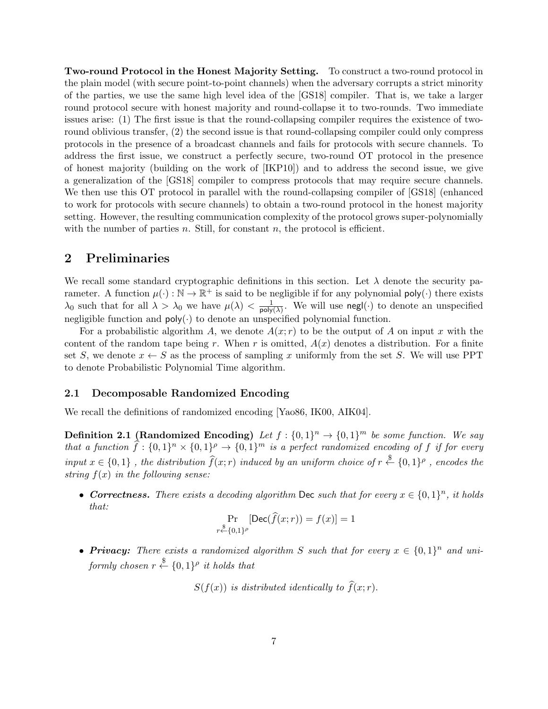Two-round Protocol in the Honest Majority Setting. To construct a two-round protocol in the plain model (with secure point-to-point channels) when the adversary corrupts a strict minority of the parties, we use the same high level idea of the [GS18] compiler. That is, we take a larger round protocol secure with honest majority and round-collapse it to two-rounds. Two immediate issues arise: (1) The first issue is that the round-collapsing compiler requires the existence of tworound oblivious transfer, (2) the second issue is that round-collapsing compiler could only compress protocols in the presence of a broadcast channels and fails for protocols with secure channels. To address the first issue, we construct a perfectly secure, two-round OT protocol in the presence of honest majority (building on the work of [IKP10]) and to address the second issue, we give a generalization of the [GS18] compiler to compress protocols that may require secure channels. We then use this OT protocol in parallel with the round-collapsing compiler of [GS18] (enhanced to work for protocols with secure channels) to obtain a two-round protocol in the honest majority setting. However, the resulting communication complexity of the protocol grows super-polynomially with the number of parties n. Still, for constant n, the protocol is efficient.

### 2 Preliminaries

We recall some standard cryptographic definitions in this section. Let  $\lambda$  denote the security parameter. A function  $\mu(\cdot): \mathbb{N} \to \mathbb{R}^+$  is said to be negligible if for any polynomial poly $(\cdot)$  there exists  $\lambda_0$  such that for all  $\lambda > \lambda_0$  we have  $\mu(\lambda) < \frac{1}{\text{poly}}$  $\frac{1}{\text{poly}(\lambda)}$ . We will use negl(.) to denote an unspecified negligible function and  $\text{poly}(\cdot)$  to denote an unspecified polynomial function.

For a probabilistic algorithm A, we denote  $A(x; r)$  to be the output of A on input x with the content of the random tape being r. When r is omitted,  $A(x)$  denotes a distribution. For a finite set S, we denote  $x \leftarrow S$  as the process of sampling x uniformly from the set S. We will use PPT to denote Probabilistic Polynomial Time algorithm.

### 2.1 Decomposable Randomized Encoding

We recall the definitions of randomized encoding [Yao86, IK00, AIK04].

**Definition 2.1 (Randomized Encoding)** Let  $f : \{0,1\}^n \rightarrow \{0,1\}^m$  be some function. We say that a function  $\widehat{f} : \{0,1\}^n \times \{0,1\}^p \to \{0,1\}^m$  is a perfect randomized encoding of f if for every input  $x \in \{0,1\}$ , the distribution  $\widehat{f}(x; r)$  induced by an uniform choice of  $r \stackrel{\$}{\leftarrow} \{0,1\}^{\rho}$ , encodes the string  $f(x)$  in the following sense:

• Correctness. There exists a decoding algorithm Dec such that for every  $x \in \{0,1\}^n$ , it holds that:

$$
\Pr_{r \stackrel{\$}{\leftarrow} \{0,1\}^{\rho}}[\mathsf{Dec}(\widehat{f}(x; r)) = f(x)] = 1
$$

• Privacy: There exists a randomized algorithm S such that for every  $x \in \{0,1\}^n$  and uniformly chosen  $r \stackrel{\$}{\leftarrow} \{0,1\}^{\rho}$  it holds that

 $S(f(x))$  is distributed identically to  $\widehat{f}(x; r)$ .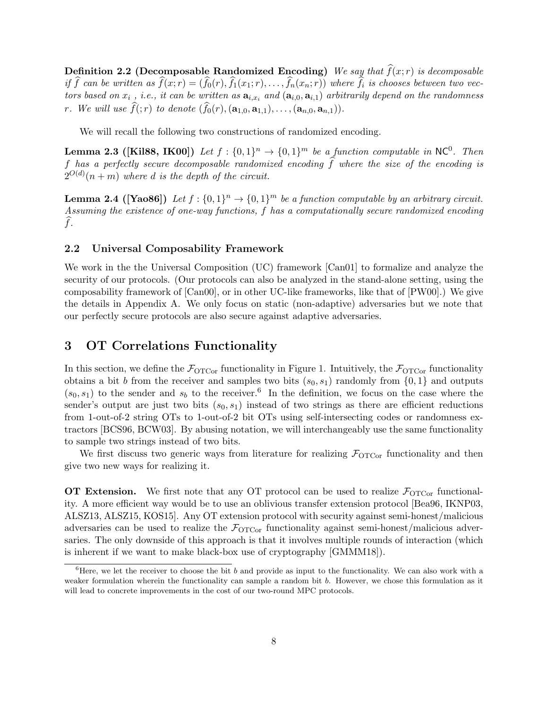Definition 2.2 (Decomposable Randomized Encoding) We say that  $\widehat{f}(x; r)$  is decomposable if  $\widehat{f}$  can be written as  $\widehat{f}(x; r) = (\widehat{f}_0(r), \widehat{f}_1(x_1; r), \ldots, \widehat{f}_n(x_n; r))$  where  $\widehat{f}_i$  is chooses between two vectors based on  $x_i$  , i.e., it can be written as  $a_{i,x_i}$  and  $(a_{i,0}, a_{i,1})$  arbitrarily depend on the randomness r. We will use  $\widehat{f}(\cdot; r)$  to denote  $(\widehat{f}_0(r),(\mathbf{a}_{1,0}, \mathbf{a}_{1,1}), \ldots,(\mathbf{a}_{n,0}, \mathbf{a}_{n,1})).$ 

We will recall the following two constructions of randomized encoding.

**Lemma 2.3 ([Kil88, IK00])** Let  $f : \{0,1\}^n \to \{0,1\}^m$  be a function computable in NC<sup>0</sup>. Then f has a perfectly secure decomposable randomized encoding  $\hat{f}$  where the size of the encoding is  $2^{O(d)}(n+m)$  where d is the depth of the circuit.

**Lemma 2.4 ([Yao86])** Let  $f : \{0,1\}^n \to \{0,1\}^m$  be a function computable by an arbitrary circuit. Assuming the existence of one-way functions, f has a computationally secure randomized encoding  $f$ .

### 2.2 Universal Composability Framework

We work in the the Universal Composition (UC) framework [Can01] to formalize and analyze the security of our protocols. (Our protocols can also be analyzed in the stand-alone setting, using the composability framework of [Can00], or in other UC-like frameworks, like that of [PW00].) We give the details in Appendix A. We only focus on static (non-adaptive) adversaries but we note that our perfectly secure protocols are also secure against adaptive adversaries.

## 3 OT Correlations Functionality

In this section, we define the  $\mathcal{F}_{\text{OTCor}}$  functionality in Figure 1. Intuitively, the  $\mathcal{F}_{\text{OTCor}}$  functionality obtains a bit b from the receiver and samples two bits  $(s_0, s_1)$  randomly from  $\{0, 1\}$  and outputs  $(s_0, s_1)$  to the sender and  $s_b$  to the receiver.<sup>6</sup> In the definition, we focus on the case where the sender's output are just two bits  $(s_0, s_1)$  instead of two strings as there are efficient reductions from 1-out-of-2 string OTs to 1-out-of-2 bit OTs using self-intersecting codes or randomness extractors [BCS96, BCW03]. By abusing notation, we will interchangeably use the same functionality to sample two strings instead of two bits.

We first discuss two generic ways from literature for realizing  $\mathcal{F}_{\text{OTCor}}$  functionality and then give two new ways for realizing it.

**OT Extension.** We first note that any OT protocol can be used to realize  $\mathcal{F}_{\text{OTCor}}$  functionality. A more efficient way would be to use an oblivious transfer extension protocol [Bea96, IKNP03, ALSZ13, ALSZ15, KOS15]. Any OT extension protocol with security against semi-honest/malicious adversaries can be used to realize the  $\mathcal{F}_{\text{OTCor}}$  functionality against semi-honest/malicious adversaries. The only downside of this approach is that it involves multiple rounds of interaction (which is inherent if we want to make black-box use of cryptography [GMMM18]).

 $6$ Here, we let the receiver to choose the bit b and provide as input to the functionality. We can also work with a weaker formulation wherein the functionality can sample a random bit b. However, we chose this formulation as it will lead to concrete improvements in the cost of our two-round MPC protocols.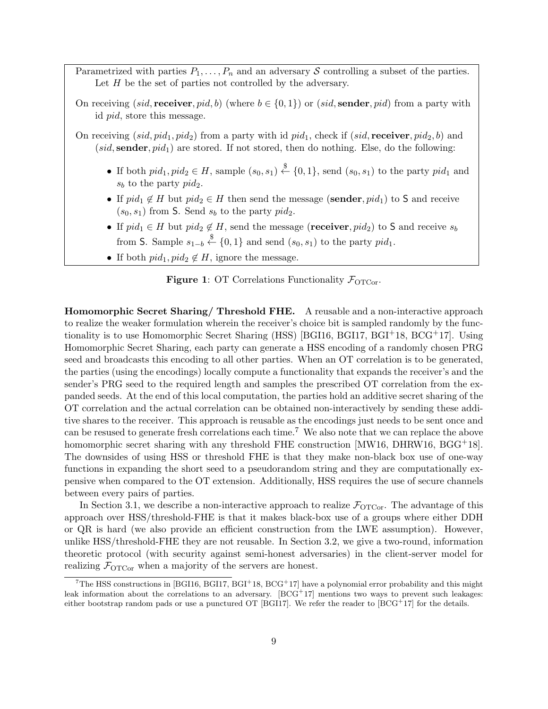Parametrized with parties  $P_1, \ldots, P_n$  and an adversary S controlling a subset of the parties. Let  $H$  be the set of parties not controlled by the adversary.

- On receiving  $(side, \text{receiver}, pid, b)$  (where  $b \in \{0,1\}$ ) or  $(side, \text{sender}, pid)$  from a party with id pid, store this message.
- On receiving  $(sid, pid_1, pid_2)$  from a party with id  $pid_1$ , check if  $(sid, \text{receiver}, pid_2, b)$  and (sid, sender,  $pid_1$ ) are stored. If not stored, then do nothing. Else, do the following:
	- If both  $pid_1, pid_2 \in H$ , sample  $(s_0, s_1) \stackrel{\$}{\leftarrow} \{0,1\}$ , send  $(s_0, s_1)$  to the party  $pid_1$  and  $s_b$  to the party  $pid_2$ .
	- If  $pid_1 \notin H$  but  $pid_2 \in H$  then send the message (sender,  $pid_1$ ) to S and receive  $(s_0, s_1)$  from S. Send  $s_b$  to the party  $pid_2$ .
	- If  $pid_1 \in H$  but  $pid_2 \notin H$ , send the message (**receiver**,  $pid_2$ ) to S and receive  $s_b$ from S. Sample  $s_{1-b} \stackrel{\$}{\leftarrow} \{0,1\}$  and send  $(s_0, s_1)$  to the party  $pid_1$ .
	- If both  $pid_1, pid_2 \notin H$ , ignore the message.

**Figure 1:** OT Correlations Functionality  $\mathcal{F}_{\text{OTCor}}$ .

Homomorphic Secret Sharing/ Threshold FHE. A reusable and a non-interactive approach to realize the weaker formulation wherein the receiver's choice bit is sampled randomly by the functionality is to use Homomorphic Secret Sharing (HSS) [BGI16, BGI17, BGI+18, BCG+17]. Using Homomorphic Secret Sharing, each party can generate a HSS encoding of a randomly chosen PRG seed and broadcasts this encoding to all other parties. When an OT correlation is to be generated, the parties (using the encodings) locally compute a functionality that expands the receiver's and the sender's PRG seed to the required length and samples the prescribed OT correlation from the expanded seeds. At the end of this local computation, the parties hold an additive secret sharing of the OT correlation and the actual correlation can be obtained non-interactively by sending these additive shares to the receiver. This approach is reusable as the encodings just needs to be sent once and can be resused to generate fresh correlations each time.<sup>7</sup> We also note that we can replace the above homomorphic secret sharing with any threshold FHE construction  $[MW16, DHRW16, BGG<sup>+</sup>18]$ . The downsides of using HSS or threshold FHE is that they make non-black box use of one-way functions in expanding the short seed to a pseudorandom string and they are computationally expensive when compared to the OT extension. Additionally, HSS requires the use of secure channels between every pairs of parties.

In Section 3.1, we describe a non-interactive approach to realize  $\mathcal{F}_{\text{OTCor}}$ . The advantage of this approach over HSS/threshold-FHE is that it makes black-box use of a groups where either DDH or QR is hard (we also provide an efficient construction from the LWE assumption). However, unlike HSS/threshold-FHE they are not reusable. In Section 3.2, we give a two-round, information theoretic protocol (with security against semi-honest adversaries) in the client-server model for realizing  $\mathcal{F}_{\text{OTCor}}$  when a majority of the servers are honest.

<sup>&</sup>lt;sup>7</sup>The HSS constructions in [BGI16, BGI17, BGI<sup>+</sup>18, BCG<sup>+</sup>17] have a polynomial error probability and this might leak information about the correlations to an adversary.  $[BCG^+17]$  mentions two ways to prevent such leakages: either bootstrap random pads or use a punctured OT [BGI17]. We refer the reader to [BCG<sup>+</sup>17] for the details.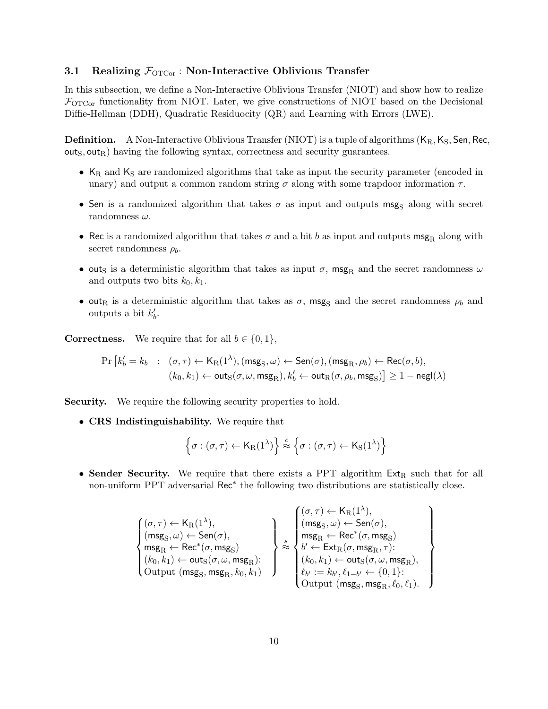### 3.1 Realizing  $\mathcal{F}_{\text{OTCor}}$ : Non-Interactive Oblivious Transfer

In this subsection, we define a Non-Interactive Oblivious Transfer (NIOT) and show how to realize  $\mathcal{F}_{\text{OTCor}}$  functionality from NIOT. Later, we give constructions of NIOT based on the Decisional Diffie-Hellman (DDH), Quadratic Residuocity (QR) and Learning with Errors (LWE).

**Definition.** A Non-Interactive Oblivious Transfer (NIOT) is a tuple of algorithms  $(K_R, K_S,$  Sen, Rec,  $out_S, out_R)$  having the following syntax, correctness and security guarantees.

- $K_R$  and  $K_S$  are randomized algorithms that take as input the security parameter (encoded in unary) and output a common random string  $\sigma$  along with some trapdoor information  $\tau$ .
- Sen is a randomized algorithm that takes  $\sigma$  as input and outputs msg<sub>S</sub> along with secret randomness  $\omega$ .
- Rec is a randomized algorithm that takes  $\sigma$  and a bit b as input and outputs  $\mathsf{msg}_R$  along with secret randomness  $\rho_b$ .
- outs is a deterministic algorithm that takes as input  $\sigma$ , msg<sub>R</sub> and the secret randomness  $\omega$ and outputs two bits  $k_0, k_1$ .
- out<sub>R</sub> is a deterministic algorithm that takes as  $\sigma$ , msg<sub>S</sub> and the secret randomness  $\rho_b$  and outputs a bit  $k'_b$ .

**Correctness.** We require that for all  $b \in \{0, 1\}$ ,

$$
\Pr\left[k_b' = k_b \ : \ (\sigma, \tau) \leftarrow \mathsf{K}_{\mathsf{R}}(1^{\lambda}), (\mathsf{msg}_\mathsf{S}, \omega) \leftarrow \mathsf{Sen}(\sigma), (\mathsf{msg}_\mathsf{R}, \rho_b) \leftarrow \mathsf{Rec}(\sigma, b),\\ (k_0, k_1) \leftarrow \mathsf{out}_{\mathsf{S}}(\sigma, \omega, \mathsf{msg}_\mathsf{R}), k_b' \leftarrow \mathsf{out}_{\mathsf{R}}(\sigma, \rho_b, \mathsf{msg}_\mathsf{S}) \right] \ge 1 - \mathsf{negl}(\lambda)
$$

Security. We require the following security properties to hold.

• CRS Indistinguishability. We require that

$$
\left\{\sigma: (\sigma, \tau) \leftarrow \mathsf{K}_{\mathrm{R}}(1^{\lambda})\right\} \stackrel{c}{\approx} \left\{\sigma: (\sigma, \tau) \leftarrow \mathsf{K}_{\mathrm{S}}(1^{\lambda})\right\}
$$

• Sender Security. We require that there exists a PPT algorithm  $Ext_R$  such that for all non-uniform PPT adversarial Rec<sup>∗</sup> the following two distributions are statistically close.

$$
\begin{Bmatrix} (\sigma, \tau) \leftarrow \mathsf{K}_{\mathrm{R}}(1^{\lambda}), \\ (\mathsf{msg}_\mathrm{S}, \omega) \leftarrow \mathsf{Sen}(\sigma), \\ \mathsf{msg}_\mathrm{R} \leftarrow \mathsf{Rec}^{*}(\sigma, \mathsf{msg}_\mathrm{S}) \\ (k_0, k_1) \leftarrow \mathsf{out}_{\mathrm{S}}(\sigma, \omega, \mathsf{msg}_\mathrm{R}) : \\ \text{Output } (\mathsf{msg}_\mathrm{S}, \mathsf{msg}_\mathrm{R}, k_0, k_1) \end{Bmatrix} \overset{\mathbb{S}}{\approx} \begin{Bmatrix} (\sigma, \tau) \leftarrow \mathsf{K}_{\mathrm{R}}(1^{\lambda}), \\ (\mathsf{msg}_\mathrm{S}, \omega) \leftarrow \mathsf{Sen}(\sigma), \\ \mathsf{msg}_\mathrm{R} \leftarrow \mathsf{Rec}^{*}(\sigma, \mathsf{msg}_\mathrm{S}) \\ b' \leftarrow \mathsf{Ext}_{\mathrm{R}}(\sigma, \mathsf{msg}_\mathrm{R}, \tau) : \\ b' \leftarrow \mathsf{Ext}_{\mathrm{R}}(\sigma, \mathsf{msg}_\mathrm{R}, \tau) : \\ (k_0, k_1) \leftarrow \mathsf{out}_{\mathrm{S}}(\sigma, \omega, \mathsf{msg}_\mathrm{R}), \\ \ell_{b'} := k_{b'}, \ell_{1-b'} \leftarrow \{0, 1\} : \\ \text{Output } (\mathsf{msg}_\mathrm{S}, \mathsf{msg}_\mathrm{R}, \ell_0, \ell_1). \end{Bmatrix}
$$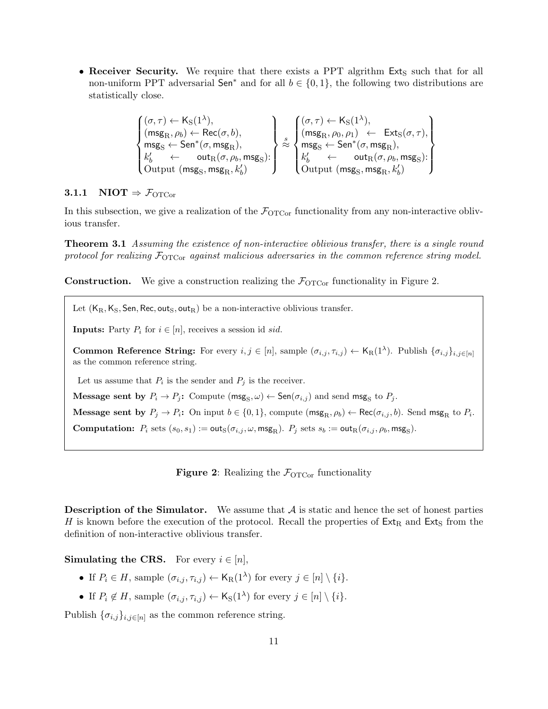• Receiver Security. We require that there exists a PPT algrithm  $Ext_S$  such that for all non-uniform PPT adversarial Sen<sup>\*</sup> and for all  $b \in \{0, 1\}$ , the following two distributions are statistically close.

$$
\begin{Bmatrix}(\sigma,\tau) \leftarrow \mathsf{K}_{\mathsf{S}}(1^{\lambda}), \\ (\mathsf{msg}_\mathsf{R},\rho_b) \leftarrow \mathsf{Rec}(\sigma,b), \\ \mathsf{msg}_\mathsf{S} \leftarrow \mathsf{Sen}^*(\sigma,\mathsf{msg}_\mathsf{R}), \\ k'_b \quad \leftarrow \quad \mathsf{out}_\mathsf{R}(\sigma,\rho_b,\mathsf{msg}_\mathsf{S}) : \\ \text{Output } (\mathsf{msg}_\mathsf{S},\mathsf{msg}_\mathsf{R},k'_b) \end{Bmatrix} \stackrel{s}{\approx} \begin{Bmatrix}(\sigma,\tau) \leftarrow \mathsf{K}_{\mathsf{S}}(1^{\lambda}), \\ (\mathsf{msg}_\mathsf{R},\rho_0,\rho_1) \leftarrow \quad \mathsf{Ext}_{\mathsf{S}}(\sigma,\tau), \\ \mathsf{msg}_\mathsf{S} \leftarrow \mathsf{Sen}^*(\sigma,\mathsf{msg}_\mathsf{R}), \\ k'_b \leftarrow \quad \mathsf{out}_\mathsf{R}(\sigma,\rho_b,\mathsf{msg}_\mathsf{S}) : \\ \text{Output } (\mathsf{msg}_\mathsf{S},\mathsf{msg}_\mathsf{R},k'_b) \end{Bmatrix}
$$

### 3.1.1 NIOT  $\Rightarrow$   $\mathcal{F}_{\text{OTCor}}$

In this subsection, we give a realization of the  $\mathcal{F}_{\text{OTCor}}$  functionality from any non-interactive oblivious transfer.

Theorem 3.1 Assuming the existence of non-interactive oblivious transfer, there is a single round protocol for realizing  $\mathcal{F}_{\text{OTCor}}$  against malicious adversaries in the common reference string model.

**Construction.** We give a construction realizing the  $\mathcal{F}_{\text{OTCor}}$  functionality in Figure 2.

Let  $(K_R, K_S,$  Sen, Rec, out<sub>S</sub>, out<sub>R</sub>) be a non-interactive oblivious transfer. **Inputs:** Party  $P_i$  for  $i \in [n]$ , receives a session id *sid*. **Common Reference String:** For every  $i, j \in [n]$ , sample  $(\sigma_{i,j}, \tau_{i,j}) \leftarrow K_R(1^{\lambda})$ . Publish  $\{\sigma_{i,j}\}_{i,j \in [n]}$ as the common reference string. Let us assume that  $P_i$  is the sender and  $P_j$  is the receiver. **Message sent by**  $P_i \to P_j$ : Compute  $(\text{msg}_S, \omega) \leftarrow \text{Sen}(\sigma_{i,j})$  and send  $\text{msg}_S$  to  $P_j$ . **Message sent by**  $P_j \to P_i$ : On input  $b \in \{0,1\}$ , compute  $(\text{msg}_R, \rho_b) \leftarrow \text{Rec}(\sigma_{i,j}, b)$ . Send  $\text{msg}_R$  to  $P_i$ . **Computation:**  $P_i$  sets  $(s_0, s_1) := \text{out}_S(\sigma_{i,j}, \omega, \text{msg}_R)$ .  $P_j$  sets  $s_b := \text{out}_R(\sigma_{i,j}, \rho_b, \text{msg}_S)$ .

**Figure 2:** Realizing the  $\mathcal{F}_{\text{OTCor}}$  functionality

**Description of the Simulator.** We assume that  $A$  is static and hence the set of honest parties H is known before the execution of the protocol. Recall the properties of  $Ext_R$  and  $Ext_S$  from the definition of non-interactive oblivious transfer.

**Simulating the CRS.** For every  $i \in [n]$ ,

- If  $P_i \in H$ , sample  $(\sigma_{i,j}, \tau_{i,j}) \leftarrow \mathsf{K}_{\mathsf{R}}(1^{\lambda})$  for every  $j \in [n] \setminus \{i\}.$
- If  $P_i \notin H$ , sample  $(\sigma_{i,j}, \tau_{i,j}) \leftarrow \mathsf{K}_{\mathrm{S}}(1^{\lambda})$  for every  $j \in [n] \setminus \{i\}.$

Publish  $\{\sigma_{i,j}\}_{i,j\in[n]}$  as the common reference string.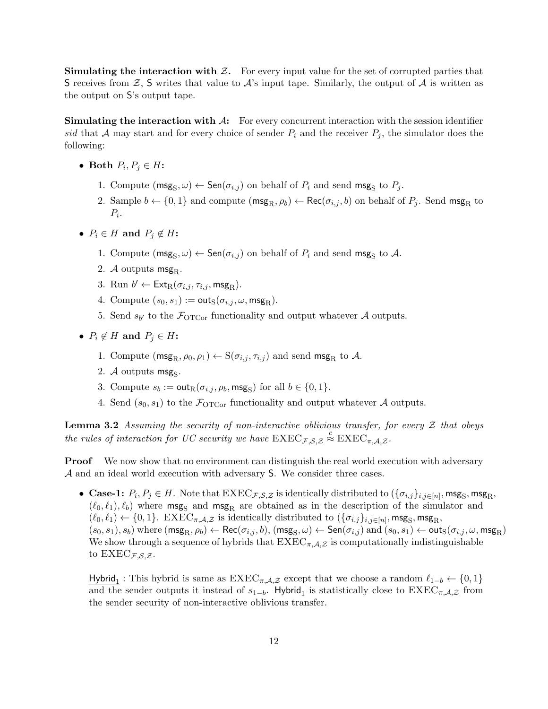**Simulating the interaction with Z.** For every input value for the set of corrupted parties that S receives from  $\mathcal{Z}$ , S writes that value to  $\mathcal{A}$ 's input tape. Similarly, the output of  $\mathcal{A}$  is written as the output on S's output tape.

**Simulating the interaction with**  $\mathcal{A}$ **:** For every concurrent interaction with the session identifier sid that A may start and for every choice of sender  $P_i$  and the receiver  $P_j$ , the simulator does the following:

- Both  $P_i, P_j \in H$ :
	- 1. Compute  $(\mathsf{msg}_S, \omega) \leftarrow \mathsf{Sen}(\sigma_{i,j})$  on behalf of  $P_i$  and send  $\mathsf{msg}_S$  to  $P_j$ .
	- 2. Sample  $b \leftarrow \{0, 1\}$  and compute  $(\text{msg}_R, \rho_b) \leftarrow \text{Rec}(\sigma_{i,j}, b)$  on behalf of  $P_j$ . Send msg<sub>R</sub> to  $P_i$ .
- $P_i \in H$  and  $P_j \notin H$ :
	- 1. Compute  $(\text{msg}_S, \omega) \leftarrow \text{Sen}(\sigma_{i,j})$  on behalf of  $P_i$  and send msg<sub>S</sub> to A.
	- 2. A outputs msg<sub>R</sub>.
	- 3. Run  $b' \leftarrow \text{Ext}_{R}(\sigma_{i,j}, \tau_{i,j}, \text{msg}_R)$ .
	- 4. Compute  $(s_0, s_1) := \text{out}_{S}(\sigma_{i,j}, \omega, \text{msg}_R)$ .
	- 5. Send  $s_{b'}$  to the  $\mathcal{F}_{\text{OTCor}}$  functionality and output whatever  $\mathcal{A}$  outputs.
- $P_i \notin H$  and  $P_j \in H$ :
	- 1. Compute  $(msg_R, \rho_0, \rho_1) \leftarrow S(\sigma_{i,j}, \tau_{i,j})$  and send msg<sub>R</sub> to A.
	- 2.  $\mathcal A$  outputs msg<sub>S</sub>.
	- 3. Compute  $s_b := \textsf{out}_R(\sigma_{i,j}, \rho_b, \textsf{msg}_S)$  for all  $b \in \{0, 1\}.$
	- 4. Send  $(s_0, s_1)$  to the  $\mathcal{F}_{\text{OTCor}}$  functionality and output whatever A outputs.

**Lemma 3.2** Assuming the security of non-interactive oblivious transfer, for every  $\mathcal Z$  that obeys the rules of interaction for UC security we have  $\text{EXEC}_{\mathcal{F},\mathcal{S},\mathcal{Z}} \stackrel{c}{\approx} \text{EXEC}_{\pi,\mathcal{A},\mathcal{Z}}$ .

**Proof** We now show that no environment can distinguish the real world execution with adversary A and an ideal world execution with adversary S. We consider three cases.

• Case-1:  $P_i, P_j \in H$ . Note that  $\text{EXEC}_{\mathcal{F}, \mathcal{S}, \mathcal{Z}}$  is identically distributed to  $(\{\sigma_{i,j}\}_{i,j \in [n]}, \text{msg}_S, \text{msg}_R,$  $(\ell_0, \ell_1), \ell_b$ ) where msg<sub>S</sub> and msg<sub>R</sub> are obtained as in the description of the simulator and  $(\ell_0, \ell_1) \leftarrow \{0, 1\}$ . EXEC<sub>π, $\mathcal{A}, \mathcal{Z}$ </sub> is identically distributed to  $(\{\sigma_{i,j}\}_{i,j\in[n]}, \mathsf{msg}_S, \mathsf{msg}_R,$  $(s_0, s_1), s_b$ ) where  $(\mathsf{msg}_R, \rho_b) \leftarrow \mathsf{Rec}(\sigma_{i,j}, b), (\mathsf{msg}_S, \omega) \leftarrow \mathsf{Sen}(\sigma_{i,j})$  and  $(s_0, s_1) \leftarrow \mathsf{out}_S(\sigma_{i,j}, \omega, \mathsf{msg}_R)$ We show through a sequence of hybrids that  $\text{EXEC}_{\pi,\mathcal{A},\mathcal{Z}}$  is computationally indistinguishable to  $EXEC_{\mathcal{F},\mathcal{S},\mathcal{Z}}$ .

Hybrid<sub>1</sub>: This hybrid is same as  $\text{EXEC}_{\pi,\mathcal{A},\mathcal{Z}}$  except that we choose a random  $\ell_{1-b} \leftarrow \{0,1\}$ and the sender outputs it instead of  $s_{1-b}$ . Hybrid<sub>1</sub> is statistically close to  $\text{EXEC}_{\pi,\mathcal{A},\mathcal{Z}}$  from the sender security of non-interactive oblivious transfer.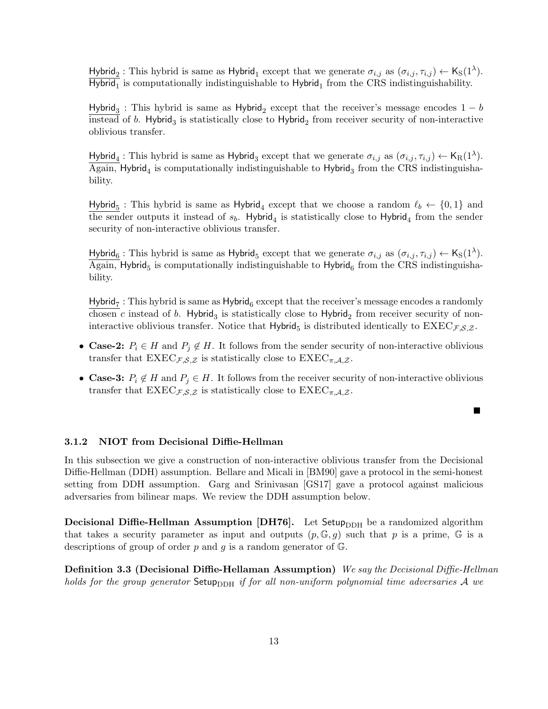Hybrid<sub>2</sub>: This hybrid is same as Hybrid<sub>1</sub> except that we generate  $\sigma_{i,j}$  as  $(\sigma_{i,j}, \tau_{i,j}) \leftarrow K_S(1^{\lambda})$ . Hybrid<sub>1</sub> is computationally indistinguishable to Hybrid<sub>1</sub> from the CRS indistinguishability.

Hybrid<sub>3</sub>: This hybrid is same as Hybrid<sub>2</sub> except that the receiver's message encodes  $1 - b$ instead of b. Hybrid<sub>3</sub> is statistically close to Hybrid<sub>2</sub> from receiver security of non-interactive oblivious transfer.

Hybrid<sub>4</sub>: This hybrid is same as Hybrid<sub>3</sub> except that we generate  $\sigma_{i,j}$  as  $(\sigma_{i,j}, \tau_{i,j}) \leftarrow K_R(1^{\lambda})$ . Again,  $H$ ybrid<sub>4</sub> is computationally indistinguishable to  $H$ ybrid<sub>3</sub> from the CRS indistinguishability.

Hybrid<sub>5</sub>: This hybrid is same as Hybrid<sub>4</sub> except that we choose a random  $\ell_b \leftarrow \{0, 1\}$  and the sender outputs it instead of  $s_b$ . Hybrid<sub>4</sub> is statistically close to Hybrid<sub>4</sub> from the sender security of non-interactive oblivious transfer.

Hybrid<sub>6</sub>: This hybrid is same as Hybrid<sub>5</sub> except that we generate  $\sigma_{i,j}$  as  $(\sigma_{i,j}, \tau_{i,j}) \leftarrow K_S(1^{\lambda})$ . Again, Hybrid<sub>5</sub> is computationally indistinguishable to Hybrid<sub>6</sub> from the CRS indistinguishability.

 $Hybrid<sub>7</sub>$ : This hybrid is same as  $Hybrid<sub>6</sub>$  except that the receiver's message encodes a randomly chosen c instead of b. Hybrid<sub>3</sub> is statistically close to Hybrid<sub>2</sub> from receiver security of noninteractive oblivious transfer. Notice that  $H$ ybrid<sub>5</sub> is distributed identically to  $\text{EXEC}_{\mathcal{F},\mathcal{S},\mathcal{Z}}$ .

- Case-2:  $P_i \in H$  and  $P_j \notin H$ . It follows from the sender security of non-interactive oblivious transfer that  $\text{EXEC}_{\mathcal{F},\mathcal{S},\mathcal{Z}}$  is statistically close to  $\text{EXEC}_{\pi,\mathcal{A},\mathcal{Z}}$ .
- Case-3:  $P_i \notin H$  and  $P_j \in H$ . It follows from the receiver security of non-interactive oblivious transfer that  $\text{EXEC}_{\mathcal{F},\mathcal{S},\mathcal{Z}}$  is statistically close to  $\text{EXEC}_{\pi,\mathcal{A},\mathcal{Z}}$ .

П

#### 3.1.2 NIOT from Decisional Diffie-Hellman

In this subsection we give a construction of non-interactive oblivious transfer from the Decisional Diffie-Hellman (DDH) assumption. Bellare and Micali in [BM90] gave a protocol in the semi-honest setting from DDH assumption. Garg and Srinivasan [GS17] gave a protocol against malicious adversaries from bilinear maps. We review the DDH assumption below.

**Decisional Diffie-Hellman Assumption [DH76].** Let Setup<sub>DDH</sub> be a randomized algorithm that takes a security parameter as input and outputs  $(p, \mathbb{G}, g)$  such that p is a prime,  $\mathbb{G}$  is a descriptions of group of order  $p$  and  $q$  is a random generator of  $\mathbb{G}$ .

Definition 3.3 (Decisional Diffie-Hellaman Assumption) We say the Decisional Diffie-Hellman holds for the group generator Setup $_{\text{DDH}}$  if for all non-uniform polynomial time adversaries A we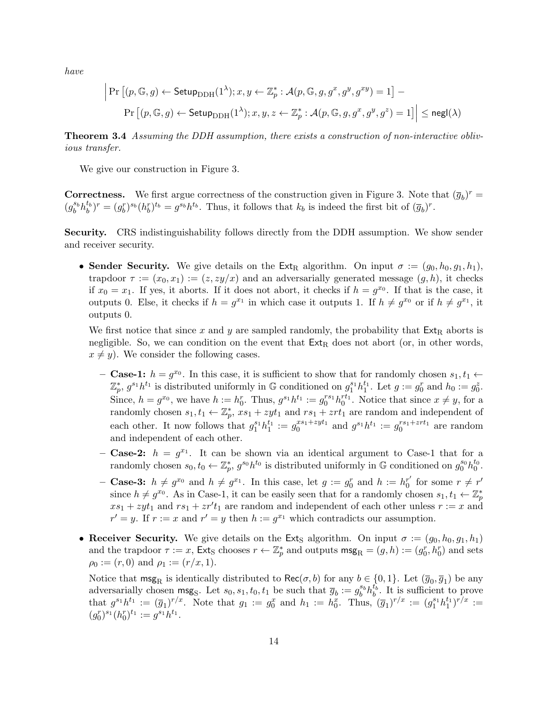have

$$
\left| \Pr \left[ (p, \mathbb{G}, g) \leftarrow \text{Setup}_{\text{DDH}}(1^{\lambda}); x, y \leftarrow \mathbb{Z}_p^* : \mathcal{A}(p, \mathbb{G}, g, g^x, g^y, g^{xy}) = 1 \right] - \right.
$$
\n
$$
\left| \Pr \left[ (p, \mathbb{G}, g) \leftarrow \text{Setup}_{\text{DDH}}(1^{\lambda}); x, y, z \leftarrow \mathbb{Z}_p^* : \mathcal{A}(p, \mathbb{G}, g, g^x, g^y, g^z) = 1 \right] \right| \le \text{negl}(\lambda)
$$

**Theorem 3.4** Assuming the DDH assumption, there exists a construction of non-interactive oblivious transfer.

We give our construction in Figure 3.

**Correctness.** We first argue correctness of the construction given in Figure 3. Note that  $(\overline{g}_b)^r =$  $(g_b^{s_b}h_b^{t_b})^r = (g_b^r)^{s_b}(h_b^r)^{t_b} = g^{s_b}h^{t_b}$ . Thus, it follows that  $k_b$  is indeed the first bit of  $(\overline{g}_b)^r$ .

Security. CRS indistinguishability follows directly from the DDH assumption. We show sender and receiver security.

• Sender Security. We give details on the  $Ext_R$  algorithm. On input  $\sigma := (g_0, h_0, g_1, h_1)$ , trapdoor  $\tau := (x_0, x_1) := (z, zy/x)$  and an adversarially generated message  $(g, h)$ , it checks if  $x_0 = x_1$ . If yes, it aborts. If it does not abort, it checks if  $h = g^{x_0}$ . If that is the case, it outputs 0. Else, it checks if  $h = g^{x_1}$  in which case it outputs 1. If  $h \neq g^{x_0}$  or if  $h \neq g^{x_1}$ , it outputs 0.

We first notice that since x and y are sampled randomly, the probability that  $Ext_R$  aborts is negligible. So, we can condition on the event that  $Ext_R$  does not abort (or, in other words,  $x \neq y$ . We consider the following cases.

- **Case-1:**  $h = g^{x_0}$ . In this case, it is sufficient to show that for randomly chosen  $s_1, t_1 \leftarrow$  $\mathbb{Z}_p^*, g^{s_1}h^{t_1}$  is distributed uniformly in G conditioned on  $g_1^{s_1}h_1^{t_1}$ . Let  $g := g_0^r$  and  $h_0 := g_0^z$ . Since,  $h = g^{x_0}$ , we have  $h := h_0^r$ . Thus,  $g^{s_1}h^{t_1} := g_0^{rs_1}h_0^{rt_1}$ . Notice that since  $x \neq y$ , for a randomly chosen  $s_1, t_1 \leftarrow \mathbb{Z}_p^*, xs_1 + zyt_1$  and  $rs_1 + zrt_1$  are random and independent of each other. It now follows that  $g_1^{s_1}h_1^{t_1} := g_0^{xs_1+zyt_1}$  and  $g^{s_1}h_1^{t_1} := g_0^{rs_1+zrt_1}$  are random and independent of each other.
- Case-2:  $h = g^{x_1}$ . It can be shown via an identical argument to Case-1 that for a randomly chosen  $s_0, t_0 \leftarrow \mathbb{Z}_p^*, g^{s_0} h^{t_0}$  is distributed uniformly in G conditioned on  $g_0^{s_0} h_0^{t_0}$ .
- Case-3:  $h \neq g^{x_0}$  and  $h \neq g^{x_1}$ . In this case, let  $g := g_0^r$  and  $h := h_0^{r'}$  $r'_{0}$  for some  $r \neq r'$ since  $h \neq g^{x_0}$ . As in Case-1, it can be easily seen that for a randomly chosen  $s_1, t_1 \leftarrow \mathbb{Z}_p^*$  $xs_1 + zyt_1$  and  $rs_1 + zr't_1$  are random and independent of each other unless  $r := x$  and  $r' = y$ . If  $r := x$  and  $r' = y$  then  $h := g^{x_1}$  which contradicts our assumption.
- Receiver Security. We give details on the Ext<sub>S</sub> algorithm. On input  $\sigma := (g_0, h_0, g_1, h_1)$ and the trapdoor  $\tau := x$ , Ext<sub>S</sub> chooses  $r \leftarrow \mathbb{Z}_p^*$  and outputs  $\mathsf{msg}_R = (g, h) := (g_0^r, h_0^r)$  and sets  $\rho_0 := (r, 0)$  and  $\rho_1 := (r/x, 1)$ .

Notice that  $\mathsf{msg}_R$  is identically distributed to  $\mathsf{Rec}(\sigma, b)$  for any  $b \in \{0, 1\}$ . Let  $(\overline{g}_0, \overline{g}_1)$  be any adversarially chosen msg<sub>S</sub>. Let  $s_0, s_1, t_0, t_1$  be such that  $\overline{g}_b := g_b^{s_b} h_b^{t_b}$ . It is sufficient to prove that  $g^{s_1}h^{t_1} := (\overline{g}_1)^{r/x}$ . Note that  $g_1 := g_0^x$  and  $h_1 := h_0^x$ . Thus,  $(\overline{g}_1)^{r/x} := (g_1^{s_1}h_1^{t_1})^{r/x} :=$  $(g_0^r)^{s_1} (h_0^r)^{t_1} := g^{s_1} h^{t_1}.$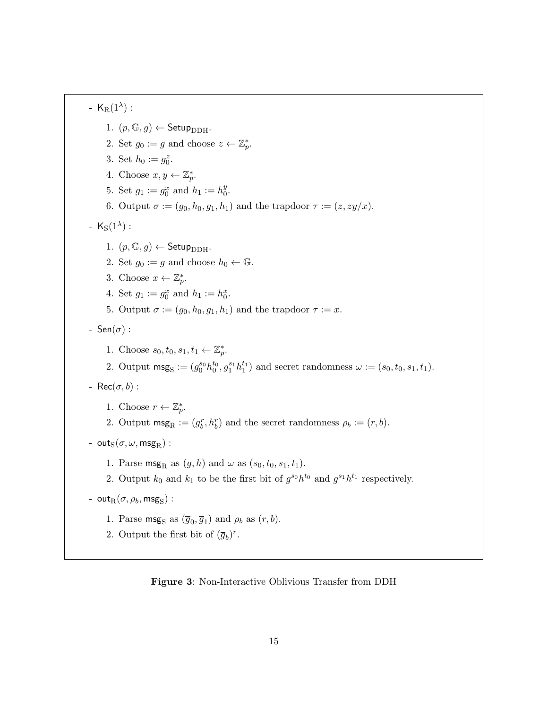- K $_{\rm R}(1^{\lambda})$  : 1.  $(p, \mathbb{G}, g) \leftarrow$  Setup<sub>DDH</sub>. 2. Set  $g_0 := g$  and choose  $z \leftarrow \mathbb{Z}_p^*$ . 3. Set  $h_0 := g_0^z$ . 4. Choose  $x, y \leftarrow \mathbb{Z}_p^*$ . 5. Set  $g_1 := g_0^x$  and  $h_1 := h_0^y$  $_{0}^{y}.$ 6. Output  $\sigma := (g_0, h_0, g_1, h_1)$  and the trapdoor  $\tau := (z, zy/x)$ . - K $_{\rm S}(1^\lambda)$  : 1.  $(p, \mathbb{G}, g) \leftarrow$  Setup<sub>DDH</sub>. 2. Set  $g_0 := g$  and choose  $h_0 \leftarrow \mathbb{G}$ . 3. Choose  $x \leftarrow \mathbb{Z}_p^*$ . 4. Set  $g_1 := g_0^x$  and  $h_1 := h_0^x$ . 5. Output  $\sigma := (g_0, h_0, g_1, h_1)$  and the trapdoor  $\tau := x$ . - Sen $(\sigma)$  : 1. Choose  $s_0, t_0, s_1, t_1 \leftarrow \mathbb{Z}_p^*$ . 2. Output  $\text{msg}_S := (g_0^{s_0} h_0^{t_0}, g_1^{s_1} h_1^{t_1})$  and secret randomness  $\omega := (s_0, t_0, s_1, t_1)$ . - Rec( $\sigma$ , b) : 1. Choose  $r \leftarrow \mathbb{Z}_p^*$ . 2. Output  $\text{msg}_R := (g_b^r, h_b^r)$  and the secret randomness  $\rho_b := (r, b)$ . - out<sub>S</sub> $(\sigma, \omega, \mathsf{msg}_R)$  : 1. Parse msg<sub>R</sub> as  $(g, h)$  and  $\omega$  as  $(s_0, t_0, s_1, t_1)$ . 2. Output  $k_0$  and  $k_1$  to be the first bit of  $g^{s_0}h^{t_0}$  and  $g^{s_1}h^{t_1}$  respectively. -  $\mathsf{out}_\mathrm{R}(\sigma,\rho_b,\mathsf{msg}_\mathrm{S})$  : 1. Parse msg<sub>S</sub> as  $(\overline{g}_0, \overline{g}_1)$  and  $\rho_b$  as  $(r, b)$ . 2. Output the first bit of  $(\overline{g}_b)^r$ .

Figure 3: Non-Interactive Oblivious Transfer from DDH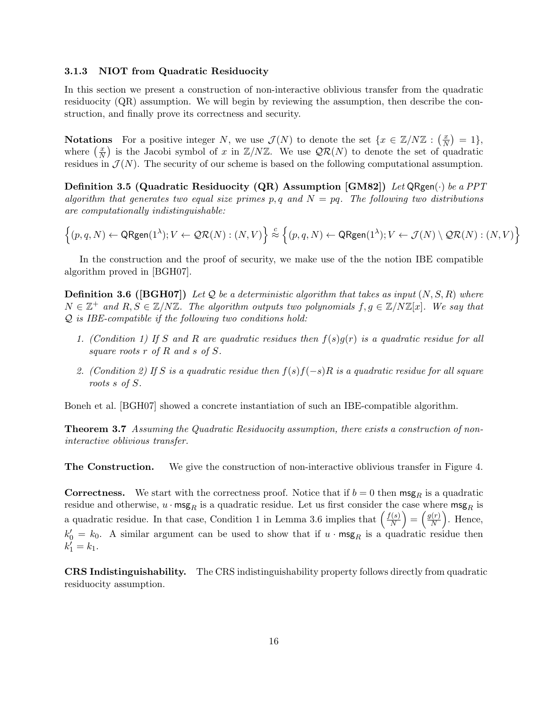### 3.1.3 NIOT from Quadratic Residuocity

In this section we present a construction of non-interactive oblivious transfer from the quadratic residuocity (QR) assumption. We will begin by reviewing the assumption, then describe the construction, and finally prove its correctness and security.

**Notations** For a positive integer N, we use  $\mathcal{J}(N)$  to denote the set  $\{x \in \mathbb{Z}/N\mathbb{Z} : \left(\frac{x}{N}\right)^{N} \}$  $\frac{x}{N}$  = 1}, where  $\left(\frac{x}{N}\right)$  $\frac{x}{N}$ ) is the Jacobi symbol of x in  $\mathbb{Z}/N\mathbb{Z}$ . We use  $\mathcal{QR}(N)$  to denote the set of quadratic residues in  $\mathcal{J}(N)$ . The security of our scheme is based on the following computational assumption.

Definition 3.5 (Quadratic Residuocity (QR) Assumption [GM82]) Let QRgen( $\cdot$ ) be a PPT algorithm that generates two equal size primes p, q and  $N = pq$ . The following two distributions are computationally indistinguishable:

$$
\Big\{(p,q,N) \leftarrow \mathsf{QRgen}(1^{\lambda}); V \leftarrow \mathcal{QR}(N): (N,V)\Big\} \stackrel{c}{\approx} \Big\{(p,q,N) \leftarrow \mathsf{QRgen}(1^{\lambda}); V \leftarrow \mathcal{J}(N) \setminus \mathcal{QR}(N): (N,V)\Big\}
$$

In the construction and the proof of security, we make use of the the notion IBE compatible algorithm proved in [BGH07].

**Definition 3.6 ([BGH07])** Let Q be a deterministic algorithm that takes as input  $(N, S, R)$  where  $N \in \mathbb{Z}^+$  and  $R, S \in \mathbb{Z}/N\mathbb{Z}$ . The algorithm outputs two polynomials  $f, g \in \mathbb{Z}/N\mathbb{Z}[x]$ . We say that  $Q$  is IBE-compatible if the following two conditions hold:

- 1. (Condition 1) If S and R are quadratic residues then  $f(s)g(r)$  is a quadratic residue for all square roots  $r$  of  $R$  and  $s$  of  $S$ .
- 2. (Condition 2) If S is a quadratic residue then  $f(s)f(-s)R$  is a quadratic residue for all square roots s of S.

Boneh et al. [BGH07] showed a concrete instantiation of such an IBE-compatible algorithm.

**Theorem 3.7** Assuming the Quadratic Residuocity assumption, there exists a construction of noninteractive oblivious transfer.

The Construction. We give the construction of non-interactive oblivious transfer in Figure 4.

**Correctness.** We start with the correctness proof. Notice that if  $b = 0$  then  $\text{msg}_R$  is a quadratic residue and otherwise,  $u \cdot \text{msg}_R$  is a quadratic residue. Let us first consider the case where  $\text{msg}_R$  is a quadratic residue. In that case, Condition 1 in Lemma 3.6 implies that  $\left(\frac{f(s)}{N}\right)$  $\left(\frac{f(s)}{N}\right) = \left(\frac{g(r)}{N}\right)$  $\frac{N(r)}{N}$ . Hence,  $k'_0 = k_0$ . A similar argument can be used to show that if  $u \cdot \text{msg}_R$  is a quadratic residue then  $k'_1 = k_1.$ 

CRS Indistinguishability. The CRS indistinguishability property follows directly from quadratic residuocity assumption.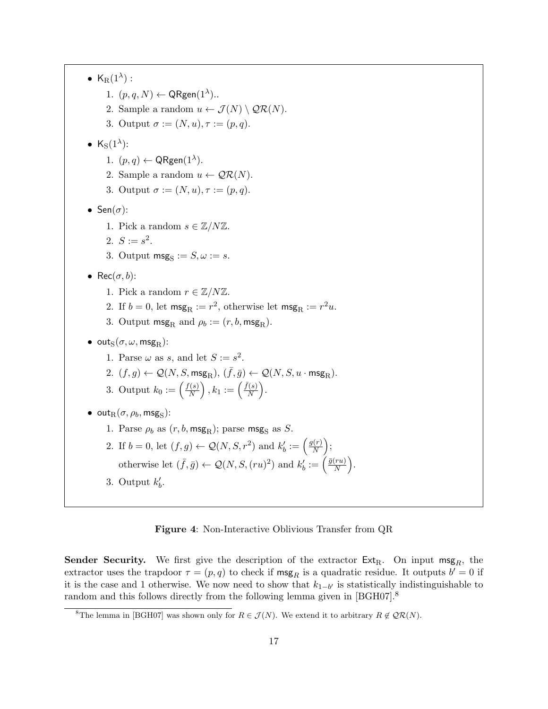•  $\mathsf{K}_\mathrm{R}(1^\lambda)$  : 1.  $(p, q, N) \leftarrow \mathsf{QRegen}(1^{\lambda})$ . 2. Sample a random  $u \leftarrow \mathcal{J}(N) \setminus \mathcal{QR}(N)$ . 3. Output  $\sigma := (N, u), \tau := (p, q)$ . • K<sub>S</sub> $(1^{\lambda})$ : 1.  $(p, q) \leftarrow \mathsf{QRegen}(1^{\lambda})$ . 2. Sample a random  $u \leftarrow \mathcal{QR}(N)$ . 3. Output  $\sigma := (N, u), \tau := (p, q)$ . • Sen $(\sigma)$ : 1. Pick a random  $s \in \mathbb{Z}/N\mathbb{Z}$ . 2.  $S := s^2$ . 3. Output  $\mathsf{msg}_\mathsf{S} := S, \omega := s.$ • Rec $(\sigma, b)$ : 1. Pick a random  $r \in \mathbb{Z}/N\mathbb{Z}$ . 2. If  $b = 0$ , let  $\mathsf{msg}_R := r^2$ , otherwise let  $\mathsf{msg}_R := r^2u$ . 3. Output  $\mathsf{msg}_R$  and  $\rho_b := (r, b, \mathsf{msg}_R)$ . • out<sub>S</sub> $(\sigma, \omega, \text{msg}_B)$ : 1. Parse  $\omega$  as s, and let  $S := s^2$ . 2.  $(f, g) \leftarrow \mathcal{Q}(N, S, \text{msg}_R), (\bar{f}, \bar{g}) \leftarrow \mathcal{Q}(N, S, u \cdot \text{msg}_R).$ 3. Output  $k_0 := \left(\frac{f(s)}{N}\right)$  $\left(\frac{\bar{f}(s)}{N}\right), k_1 := \left(\frac{\bar{f}(s)}{N}\right)$  $\frac{F(s)}{N}$ .  $\bullet~$  out $_{\rm R}(\sigma,\rho_b, {\sf msg}_{{\rm S}})$ : 1. Parse  $\rho_b$  as  $(r, b, \text{msg}_B)$ ; parse msg<sub>S</sub> as S. 2. If  $b = 0$ , let  $(f, g) \leftarrow \mathcal{Q}(N, S, r^2)$  and  $k'_b := \left(\frac{g(r)}{N}\right)$  $\frac{(r)}{N}$ ; otherwise let  $(\bar{f}, \bar{g}) \leftarrow \mathcal{Q}(N, S, (ru)^2)$  and  $k'_b := \left(\frac{\bar{g}(ru)}{N}\right)$  $\frac{(ru)}{N}$ . 3. Output  $k'_b$ .

#### Figure 4: Non-Interactive Oblivious Transfer from QR

**Sender Security.** We first give the description of the extractor  $Ext_R$ . On input msg<sub>R</sub>, the extractor uses the trapdoor  $\tau = (p, q)$  to check if  $\mathsf{msg}_R$  is a quadratic residue. It outputs  $b' = 0$  if it is the case and 1 otherwise. We now need to show that  $k_{1-b}$  is statistically indistinguishable to random and this follows directly from the following lemma given in [BGH07].<sup>8</sup>

<sup>&</sup>lt;sup>8</sup>The lemma in [BGH07] was shown only for  $R \in \mathcal{J}(N)$ . We extend it to arbitrary  $R \notin \mathcal{QR}(N)$ .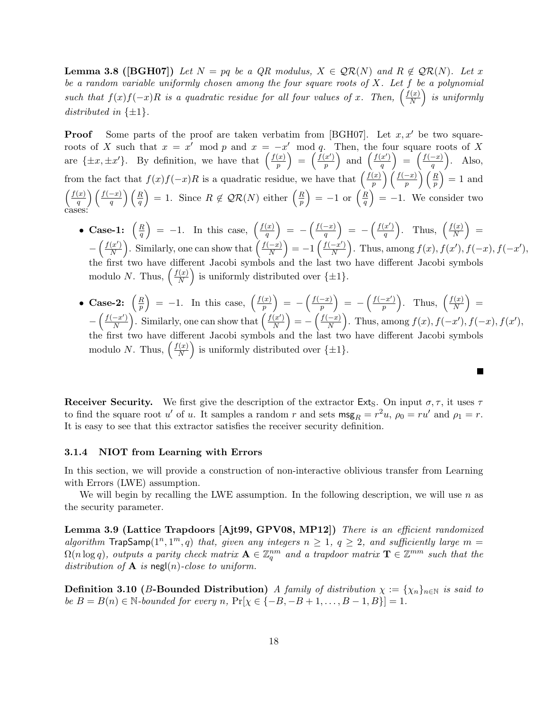**Lemma 3.8** ([BGH07]) Let  $N = pq$  be a QR modulus,  $X \in \mathcal{QR}(N)$  and  $R \notin \mathcal{QR}(N)$ . Let x be a random variable uniformly chosen among the four square roots of  $X$ . Let  $f$  be a polynomial such that  $f(x)f(-x)R$  is a quadratic residue for all four values of x. Then,  $\left(\frac{f(x)}{N}\right)$  $\binom{f(x)}{N}$  is uniformly distributed in  $\{\pm 1\}$ .

**Proof** Some parts of the proof are taken verbatim from [BGH07]. Let  $x, x'$  be two squareroots of X such that  $x = x' \mod p$  and  $x = -x' \mod q$ . Then, the four square roots of X are  $\{\pm x, \pm x'\}.$  By definition, we have that  $\left(\frac{f(x)}{n}\right)$  $\binom{(x)}{p}$  =  $\left(\frac{f(x')}{p}\right)$  $\left(\frac{x'}{p}\right)$  and  $\left(\frac{f(x')}{q}\right)$  $\left(\frac{x'}{q}\right) = \left(\frac{f(-x)}{q}\right)$  $\frac{-x)}{q}$ . Also, from the fact that  $f(x)f(-x)R$  is a quadratic residue, we have that  $\left(\frac{f(x)}{n}\right)$  $\binom{(x)}{p}$   $\left(\frac{f(-x)}{p}\right)\left(\frac{R}{p}\right) = 1$  and  $\int f(x)$  $\left(\frac{f(x)}{q}\right)\left(\frac{f(-x)}{q}\right)\left(\frac{R}{q}\right) = 1.$  Since  $R \notin \mathcal{QR}(N)$  either  $\left(\frac{R}{p}\right)$  $\left(\frac{R}{p}\right)$  =  $-1$  or  $\left(\frac{R}{q}\right)$  $\left(\frac{R}{q}\right)$  = -1. We consider two cases:

- Case-1:  $\left(\frac{R}{a}\right)$  $\left(\frac{R}{q}\right)$  = -1. In this case,  $\left(\frac{f(x)}{q}\right)$  $\left(\frac{f(x)}{q}\right) = -\left(\frac{f(-x)}{q}\right)$  $\left(\frac{-x)}{q}\right) = -\left(\frac{f(x')}{q}\right)$  $\left(\frac{x'}{q}\right)$ . Thus,  $\left(\frac{f(x)}{N}\right)$  $\left(\frac{x}{N}\right) =$  $-\left(\frac{f(x')}{N}\right)$  $\left(\frac{x'}{N}\right)$ . Similarly, one can show that  $\left(\frac{f(-x)}{N}\right)$  $\left(\frac{-x)}{N}\right) = -1 \left(\frac{f(-x')}{N}\right)$  $\left(\frac{-x'}{N}\right)$ . Thus, among  $f(x)$ ,  $f(x')$ ,  $f(-x)$ ,  $f(-x')$ , the first two have different Jacobi symbols and the last two have different Jacobi symbols modulo N. Thus,  $\left(\frac{f(x)}{N}\right)$  $\frac{f(x)}{N}$  is uniformly distributed over  $\{\pm 1\}.$
- Case-2:  $\left(\frac{R}{n}\right)$  $\left(\frac{R}{p}\right)$  = -1. In this case,  $\left(\frac{f(x)}{p}\right)$  $\binom{(x)}{p}$  =  $-\left(\frac{f(-x)}{p}\right)$  $\left(\frac{-x)}{p}\right) = -\left(\frac{f(-x')}{p}\right)$  $\left(\frac{-x'}{p}\right)$ . Thus,  $\left(\frac{f(x)}{N}\right)$  $\frac{(x)}{N}$  =  $-\left(\frac{f(-x')}{N}\right)$  $\left(\frac{-x'}{N}\right)$ . Similarly, one can show that  $\left(\frac{f(x')}{N}\right)$  $\binom{(x')}{N}$  =  $-\left(\frac{f(-x)}{N}\right)$  $\left(\frac{-x}{N}\right)$ . Thus, among  $f(x)$ ,  $f(-x')$ ,  $f(-x)$ ,  $f(x')$ , the first two have different Jacobi symbols and the last two have different Jacobi symbols modulo N. Thus,  $\left(\frac{f(x)}{N}\right)$  $\frac{f(x)}{N}$  is uniformly distributed over  $\{\pm 1\}.$

 $\blacksquare$ 

**Receiver Security.** We first give the description of the extractor Ext<sub>S</sub>. On input  $\sigma$ ,  $\tau$ , it uses  $\tau$ to find the square root u' of u. It samples a random r and sets  $\text{msg}_R = r^2u$ ,  $\rho_0 = ru'$  and  $\rho_1 = r$ . It is easy to see that this extractor satisfies the receiver security definition.

#### 3.1.4 NIOT from Learning with Errors

In this section, we will provide a construction of non-interactive oblivious transfer from Learning with Errors (LWE) assumption.

We will begin by recalling the LWE assumption. In the following description, we will use  $n$  as the security parameter.

Lemma 3.9 (Lattice Trapdoors [Ajt99, GPV08, MP12]) There is an efficient randomized algorithm TrapSamp $(1^n, 1^m, q)$  that, given any integers  $n \geq 1$ ,  $q \geq 2$ , and sufficiently large  $m =$  $\Omega(n \log q)$ , outputs a parity check matrix  $\mathbf{A} \in \mathbb{Z}_q^{nm}$  and a trapdoor matrix  $\mathbf{T} \in \mathbb{Z}^{mm}$  such that the distribution of  $A$  is negl(n)-close to uniform.

**Definition 3.10 (B-Bounded Distribution)** A family of distribution  $\chi := {\chi_n}_{n \in \mathbb{N}}$  is said to be  $B = B(n) \in \mathbb{N}$ -bounded for every n,  $Pr[\chi \in \{-B, -B+1, \ldots, B-1, B\}] = 1$ .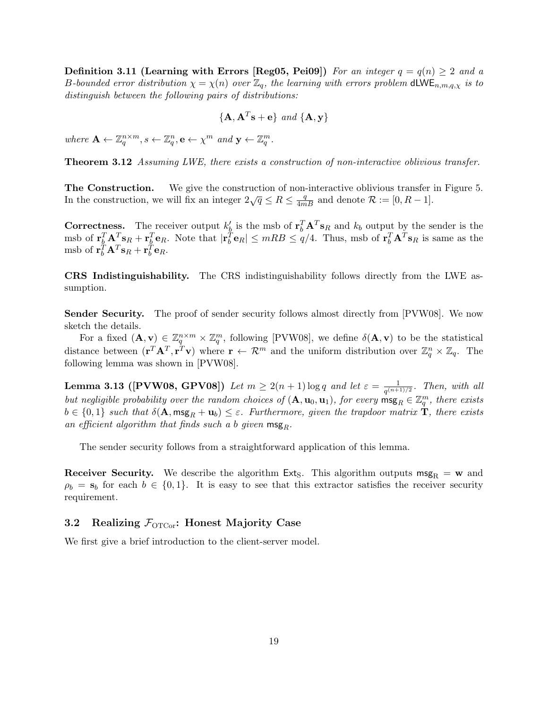Definition 3.11 (Learning with Errors [Reg05, Pei09]) For an integer  $q = q(n) \geq 2$  and a B-bounded error distribution  $\chi = \chi(n)$  over  $\mathbb{Z}_q$ , the learning with errors problem dLWE<sub>n,m,q, $\chi$ </sub> is to distinguish between the following pairs of distributions:

$$
\{\mathbf A, \mathbf A^T \mathbf s + \mathbf e\} \text{ and } \{\mathbf A, \mathbf y\}
$$

where  $\mathbf{A} \leftarrow \mathbb{Z}_q^{n \times m}, s \leftarrow \mathbb{Z}_q^n, \mathbf{e} \leftarrow \chi^m$  and  $\mathbf{y} \leftarrow \mathbb{Z}_q^m$ .

Theorem 3.12 Assuming LWE, there exists a construction of non-interactive oblivious transfer.

The Construction. We give the construction of non-interactive oblivious transfer in Figure 5. In the construction, we will fix an integer  $2\sqrt{q} \leq R \leq \frac{q}{4m}$  and denote  $\mathcal{R} := [0, R-1]$ .

**Correctness.** The receiver output  $k'_{\underline{b}}$  is the msb of  $\mathbf{r}_b^T \mathbf{A}^T \mathbf{s}_R$  and  $k_b$  output by the sender is the msb of  $\mathbf{r}_b^T \mathbf{A}^T \mathbf{s}_R + \mathbf{r}_b^T \mathbf{e}_R$ . Note that  $|\mathbf{r}_b^T \mathbf{e}_R| \le mRB \le q/4$ . Thus, msb of  $\mathbf{r}_b^T \mathbf{A}^T \mathbf{s}_R$  is same as the msb of  $\mathbf{r}_b^T \mathbf{A}^T \mathbf{s}_R + \mathbf{r}_b^T \mathbf{e}_R$ .

CRS Indistinguishability. The CRS indistinguishability follows directly from the LWE assumption.

Sender Security. The proof of sender security follows almost directly from [PVW08]. We now sketch the details.

For a fixed  $(A, v) \in \mathbb{Z}_q^{n \times m} \times \mathbb{Z}_q^m$ , following [PVW08], we define  $\delta(A, v)$  to be the statistical distance between  $(\mathbf{r}^T \mathbf{A}^T, \mathbf{r}^T \mathbf{v})$  where  $\mathbf{r} \leftarrow \mathcal{R}^m$  and the uniform distribution over  $\mathbb{Z}_q^n \times \mathbb{Z}_q$ . The following lemma was shown in [PVW08].

**Lemma 3.13 ([PVW08, GPV08])** Let  $m \geq 2(n+1) \log q$  and let  $\varepsilon = \frac{1}{\sqrt{n+1}}$  $\frac{1}{q^{(n+1)/2}}$ . Then, with all but negligible probability over the random choices of  $(A, u_0, u_1)$ , for every  $\overline{ms}_R \in \mathbb{Z}_q^m$ , there exists  $b \in \{0,1\}$  such that  $\delta(\mathbf{A}, \mathsf{msg}_R + \mathbf{u}_b) \leq \varepsilon$ . Furthermore, given the trapdoor matrix  $\mathbf{T}$ , there exists an efficient algorithm that finds such a b given  $\mathsf{msg}_R$ .

The sender security follows from a straightforward application of this lemma.

**Receiver Security.** We describe the algorithm Exts. This algorithm outputs  $\text{msg}_R = \textbf{w}$  and  $\rho_b = s_b$  for each  $b \in \{0,1\}$ . It is easy to see that this extractor satisfies the receiver security requirement.

### 3.2 Realizing  $\mathcal{F}_{\text{OTCor}}$ : Honest Majority Case

We first give a brief introduction to the client-server model.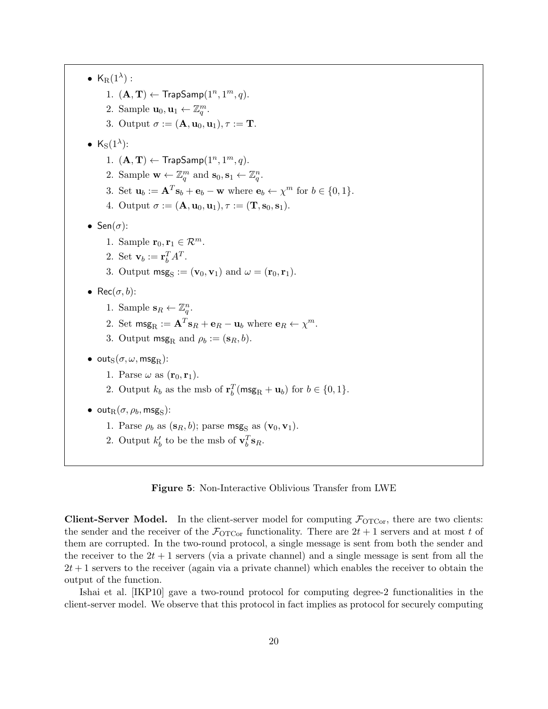•  $\mathsf{K}_\mathrm{R}(1^\lambda)$  : 1.  $(\mathbf{A}, \mathbf{T}) \leftarrow \mathsf{TrapSamp}(1^n, 1^m, q)$ . 2. Sample  $\mathbf{u}_0, \mathbf{u}_1 \leftarrow \mathbb{Z}_q^m$ . 3. Output  $\sigma := (\mathbf{A}, \mathbf{u}_0, \mathbf{u}_1), \tau := \mathbf{T}$ . • K<sub>S</sub> $(1^{\lambda})$ : 1.  $(\mathbf{A}, \mathbf{T}) \leftarrow \mathsf{TrapSamp}(1^n, 1^m, q)$ . 2. Sample  $\mathbf{w} \leftarrow \mathbb{Z}_q^m$  and  $\mathbf{s}_0, \mathbf{s}_1 \leftarrow \mathbb{Z}_q^n$ . 3. Set  $\mathbf{u}_b := \mathbf{A}^T \mathbf{s}_b + \mathbf{e}_b - \mathbf{w}$  where  $\mathbf{e}_b \leftarrow \chi^m$  for  $b \in \{0, 1\}.$ 4. Output  $\sigma := (\mathbf{A}, \mathbf{u}_0, \mathbf{u}_1), \tau := (\mathbf{T}, \mathbf{s}_0, \mathbf{s}_1).$ • Sen $(\sigma)$ : 1. Sample  $\mathbf{r}_0, \mathbf{r}_1 \in \mathcal{R}^m$ . 2. Set  $\mathbf{v}_b := \mathbf{r}_b^T A^T$ . 3. Output  $\mathsf{msg}_S := (\mathbf{v}_0, \mathbf{v}_1)$  and  $\omega = (\mathbf{r}_0, \mathbf{r}_1)$ . • Rec( $\sigma$ , b): 1. Sample  $\mathbf{s}_R \leftarrow \mathbb{Z}_q^n$ . 2. Set  $\mathsf{msg}_R := \mathbf{A}^T \mathbf{s}_R + \mathbf{e}_R - \mathbf{u}_b$  where  $\mathbf{e}_R \leftarrow \chi^m$ . 3. Output  $\mathsf{msg}_R$  and  $\rho_b := (\mathbf{s}_R, b)$ . • out<sub>S</sub> $(\sigma, \omega, \text{msg}_R)$ : 1. Parse  $\omega$  as  $(\mathbf{r}_0, \mathbf{r}_1)$ . 2. Output  $k_b$  as the msb of  $\mathbf{r}_b^T(\text{msg}_R + \mathbf{u}_b)$  for  $b \in \{0, 1\}$ .  $\bullet~$  out $_{\rm R}(\sigma,\rho_b, {\sf msg}_{{\rm S}})$ : 1. Parse  $\rho_b$  as  $(\mathbf{s}_R, b)$ ; parse msg<sub>S</sub> as  $(\mathbf{v}_0, \mathbf{v}_1)$ . 2. Output  $k'_b$  to be the msb of  $\mathbf{v}_b^T \mathbf{s}_R$ .

Figure 5: Non-Interactive Oblivious Transfer from LWE

**Client-Server Model.** In the client-server model for computing  $\mathcal{F}_{\text{OTCor}}$ , there are two clients: the sender and the receiver of the  $\mathcal{F}_{\text{OTCor}}$  functionality. There are  $2t + 1$  servers and at most t of them are corrupted. In the two-round protocol, a single message is sent from both the sender and the receiver to the  $2t + 1$  servers (via a private channel) and a single message is sent from all the  $2t + 1$  servers to the receiver (again via a private channel) which enables the receiver to obtain the output of the function.

Ishai et al. [IKP10] gave a two-round protocol for computing degree-2 functionalities in the client-server model. We observe that this protocol in fact implies as protocol for securely computing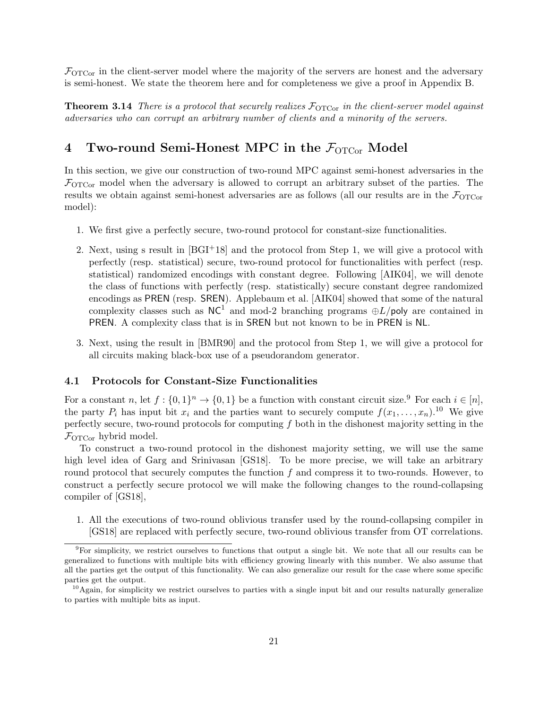$\mathcal{F}_{\text{OTCor}}$  in the client-server model where the majority of the servers are honest and the adversary is semi-honest. We state the theorem here and for completeness we give a proof in Appendix B.

**Theorem 3.14** There is a protocol that securely realizes  $\mathcal{F}_{\text{OTCor}}$  in the client-server model against adversaries who can corrupt an arbitrary number of clients and a minority of the servers.

## 4 Two-round Semi-Honest MPC in the  $\mathcal{F}_{\text{OTCor}}$  Model

In this section, we give our construction of two-round MPC against semi-honest adversaries in the  $\mathcal{F}_{\text{OTCor}}$  model when the adversary is allowed to corrupt an arbitrary subset of the parties. The results we obtain against semi-honest adversaries are as follows (all our results are in the  $\mathcal{F}_{\text{OTCor}}$ model):

- 1. We first give a perfectly secure, two-round protocol for constant-size functionalities.
- 2. Next, using s result in  $[**BGI**<sup>+</sup>**18**]$  and the protocol from Step 1, we will give a protocol with perfectly (resp. statistical) secure, two-round protocol for functionalities with perfect (resp. statistical) randomized encodings with constant degree. Following [AIK04], we will denote the class of functions with perfectly (resp. statistically) secure constant degree randomized encodings as PREN (resp. SREN). Applebaum et al. [AIK04] showed that some of the natural complexity classes such as  $NC^1$  and mod-2 branching programs  $\oplus L/\text{poly}$  are contained in PREN. A complexity class that is in SREN but not known to be in PREN is NL.
- 3. Next, using the result in [BMR90] and the protocol from Step 1, we will give a protocol for all circuits making black-box use of a pseudorandom generator.

### 4.1 Protocols for Constant-Size Functionalities

For a constant n, let  $f: \{0,1\}^n \to \{0,1\}$  be a function with constant circuit size.<sup>9</sup> For each  $i \in [n]$ , the party  $P_i$  has input bit  $x_i$  and the parties want to securely compute  $f(x_1, \ldots, x_n)$ .<sup>10</sup> We give perfectly secure, two-round protocols for computing  $f$  both in the dishonest majority setting in the  $\mathcal{F}_{\text{OTCor}}$  hybrid model.

To construct a two-round protocol in the dishonest majority setting, we will use the same high level idea of Garg and Srinivasan [GS18]. To be more precise, we will take an arbitrary round protocol that securely computes the function  $f$  and compress it to two-rounds. However, to construct a perfectly secure protocol we will make the following changes to the round-collapsing compiler of [GS18],

1. All the executions of two-round oblivious transfer used by the round-collapsing compiler in [GS18] are replaced with perfectly secure, two-round oblivious transfer from OT correlations.

<sup>9</sup>For simplicity, we restrict ourselves to functions that output a single bit. We note that all our results can be generalized to functions with multiple bits with efficiency growing linearly with this number. We also assume that all the parties get the output of this functionality. We can also generalize our result for the case where some specific parties get the output.

 $10$ Again, for simplicity we restrict ourselves to parties with a single input bit and our results naturally generalize to parties with multiple bits as input.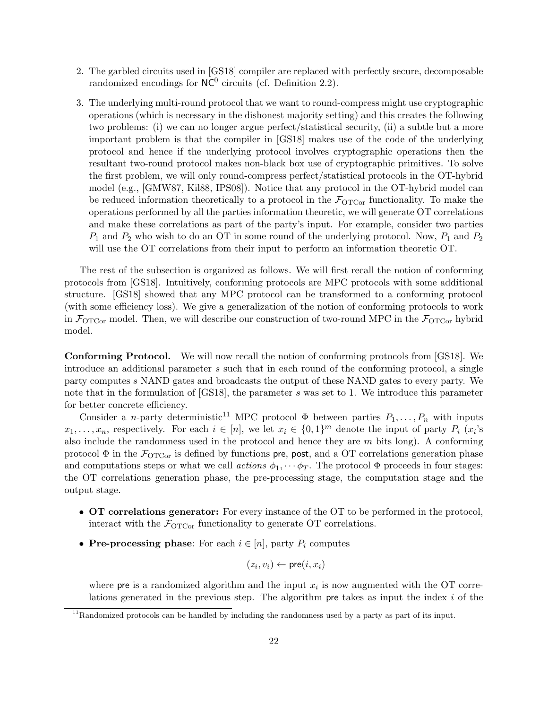- 2. The garbled circuits used in [GS18] compiler are replaced with perfectly secure, decomposable randomized encodings for  $NC^0$  circuits (cf. Definition 2.2).
- 3. The underlying multi-round protocol that we want to round-compress might use cryptographic operations (which is necessary in the dishonest majority setting) and this creates the following two problems: (i) we can no longer argue perfect/statistical security, (ii) a subtle but a more important problem is that the compiler in [GS18] makes use of the code of the underlying protocol and hence if the underlying protocol involves cryptographic operations then the resultant two-round protocol makes non-black box use of cryptographic primitives. To solve the first problem, we will only round-compress perfect/statistical protocols in the OT-hybrid model (e.g., [GMW87, Kil88, IPS08]). Notice that any protocol in the OT-hybrid model can be reduced information theoretically to a protocol in the  $\mathcal{F}_{\text{OTCor}}$  functionality. To make the operations performed by all the parties information theoretic, we will generate OT correlations and make these correlations as part of the party's input. For example, consider two parties  $P_1$  and  $P_2$  who wish to do an OT in some round of the underlying protocol. Now,  $P_1$  and  $P_2$ will use the OT correlations from their input to perform an information theoretic OT.

The rest of the subsection is organized as follows. We will first recall the notion of conforming protocols from [GS18]. Intuitively, conforming protocols are MPC protocols with some additional structure. [GS18] showed that any MPC protocol can be transformed to a conforming protocol (with some efficiency loss). We give a generalization of the notion of conforming protocols to work in  $\mathcal{F}_{\text{OTCor}}$  model. Then, we will describe our construction of two-round MPC in the  $\mathcal{F}_{\text{OTCor}}$  hybrid model.

Conforming Protocol. We will now recall the notion of conforming protocols from [GS18]. We introduce an additional parameter s such that in each round of the conforming protocol, a single party computes s NAND gates and broadcasts the output of these NAND gates to every party. We note that in the formulation of [GS18], the parameter s was set to 1. We introduce this parameter for better concrete efficiency.

Consider a n-party deterministic<sup>11</sup> MPC protocol  $\Phi$  between parties  $P_1, \ldots, P_n$  with inputs  $x_1, \ldots, x_n$ , respectively. For each  $i \in [n]$ , we let  $x_i \in \{0,1\}^m$  denote the input of party  $P_i(x_i)$ 's also include the randomness used in the protocol and hence they are  $m$  bits long). A conforming protocol  $\Phi$  in the  $\mathcal{F}_{\text{OTCor}}$  is defined by functions pre, post, and a OT correlations generation phase and computations steps or what we call *actions*  $\phi_1, \dots, \phi_T$ . The protocol  $\Phi$  proceeds in four stages: the OT correlations generation phase, the pre-processing stage, the computation stage and the output stage.

- OT correlations generator: For every instance of the OT to be performed in the protocol, interact with the  $\mathcal{F}_{\text{OTCor}}$  functionality to generate OT correlations.
- Pre-processing phase: For each  $i \in [n]$ , party  $P_i$  computes

$$
(z_i, v_i) \leftarrow \mathsf{pre}(i, x_i)
$$

where pre is a randomized algorithm and the input  $x_i$  is now augmented with the OT correlations generated in the previous step. The algorithm pre takes as input the index  $i$  of the

 $11$ Randomized protocols can be handled by including the randomness used by a party as part of its input.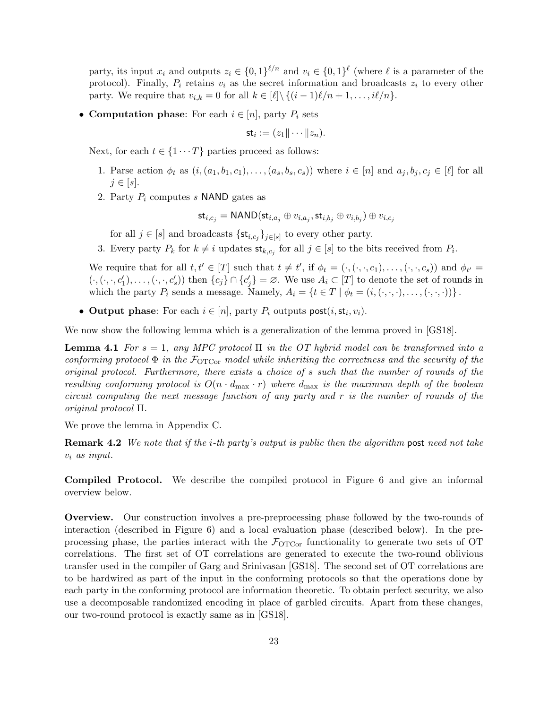party, its input  $x_i$  and outputs  $z_i \in \{0,1\}^{\ell/n}$  and  $v_i \in \{0,1\}^{\ell}$  (where  $\ell$  is a parameter of the protocol). Finally,  $P_i$  retains  $v_i$  as the secret information and broadcasts  $z_i$  to every other party. We require that  $v_{i,k} = 0$  for all  $k \in [\ell] \setminus \{(i-1)\ell/n + 1, \ldots, i\ell/n\}.$ 

• Computation phase: For each  $i \in [n]$ , party  $P_i$  sets

$$
\mathsf{st}_i := (z_1 \| \cdots \| z_n).
$$

Next, for each  $t \in \{1 \cdots T\}$  parties proceed as follows:

- 1. Parse action  $\phi_t$  as  $(i, (a_1, b_1, c_1), \ldots, (a_s, b_s, c_s))$  where  $i \in [n]$  and  $a_j, b_j, c_j \in [\ell]$  for all  $j \in |s|.$
- 2. Party  $P_i$  computes s NAND gates as

 $\mathsf{st}_{i,c_j} = \mathsf{NAND}(\mathsf{st}_{i,a_j} \oplus v_{i,a_j}, \mathsf{st}_{i,b_j} \oplus v_{i,b_j}) \oplus v_{i,c_j}$ 

for all  $j \in [s]$  and broadcasts  $\{\text{st}_{i,c_j}\}_{j \in [s]}$  to every other party.

3. Every party  $P_k$  for  $k \neq i$  updates  $\mathsf{st}_{k,c_j}$  for all  $j \in [s]$  to the bits received from  $P_i$ .

We require that for all  $t, t' \in [T]$  such that  $t \neq t'$ , if  $\phi_t = (\cdot, (\cdot, \cdot, c_1), \dots, (\cdot, \cdot, c_s))$  and  $\phi_{t'} =$  $(\cdot, (\cdot, \cdot, c'_1), \ldots, (\cdot, \cdot, c'_s))$  then  $\{c_j\} \cap \{c'_j\} = \varnothing$ . We use  $A_i \subset [T]$  to denote the set of rounds in which the party  $P_i$  sends a message. Namely,  $A_i = \{t \in T \mid \phi_t = (i, (\cdot, \cdot, \cdot), \dots, (\cdot, \cdot, \cdot))\}$ .

• Output phase: For each  $i \in [n]$ , party  $P_i$  outputs post $(i, st_i, v_i)$ .

We now show the following lemma which is a generalization of the lemma proved in [GS18].

**Lemma 4.1** For  $s = 1$ , any MPC protocol  $\Pi$  in the OT hybrid model can be transformed into a conforming protocol  $\Phi$  in the  $\mathcal{F}_{\text{OTCor}}$  model while inheriting the correctness and the security of the original protocol. Furthermore, there exists a choice of s such that the number of rounds of the resulting conforming protocol is  $O(n \cdot d_{\text{max}} \cdot r)$  where  $d_{\text{max}}$  is the maximum depth of the boolean circuit computing the next message function of any party and r is the number of rounds of the original protocol Π.

We prove the lemma in Appendix C.

**Remark 4.2** We note that if the *i*-th party's output is public then the algorithm post need not take v<sup>i</sup> as input.

Compiled Protocol. We describe the compiled protocol in Figure 6 and give an informal overview below.

Overview. Our construction involves a pre-preprocessing phase followed by the two-rounds of interaction (described in Figure 6) and a local evaluation phase (described below). In the preprocessing phase, the parties interact with the  $\mathcal{F}_{\text{OTCor}}$  functionality to generate two sets of OT correlations. The first set of OT correlations are generated to execute the two-round oblivious transfer used in the compiler of Garg and Srinivasan [GS18]. The second set of OT correlations are to be hardwired as part of the input in the conforming protocols so that the operations done by each party in the conforming protocol are information theoretic. To obtain perfect security, we also use a decomposable randomized encoding in place of garbled circuits. Apart from these changes, our two-round protocol is exactly same as in [GS18].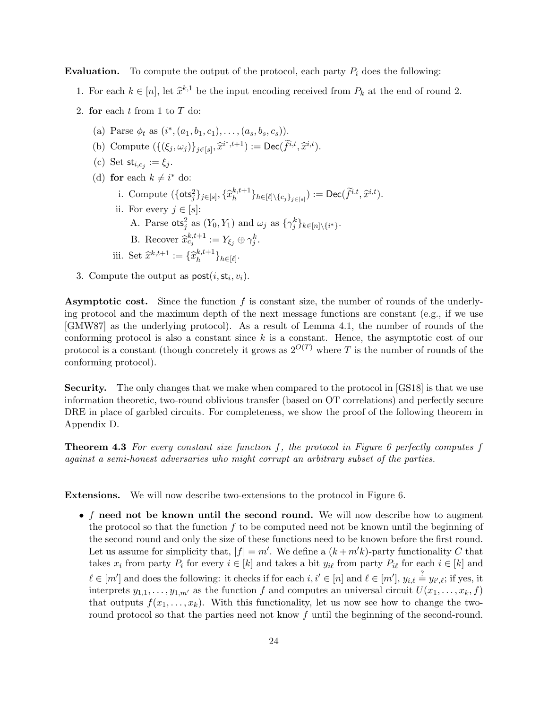**Evaluation.** To compute the output of the protocol, each party  $P_i$  does the following:

- 1. For each  $k \in [n]$ , let  $\hat{x}^{k,1}$  be the input encoding received from  $P_k$  at the end of round 2.
- 2. for each  $t$  from 1 to  $T$  do:
	- (a) Parse  $\phi_t$  as  $(i^*, (a_1, b_1, c_1), \ldots, (a_s, b_s, c_s)).$
	- (b) Compute  $(\{(\xi_j, \omega_j)\}_{j \in [s]}, \hat{x}^{i^*, t+1}) := \text{Dec}(\tilde{f}^{i,t}, \tilde{x}^{i,t}).$
	- (c) Set  $\mathsf{st}_{i,c_j} := \xi_j$ .
	- (d) for each  $k \neq i^*$  do:
		- i. Compute  $(\{\text{ots}_j^2\}_{j\in[s]}, \{\hat{x}_h^{k,t+1},\})$  ${}_{h}^{k,t+1}\}_{h \in [\ell] \setminus {c_j}_{j \in [s]}}) := \mathsf{Dec}(\widetilde{f}^{i,t}, \widehat{x}^{i,t}).$
		- ii. For every  $j \in [s]$ : A. Parse ots<sub>j</sub><sup>2</sup> as  $(Y_0, Y_1)$  and  $\omega_j$  as  $\{\gamma_j^k\}_{k \in [n] \setminus \{i^*\}}$ . B. Recover  $\widehat{x}_{c_j}^{k,t+1} := Y_{\xi_j} \oplus \gamma_j^k$ . iii. Set  $\hat{x}^{k,t+1} := \{ \hat{x}_h^{k,t+1} \}$  ${}_{h}^{\kappa,t+1}\}_{h\in[\ell]}$ .
- 3. Compute the output as  $post(i, st_i, v_i)$ .

**Asymptotic cost.** Since the function f is constant size, the number of rounds of the underlying protocol and the maximum depth of the next message functions are constant (e.g., if we use [GMW87] as the underlying protocol). As a result of Lemma 4.1, the number of rounds of the conforming protocol is also a constant since  $k$  is a constant. Hence, the asymptotic cost of our protocol is a constant (though concretely it grows as  $2^{O(T)}$  where T is the number of rounds of the conforming protocol).

Security. The only changes that we make when compared to the protocol in [GS18] is that we use information theoretic, two-round oblivious transfer (based on OT correlations) and perfectly secure DRE in place of garbled circuits. For completeness, we show the proof of the following theorem in Appendix D.

**Theorem 4.3** For every constant size function  $f$ , the protocol in Figure 6 perfectly computes  $f$ against a semi-honest adversaries who might corrupt an arbitrary subset of the parties.

Extensions. We will now describe two-extensions to the protocol in Figure 6.

• f need not be known until the second round. We will now describe how to augment the protocol so that the function  $f$  to be computed need not be known until the beginning of the second round and only the size of these functions need to be known before the first round. Let us assume for simplicity that,  $|f| = m'$ . We define a  $(k + m'k)$ -party functionality C that takes  $x_i$  from party  $P_i$  for every  $i \in [k]$  and takes a bit  $y_{i\ell}$  from party  $P_{i\ell}$  for each  $i \in [k]$  and  $\ell \in [m']$  and does the following: it checks if for each  $i, i' \in [n]$  and  $\ell \in [m']$ ,  $y_{i,\ell} \stackrel{?}{=} y_{i',\ell}$ ; if yes, it interprets  $y_{1,1}, \ldots, y_{1,m'}$  as the function f and computes an universal circuit  $U(x_1, \ldots, x_k, f)$ that outputs  $f(x_1, \ldots, x_k)$ . With this functionality, let us now see how to change the tworound protocol so that the parties need not know f until the beginning of the second-round.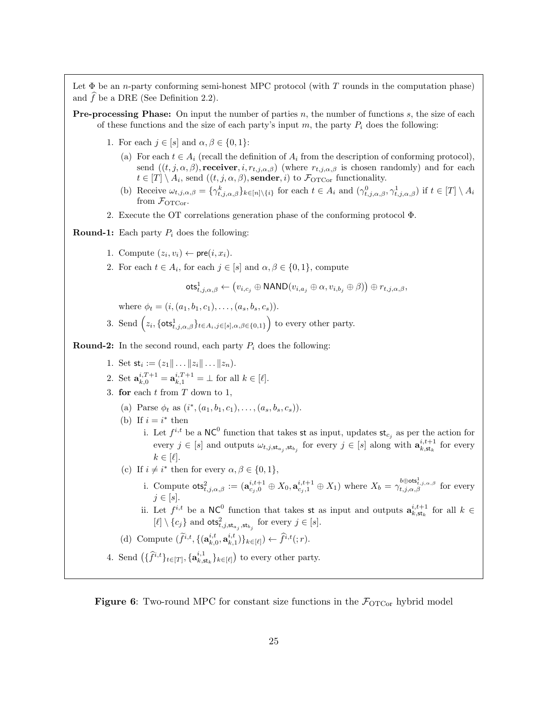Let  $\Phi$  be an *n*-party conforming semi-honest MPC protocol (with T rounds in the computation phase) and  $\widehat{f}$  be a DRE (See Definition 2.2).

- **Pre-processing Phase:** On input the number of parties  $n$ , the number of functions  $s$ , the size of each of these functions and the size of each party's input m, the party  $P_i$  does the following:
	- 1. For each  $j \in [s]$  and  $\alpha, \beta \in \{0, 1\}$ :
		- (a) For each  $t \in A_i$  (recall the definition of  $A_i$  from the description of conforming protocol), send  $((t, j, \alpha, \beta),$  **receiver**,  $i, r_{t, j, \alpha, \beta}$  (where  $r_{t, j, \alpha, \beta}$  is chosen randomly) and for each  $t \in [T] \setminus A_i$ , send  $((t, j, \alpha, \beta), \textbf{sender}, i)$  to  $\mathcal{F}_{\text{OTCor}}$  functionality.
		- (b) Receive  $\omega_{t,j,\alpha,\beta} = {\gamma_{t,j,\alpha,\beta}^k}_{k\in[n]\setminus\{i\}}$  for each  $t \in A_i$  and  $({\gamma_{t,j,\alpha,\beta}^0}, {\gamma_{t,j,\alpha,\beta}^1})$  if  $t \in [T] \setminus A_i$ from  $\mathcal{F}_{\text{OTCor}}$ .
	- 2. Execute the OT correlations generation phase of the conforming protocol Φ.

**Round-1:** Each party  $P_i$  does the following:

- 1. Compute  $(z_i, v_i) \leftarrow \text{pre}(i, x_i)$ .
- 2. For each  $t \in A_i$ , for each  $j \in [s]$  and  $\alpha, \beta \in \{0, 1\}$ , compute

$$
\mathsf{ots}^1_{t,j,\alpha,\beta} \leftarrow \big(v_{i,c_j} \oplus \mathsf{NAND}(v_{i,a_j} \oplus \alpha, v_{i,b_j} \oplus \beta)\big) \oplus r_{t,j,\alpha,\beta},
$$

where  $\phi_t = (i, (a_1, b_1, c_1), \ldots, (a_s, b_s, c_s)).$ 

3. Send  $(z_i, {\{\text{ots}\n\}}_{t,j,\alpha,\beta\}^{t} \in A_i, j \in [s], \alpha, \beta \in \{0,1\}$  to every other party.

**Round-2:** In the second round, each party  $P_i$  does the following:

- 1. Set  $\mathsf{st}_i := (z_1 \| \dots \| z_i \| \dots \| z_n).$
- 2. Set  $\mathbf{a}_{k,0}^{i,T+1} = \mathbf{a}_{k,1}^{i,T+1} = \perp$  for all  $k \in [\ell]$ .
- 3. for each  $t$  from  $T$  down to 1,
	- (a) Parse  $\phi_t$  as  $(i^*, (a_1, b_1, c_1), \ldots, (a_s, b_s, c_s)).$
	- (b) If  $i = i^*$  then
		- i. Let  $f^{i,t}$  be a NC<sup>0</sup> function that takes st as input, updates  $st_{c_j}$  as per the action for every  $j \in [s]$  and outputs  $\omega_{t,j,\mathbf{st}_{a_j},\mathbf{st}_{b_j}}$  for every  $j \in [s]$  along with  $\mathbf{a}_{k,\mathbf{st}_k}^{i,t+1}$  for every  $k \in [\ell].$
	- (c) If  $i \neq i^*$  then for every  $\alpha, \beta \in \{0, 1\},\$ 
		- i. Compute  $\text{ots}_{t,j,\alpha,\beta}^2 := (\textbf{a}_{c_j,0}^{i,t+1} \oplus X_0, \textbf{a}_{c_j,1}^{i,t+1} \oplus X_1)$  where  $X_b = \gamma_{t,j,\alpha,\beta}^{b \oplus \text{ots}_{t,j,\alpha,\beta}^1}$  for every  $j \in [s]$ .
		- ii. Let  $f^{i,t}$  be a NC<sup>0</sup> function that takes st as input and outputs  $\mathbf{a}_{k,\text{st}_k}^{i,t+1}$  for all  $k \in$  $[\ell] \setminus \{c_j\}$  and  $\text{ots}_{t,j,\text{st}_{a_j},\text{st}_{b_j}}^2$  for every  $j \in [s]$ .
	- (d) Compute  $(\tilde{f}^{i,t}, \{(\mathbf{a}_{k,0}^{i,t}, \mathbf{a}_{k,1}^{i,t})\}_{k \in [\ell]}) \leftarrow \hat{f}^{i,t}(:,r).$
- 4. Send  $(\{\hat{f}^{i,t}\}_{t\in[T]}, \{\mathbf{a}_{k,\mathsf{st}_k}^{i,1}\}_{k\in[\ell]})$  to every other party.

**Figure 6:** Two-round MPC for constant size functions in the  $\mathcal{F}_{\text{OTCor}}$  hybrid model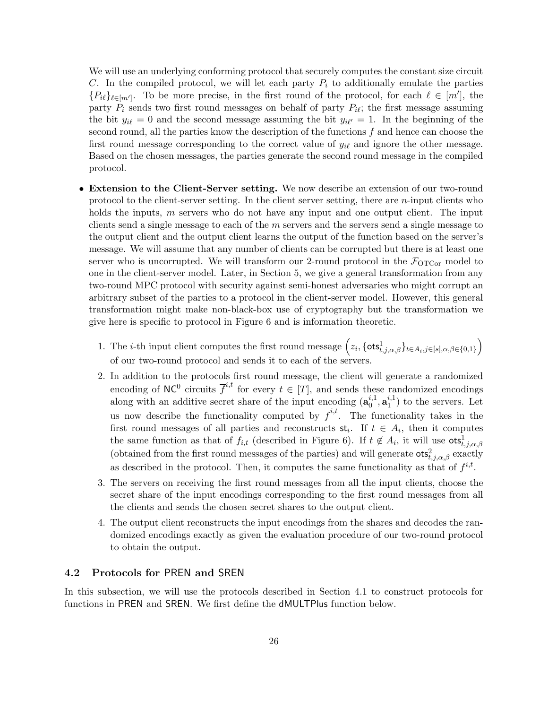We will use an underlying conforming protocol that securely computes the constant size circuit C. In the compiled protocol, we will let each party  $P_i$  to additionally emulate the parties  ${P_{i\ell}}_{\ell \in [m']}$ . To be more precise, in the first round of the protocol, for each  $\ell \in [m']$ , the party  $P_i$  sends two first round messages on behalf of party  $P_i\ell$ ; the first message assuming the bit  $y_{i\ell} = 0$  and the second message assuming the bit  $y_{i\ell'} = 1$ . In the beginning of the second round, all the parties know the description of the functions  $f$  and hence can choose the first round message corresponding to the correct value of  $y_{i\ell}$  and ignore the other message. Based on the chosen messages, the parties generate the second round message in the compiled protocol.

- Extension to the Client-Server setting. We now describe an extension of our two-round protocol to the client-server setting. In the client server setting, there are  $n$ -input clients who holds the inputs, m servers who do not have any input and one output client. The input clients send a single message to each of the  $m$  servers and the servers send a single message to the output client and the output client learns the output of the function based on the server's message. We will assume that any number of clients can be corrupted but there is at least one server who is uncorrupted. We will transform our 2-round protocol in the  $\mathcal{F}_{\text{OTCor}}$  model to one in the client-server model. Later, in Section 5, we give a general transformation from any two-round MPC protocol with security against semi-honest adversaries who might corrupt an arbitrary subset of the parties to a protocol in the client-server model. However, this general transformation might make non-black-box use of cryptography but the transformation we give here is specific to protocol in Figure 6 and is information theoretic.
	- 1. The *i*-th input client computes the first round message  $(z_i, {\{\text{ots}_i\}}_{i,j,\alpha,\beta\}}_{t\in A_i,j\in [s],\alpha,\beta\in \{0,1\}})$ of our two-round protocol and sends it to each of the servers.
	- 2. In addition to the protocols first round message, the client will generate a randomized encoding of NC<sup>0</sup> circuits  $\overline{f}^{i,t}$  for every  $t \in [T]$ , and sends these randomized encodings along with an additive secret share of the input encoding  $(a_0^{i,1})$  $_{0}^{i,1},\mathbf{a}_{1}^{i,1}$  $_{1}^{i,1}$ ) to the servers. Let us now describe the functionality computed by  $\overline{f}^{i,t}$ . The functionality takes in the first round messages of all parties and reconstructs  $st_i$ . If  $t \in A_i$ , then it computes the same function as that of  $f_{i,t}$  (described in Figure 6). If  $t \notin A_i$ , it will use  $\text{ot} \mathsf{s}^1_{t,j,\alpha,\beta}$ (obtained from the first round messages of the parties) and will generate  $\text{ots}_{t,j,\alpha,\beta}^2$  exactly as described in the protocol. Then, it computes the same functionality as that of  $f^{i,t}$ .
	- 3. The servers on receiving the first round messages from all the input clients, choose the secret share of the input encodings corresponding to the first round messages from all the clients and sends the chosen secret shares to the output client.
	- 4. The output client reconstructs the input encodings from the shares and decodes the randomized encodings exactly as given the evaluation procedure of our two-round protocol to obtain the output.

### 4.2 Protocols for PREN and SREN

In this subsection, we will use the protocols described in Section 4.1 to construct protocols for functions in PREN and SREN. We first define the dMULTPlus function below.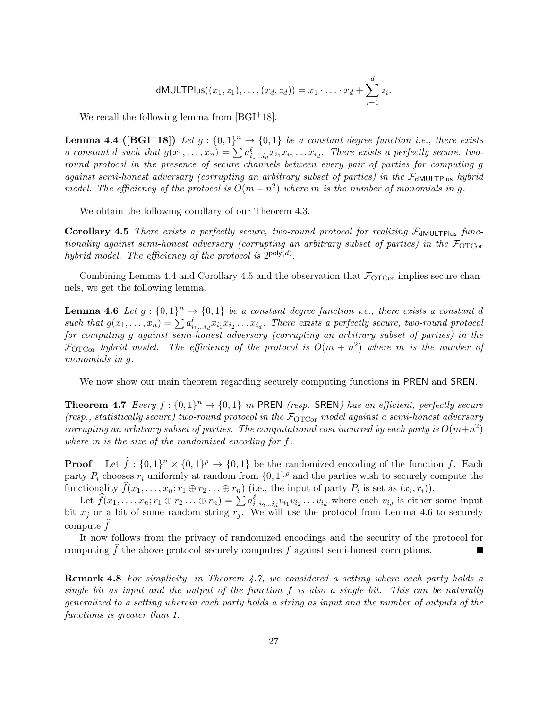dMULTPlus
$$
((x_1, z_1), \ldots, (x_d, z_d)) = x_1 \cdot \ldots \cdot x_d + \sum_{i=1}^d z_i
$$
.

We recall the following lemma from  $[{\rm B}G I^+18]$ .

**Lemma 4.4 ([BGI<sup>+</sup>18])** Let  $g: \{0,1\}^n \to \{0,1\}$  be a constant degree function i.e., there exists a constant d such that  $g(x_1,...,x_n) = \sum a_{i_1...i_d}^{\ell} x_{i_1} x_{i_2} ... x_{i_d}$ . There exists a perfectly secure, tworound protocol in the presence of secure channels between every pair of parties for computing g against semi-honest adversary (corrupting an arbitrary subset of parties) in the  $\mathcal{F}_{dMULTP|us}$  hybrid model. The efficiency of the protocol is  $O(m + n^2)$  where m is the number of monomials in g.

We obtain the following corollary of our Theorem 4.3.

**Corollary 4.5** There exists a perfectly secure, two-round protocol for realizing  $\mathcal{F}_{dMULTP|us}$  functionality against semi-honest adversary (corrupting an arbitrary subset of parties) in the  $\mathcal{F}_{\text{OTCor}}$ hybrid model. The efficiency of the protocol is  $2^{poly(d)}$ .

Combining Lemma 4.4 and Corollary 4.5 and the observation that  $\mathcal{F}_{\text{OTCor}}$  implies secure channels, we get the following lemma.

**Lemma 4.6** Let  $g: \{0,1\}^n \to \{0,1\}$  be a constant degree function i.e., there exists a constant d such that  $g(x_1,...,x_n) = \sum a_{i_1...i_d}^{\ell} x_{i_1} x_{i_2} ... x_{i_d}$ . There exists a perfectly secure, two-round protocol for computing g against semi-honest adversary (corrupting an arbitrary subset of parties) in the  $\mathcal{F}_{\text{OTCor}}$  hybrid model. The efficiency of the protocol is  $O(m+n^2)$  where m is the number of monomials in g.

We now show our main theorem regarding securely computing functions in PREN and SREN.

**Theorem 4.7** Every  $f : \{0,1\}^n \to \{0,1\}$  in PREN (resp. SREN) has an efficient, perfectly secure (resp., statistically secure) two-round protocol in the  $\mathcal{F}_{\text{OTCor}}$  model against a semi-honest adversary corrupting an arbitrary subset of parties. The computational cost incurred by each party is  $O(m+n^2)$ where m is the size of the randomized encoding for f.

**Proof** Let  $\hat{f}$ :  $\{0, 1\}^n \times \{0, 1\}^p \rightarrow \{0, 1\}$  be the randomized encoding of the function f. Each party  $P_i$  chooses  $r_i$  uniformly at random from  $\{0,1\}^{\rho}$  and the parties wish to securely compute the functionality  $f(x_1, \ldots, x_n; r_1 \oplus r_2 \ldots \oplus r_n)$  (i.e., the input of party  $P_i$  is set as  $(x_i, r_i)$ ).

Let  $\widehat{f}(x_1, \ldots, x_n; r_1 \oplus r_2 \ldots \oplus r_n) = \sum a_{i_1 i_2 \ldots i_d}^{\ell} v_{i_1} v_{i_2} \ldots v_{i_d}$  where each  $v_{i_d}$  is either some input bit  $x_j$  or a bit of some random string  $r_j$ . We will use the protocol from Lemma 4.6 to securely compute  $f$ .

It now follows from the privacy of randomized encodings and the security of the protocol for computing  $\widehat{f}$  the above protocol securely computes f against semi-honest corruptions. **The Second Service** 

Remark 4.8 For simplicity, in Theorem 4.7, we considered a setting where each party holds a single bit as input and the output of the function f is also a single bit. This can be naturally generalized to a setting wherein each party holds a string as input and the number of outputs of the functions is greater than 1.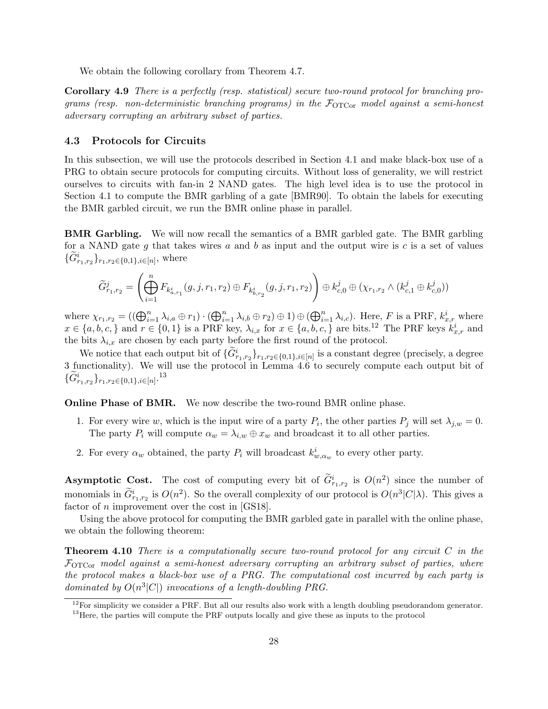We obtain the following corollary from Theorem 4.7.

Corollary 4.9 There is a perfectly (resp. statistical) secure two-round protocol for branching programs (resp. non-deterministic branching programs) in the  $\mathcal{F}_{\text{OTCor}}$  model against a semi-honest adversary corrupting an arbitrary subset of parties.

#### 4.3 Protocols for Circuits

In this subsection, we will use the protocols described in Section 4.1 and make black-box use of a PRG to obtain secure protocols for computing circuits. Without loss of generality, we will restrict ourselves to circuits with fan-in 2 NAND gates. The high level idea is to use the protocol in Section 4.1 to compute the BMR garbling of a gate [BMR90]. To obtain the labels for executing the BMR garbled circuit, we run the BMR online phase in parallel.

**BMR Garbling.** We will now recall the semantics of a BMR garbled gate. The BMR garbling for a NAND gate  $g$  that takes wires  $a$  and  $b$  as input and the output wire is  $c$  is a set of values  $\{\widetilde{G}_{r_1,r_2}^i\}_{r_1,r_2\in\{0,1\}, i\in[n]},$  where

$$
\widetilde{G}_{r_1,r_2}^j = \left( \bigoplus_{i=1}^n F_{k_{a,r_1}^i}(g,j,r_1,r_2) \oplus F_{k_{b,r_2}^i}(g,j,r_1,r_2) \right) \oplus k_{c,0}^j \oplus (\chi_{r_1,r_2} \wedge (k_{c,1}^j \oplus k_{c,0}^j))
$$

where  $\chi_{r_1,r_2} = ((\bigoplus_{i=1}^n \lambda_{i,a} \oplus r_1) \cdot (\bigoplus_{i=1}^n \lambda_{i,b} \oplus r_2) \oplus 1) \oplus (\bigoplus_{i=1}^n \lambda_{i,c})$ . Here, F is a PRF,  $k_{x,r}^i$  where  $x \in \{a, b, c, \}$  and  $r \in \{0, 1\}$  is a PRF key,  $\lambda_{i,x}$  for  $x \in \{a, b, c, \}$  are bits.<sup>12</sup> The PRF keys  $k_{x,r}^i$  and the bits  $\lambda_{i,x}$  are chosen by each party before the first round of the protocol.

We notice that each output bit of  $\{\widetilde{G}_{r_1,r_2}^i\}_{r_1,r_2 \in \{0,1\}, i \in [n]}$  is a constant degree (precisely, a degree 3 functionality). We will use the protocol in Lemma 4.6 to securely compute each output bit of  $\{\widetilde{G}_{r_{1},r_{2}}^{i}\}_{r_{1},r_{2}\in\{0,1\},i\in[n]}.^{13}$ 

**Online Phase of BMR.** We now describe the two-round BMR online phase.

- 1. For every wire w, which is the input wire of a party  $P_i$ , the other parties  $P_j$  will set  $\lambda_{j,w} = 0$ . The party  $P_i$  will compute  $\alpha_w = \lambda_{i,w} \oplus x_w$  and broadcast it to all other parties.
- 2. For every  $\alpha_w$  obtained, the party  $P_i$  will broadcast  $k_{w,\alpha_w}^i$  to every other party.

**Asymptotic Cost.** The cost of computing every bit of  $\tilde{G}_{r_1,r_2}^i$  is  $O(n^2)$  since the number of monomials in  $\widetilde{G}_{r_1,r_2}^i$  is  $O(n^2)$ . So the overall complexity of our protocol is  $O(n^3|C|\lambda)$ . This gives a factor of *n* improvement over the cost in [GS18].

Using the above protocol for computing the BMR garbled gate in parallel with the online phase, we obtain the following theorem:

**Theorem 4.10** There is a computationally secure two-round protocol for any circuit  $C$  in the  $\mathcal{F}_{\text{OTCor}}$  model against a semi-honest adversary corrupting an arbitrary subset of parties, where the protocol makes a black-box use of a PRG. The computational cost incurred by each party is dominated by  $O(n^3|C|)$  invocations of a length-doubling PRG.

 $12$ For simplicity we consider a PRF. But all our results also work with a length doubling pseudorandom generator.

<sup>&</sup>lt;sup>13</sup>Here, the parties will compute the PRF outputs locally and give these as inputs to the protocol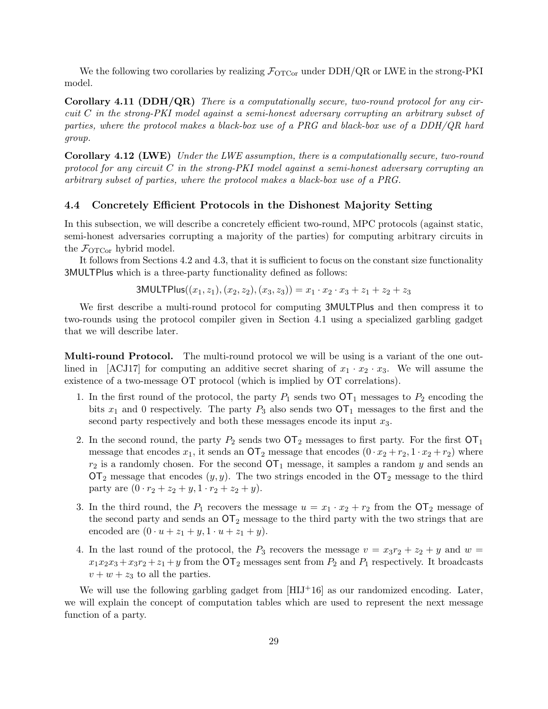We the following two corollaries by realizing  $\mathcal{F}_{\text{OTCor}}$  under DDH/QR or LWE in the strong-PKI model.

Corollary 4.11 (DDH/QR) There is a computationally secure, two-round protocol for any circuit C in the strong-PKI model against a semi-honest adversary corrupting an arbitrary subset of parties, where the protocol makes a black-box use of a PRG and black-box use of a DDH/QR hard group.

Corollary 4.12 (LWE) Under the LWE assumption, there is a computationally secure, two-round protocol for any circuit C in the strong-PKI model against a semi-honest adversary corrupting an arbitrary subset of parties, where the protocol makes a black-box use of a PRG.

#### 4.4 Concretely Efficient Protocols in the Dishonest Majority Setting

In this subsection, we will describe a concretely efficient two-round, MPC protocols (against static, semi-honest adversaries corrupting a majority of the parties) for computing arbitrary circuits in the  $\mathcal{F}_{\text{OTCor}}$  hybrid model.

It follows from Sections 4.2 and 4.3, that it is sufficient to focus on the constant size functionality 3MULTPlus which is a three-party functionality defined as follows:

3MULTPlus $((x_1, z_1), (x_2, z_2), (x_3, z_3)) = x_1 \cdot x_2 \cdot x_3 + z_1 + z_2 + z_3$ 

We first describe a multi-round protocol for computing 3MULTPlus and then compress it to two-rounds using the protocol compiler given in Section 4.1 using a specialized garbling gadget that we will describe later.

Multi-round Protocol. The multi-round protocol we will be using is a variant of the one outlined in [ACJ17] for computing an additive secret sharing of  $x_1 \cdot x_2 \cdot x_3$ . We will assume the existence of a two-message OT protocol (which is implied by OT correlations).

- 1. In the first round of the protocol, the party  $P_1$  sends two  $\mathsf{OT}_1$  messages to  $P_2$  encoding the bits  $x_1$  and 0 respectively. The party  $P_3$  also sends two  $\overline{OT}_1$  messages to the first and the second party respectively and both these messages encode its input  $x_3$ .
- 2. In the second round, the party  $P_2$  sends two  $\sigma T_2$  messages to first party. For the first  $\sigma T_1$ message that encodes  $x_1$ , it sends an  $\overline{OT}_2$  message that encodes  $(0 \cdot x_2 + r_2, 1 \cdot x_2 + r_2)$  where  $r_2$  is a randomly chosen. For the second  $\mathsf{OT}_1$  message, it samples a random y and sends an  $\overline{OT}_2$  message that encodes  $(y, y)$ . The two strings encoded in the  $\overline{OT}_2$  message to the third party are  $(0 \cdot r_2 + z_2 + y, 1 \cdot r_2 + z_2 + y).$
- 3. In the third round, the  $P_1$  recovers the message  $u = x_1 \cdot x_2 + r_2$  from the  $\overline{OT}_2$  message of the second party and sends an  $\sigma T_2$  message to the third party with the two strings that are encoded are  $(0 \cdot u + z_1 + y, 1 \cdot u + z_1 + y).$
- 4. In the last round of the protocol, the  $P_3$  recovers the message  $v = x_3r_2 + z_2 + y$  and  $w =$  $x_1x_2x_3 + x_3x_2 + z_1 + y$  from the  $\overline{\text{OT}}_2$  messages sent from  $P_2$  and  $P_1$  respectively. It broadcasts  $v + w + z_3$  to all the parties.

We will use the following garbling gadget from  $[HIJ^+16]$  as our randomized encoding. Later, we will explain the concept of computation tables which are used to represent the next message function of a party.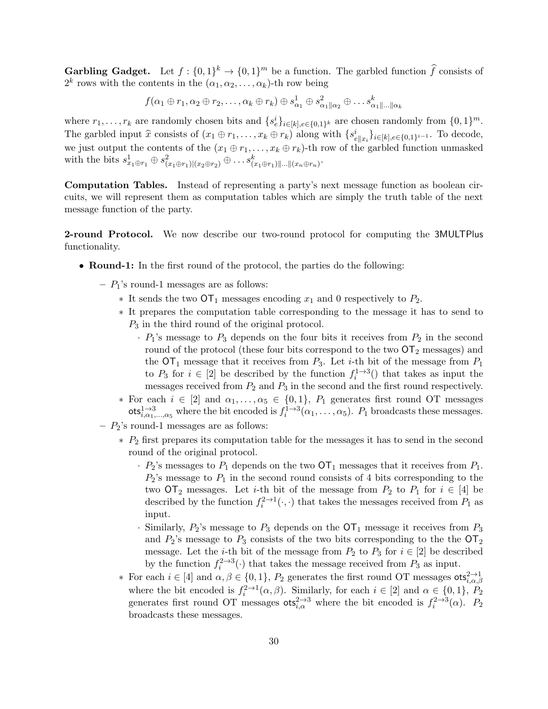**Garbling Gadget.** Let  $f : \{0,1\}^k \to \{0,1\}^m$  be a function. The garbled function  $\hat{f}$  consists of  $2^k$  rows with the contents in the  $(\alpha_1, \alpha_2, \ldots, \alpha_k)$ -th row being

 $f(\alpha_1 \oplus r_1, \alpha_2 \oplus r_2, \ldots, \alpha_k \oplus r_k) \oplus s^1_{\alpha_1} \oplus s^2_{\alpha_1 \parallel \alpha_2} \oplus \ldots s^k_{\alpha_1 \parallel \ldots \parallel \alpha_k}$ 

where  $r_1, \ldots, r_k$  are randomly chosen bits and  $\{s_e^i\}_{i \in [k], e \in \{0,1\}^k}$  are chosen randomly from  $\{0,1\}^m$ . The garbled input  $\hat{x}$  consists of  $(x_1 \oplus r_1, \ldots, x_k \oplus r_k)$  along with  $\{s_{e||x_i}^i\}_{i\in[k],e\in\{0,1\}^{i-1}}$ . To decode, we just output the contents of the  $(x_1 \oplus r_1, \ldots, x_k \oplus r_k)$ -th row of the garbled function unmasked with the bits  $s^1_{x_1 \oplus r_1} \oplus s^2_{(x_1 \oplus r_1)|(x_2 \oplus r_2)} \oplus \ldots s^k_{(x_1 \oplus r_1)||\ldots||(x_n \oplus r_n)}$ .

Computation Tables. Instead of representing a party's next message function as boolean circuits, we will represent them as computation tables which are simply the truth table of the next message function of the party.

2-round Protocol. We now describe our two-round protocol for computing the 3MULTPlus functionality.

- Round-1: In the first round of the protocol, the parties do the following:
	- $P_1$ 's round-1 messages are as follows:
		- ∗ It sends the two  $\text{OT}_1$  messages encoding  $x_1$  and 0 respectively to  $P_2$ .
		- ∗ It prepares the computation table corresponding to the message it has to send to P<sup>3</sup> in the third round of the original protocol.
			- $\cdot$  P<sub>1</sub>'s message to P<sub>3</sub> depends on the four bits it receives from P<sub>2</sub> in the second round of the protocol (these four bits correspond to the two  $\text{OT}_2$  messages) and the  $\overline{OT}_1$  message that it receives from  $P_3$ . Let *i*-th bit of the message from  $P_1$ to  $P_3$  for  $i \in [2]$  be described by the function  $f_i^{1 \to 3}$  that takes as input the messages received from  $P_2$  and  $P_3$  in the second and the first round respectively.
		- $\ast$  For each  $i \in [2]$  and  $\alpha_1, \ldots, \alpha_5 \in \{0, 1\}, P_1$  generates first round OT messages  $\textsf{ots}_{i,\alpha_1,\dots,\alpha_5}^{1\to 3}$  where the bit encoded is  $f_i^{1\to 3}(\alpha_1,\dots,\alpha_5)$ .  $P_1$  broadcasts these messages.
	- $P_2$ 's round-1 messages are as follows:
		- $*$  P<sub>2</sub> first prepares its computation table for the messages it has to send in the second round of the original protocol.
			- $\cdot$  P<sub>2</sub>'s messages to P<sub>1</sub> depends on the two OT<sub>1</sub> messages that it receives from P<sub>1</sub>.  $P_2$ 's message to  $P_1$  in the second round consists of 4 bits corresponding to the two  $\text{OT}_2$  messages. Let *i*-th bit of the message from  $P_2$  to  $P_1$  for  $i \in [4]$  be described by the function  $f_i^{2\to 1}(\cdot,\cdot)$  that takes the messages received from  $P_1$  as input.
			- Similarly,  $P_2$ 's message to  $P_3$  depends on the  $\sigma$  $\Gamma_1$  message it receives from  $P_3$ and  $P_2$ 's message to  $P_3$  consists of the two bits corresponding to the the  $\text{OT}_2$ message. Let the *i*-th bit of the message from  $P_2$  to  $P_3$  for  $i \in [2]$  be described by the function  $f_i^{2\to 3}(\cdot)$  that takes the message received from  $P_3$  as input.
		- $\ast$  For each  $i \in [4]$  and  $\alpha, \beta \in \{0, 1\}, P_2$  generates the first round OT messages ots<sup>2→1</sup><sub>*i*,α,β</sub> where the bit encoded is  $f_i^{2\to 1}(\alpha, \beta)$ . Similarly, for each  $i \in [2]$  and  $\alpha \in \{0, 1\}$ ,  $P_2$ generates first round OT messages  $\text{ots}_{i,\alpha}^{2\to 3}$  where the bit encoded is  $f_i^{2\to 3}(\alpha)$ .  $P_2$ broadcasts these messages.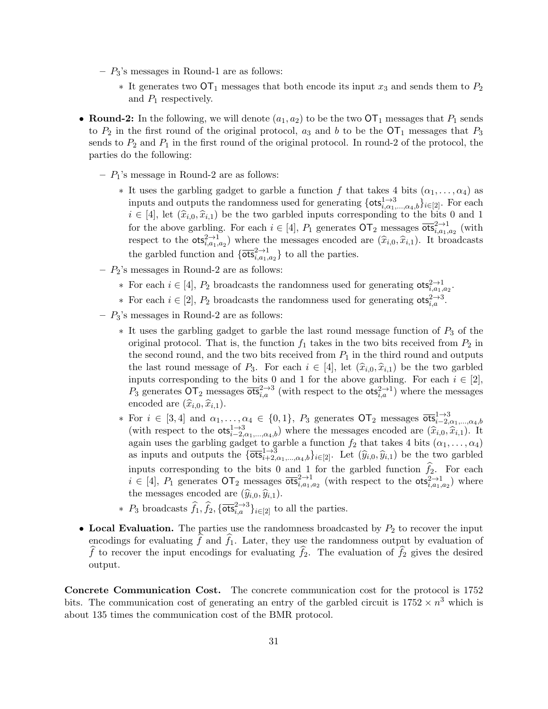- $-P_3$ 's messages in Round-1 are as follows:
	- $*$  It generates two  $\text{OT}_1$  messages that both encode its input  $x_3$  and sends them to  $P_2$ and  $P_1$  respectively.
- Round-2: In the following, we will denote  $(a_1, a_2)$  to be the two  $\mathsf{OT}_1$  messages that  $P_1$  sends to  $P_2$  in the first round of the original protocol,  $a_3$  and b to be the  $\text{OT}_1$  messages that  $P_3$ sends to  $P_2$  and  $P_1$  in the first round of the original protocol. In round-2 of the protocol, the parties do the following:
	- $-P_1$ 's message in Round-2 are as follows:
		- $*$  It uses the garbling gadget to garble a function f that takes 4 bits  $(\alpha_1, \ldots, \alpha_4)$  as inputs and outputs the randomness used for generating  $\{\textsf{ots}_{i,\alpha_1,\dots,\alpha_4,b}^{1\to 3}\}_{i\in[2]}$ . For each  $i \in [4]$ , let  $(\widehat{x}_{i,0}, \widehat{x}_{i,1})$  be the two garbled inputs corresponding to the bits 0 and 1 for the above garbling. For each  $i \in [4]$ ,  $P_1$  generates  $\overline{\text{OT}}_2$  messages  $\overline{\text{ot}}_{i,a_1,a_2}^{2\rightarrow 1}$  (with respect to the ots<sup>2→1</sup><sub>i,a<sub>1,a2</sub>) where the messages encoded are  $(\widehat{x}_{i,0}, \widehat{x}_{i,1})$ . It broadcasts</sub> the garbled function and  $\{\overline{\text{ots}}_{i,a_1,a_2}^{2\to1}\}$  to all the parties.
	- $P_2$ 's messages in Round-2 are as follows:
		- ∗ For each  $i \in [4]$ ,  $P_2$  broadcasts the randomness used for generating  $\text{ots}_{i,a_1,a_2}^{2\rightarrow 1}$ .
		- ∗ For each  $i \in [2], P_2$  broadcasts the randomness used for generating  $\text{ots}_{i,a}^{2\rightarrow 3}$ .
	- $P_3$ 's messages in Round-2 are as follows:
		- ∗ It uses the garbling gadget to garble the last round message function of P<sup>3</sup> of the original protocol. That is, the function  $f_1$  takes in the two bits received from  $P_2$  in the second round, and the two bits received from  $P_1$  in the third round and outputs the last round message of  $P_3$ . For each  $i \in [4]$ , let  $(\hat{x}_{i,0}, \hat{x}_{i,1})$  be the two garbled inputs corresponding to the bits 0 and 1 for the above garbling. For each  $i \in [2]$ ,  $P_3$  generates  $OT_2$  messages  $\overline{\text{ots}}_{i,a}^{2\to 3}$  (with respect to the  $\text{ots}_{i,a}^{2\to 1}$ ) where the messages encoded are  $(\widehat{x}_{i,0}, \widehat{x}_{i,1}).$
		- $\ast$  For  $i \in [3, 4]$  and  $\alpha_1, \ldots, \alpha_4 \in \{0, 1\}$ ,  $P_3$  generates OT<sub>2</sub> messages  $\overline{\text{ots}}_{i=2, \alpha_1, \ldots, \alpha_4, b}^{1 \to 3}$ (with respect to the  $\text{ots}_{i-2,\alpha_1,\dots,\alpha_4,b}^{1\to 3}$ ) where the messages encoded are  $(\widehat{x}_{i,0}, \widehat{x}_{i,1})$ . It again uses the garbling gadget to garble a function  $f_2$  that takes 4 bits  $(\alpha_1, \ldots, \alpha_4)$ as inputs and outputs the  $\{\overline{\text{ots}}_{i+2,\alpha_1,\dots,\alpha_4,b}\}_{i\in[2]}$ . Let  $(\widehat{y}_{i,0}, \widehat{y}_{i,1})$  be the two garbled inputs corresponding to the bits 0 and 1 for the garbled function  $f_2$ . For each  $i \in [4], P_1$  generates  $\overline{OT}_2$  messages  $\overline{ots}_{i,a_1,a_2}^{2\to 1}$  (with respect to the  $\overline{ots}_{i,a_1,a_2}^{2\to 1}$ ) where the messages encoded are  $(\widehat{y}_{i,0}, \widehat{y}_{i,1})$ .
		- ∗  $P_3$  broadcasts  $\widehat{f}_1, \widehat{f}_2, \{\overline{\text{ots}}\}_{i,a}^{2\to 3}\}_{i\in [2]}$  to all the parties.
- Local Evaluation. The parties use the randomness broadcasted by  $P_2$  to recover the input encodings for evaluating f and  $f_1$ . Later, they use the randomness output by evaluation of f to recover the input encodings for evaluating  $f_2$ . The evaluation of  $f_2$  gives the desired output.

Concrete Communication Cost. The concrete communication cost for the protocol is 1752 bits. The communication cost of generating an entry of the garbled circuit is  $1752 \times n^3$  which is about 135 times the communication cost of the BMR protocol.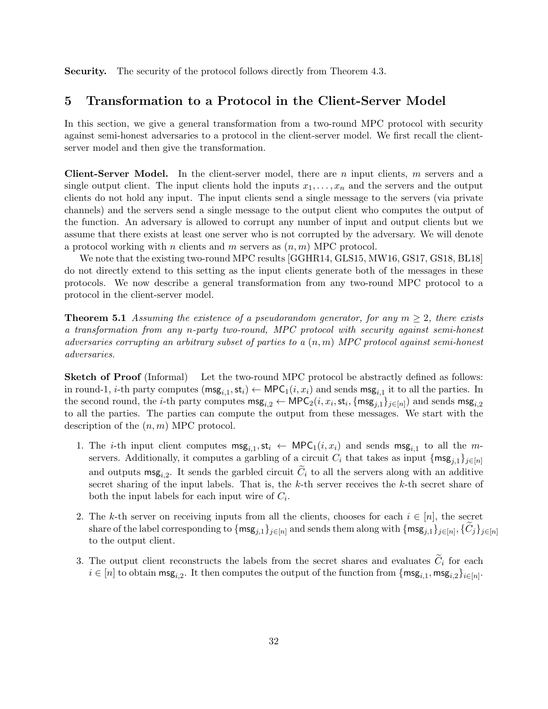Security. The security of the protocol follows directly from Theorem 4.3.

### 5 Transformation to a Protocol in the Client-Server Model

In this section, we give a general transformation from a two-round MPC protocol with security against semi-honest adversaries to a protocol in the client-server model. We first recall the clientserver model and then give the transformation.

Client-Server Model. In the client-server model, there are n input clients, m servers and a single output client. The input clients hold the inputs  $x_1, \ldots, x_n$  and the servers and the output clients do not hold any input. The input clients send a single message to the servers (via private channels) and the servers send a single message to the output client who computes the output of the function. An adversary is allowed to corrupt any number of input and output clients but we assume that there exists at least one server who is not corrupted by the adversary. We will denote a protocol working with n clients and m servers as  $(n, m)$  MPC protocol.

We note that the existing two-round MPC results [GGHR14, GLS15, MW16, GS17, GS18, BL18] do not directly extend to this setting as the input clients generate both of the messages in these protocols. We now describe a general transformation from any two-round MPC protocol to a protocol in the client-server model.

**Theorem 5.1** Assuming the existence of a pseudorandom generator, for any  $m \geq 2$ , there exists a transformation from any n-party two-round, MPC protocol with security against semi-honest adversaries corrupting an arbitrary subset of parties to a  $(n, m)$  MPC protocol against semi-honest adversaries.

Sketch of Proof (Informal) Let the two-round MPC protocol be abstractly defined as follows: in round-1, *i*-th party computes  $(\text{msg}_{i,1}, \text{st}_i) \leftarrow \text{MPC}_1(i, x_i)$  and sends  $\text{msg}_{i,1}$  it to all the parties. In the second round, the *i*-th party computes  $\mathsf{msg}_{i,2} \leftarrow \mathsf{MPC}_2(i, x_i, \mathsf{st}_i, \{\mathsf{msg}_{j,1}\}_{j \in [n]})$  and sends  $\mathsf{msg}_{i,2}$ to all the parties. The parties can compute the output from these messages. We start with the description of the  $(n, m)$  MPC protocol.

- 1. The *i*-th input client computes  $\text{msg}_{i,1}$ ,  $\text{st}_i \leftarrow \text{MPC}_1(i, x_i)$  and sends  $\text{msg}_{i,1}$  to all the *m*servers. Additionally, it computes a garbling of a circuit  $C_i$  that takes as input  $\{\textsf{msg}_{i,1}\}_{j\in[n]}$ and outputs  $\text{msg}_{i,2}$ . It sends the garbled circuit  $C_i$  to all the servers along with an additive secret sharing of the input labels. That is, the  $k$ -th server receives the  $k$ -th secret share of both the input labels for each input wire of  $C_i$ .
- 2. The k-th server on receiving inputs from all the clients, chooses for each  $i \in [n]$ , the secret share of the label corresponding to  $\{\mathsf{msg}_{j,1}\}_{j\in[n]}$  and sends them along with  $\{\mathsf{msg}_{j,1}\}_{j\in[n]}, \{C_j\}_{j\in[n]}$ to the output client.
- 3. The output client reconstructs the labels from the secret shares and evaluates  $\tilde{C}_i$  for each  $i \in [n]$  to obtain  $\textsf{msg}_{i,2}$ . It then computes the output of the function from  $\{\textsf{msg}_{i,1},\textsf{msg}_{i,2}\}_{i \in [n]}.$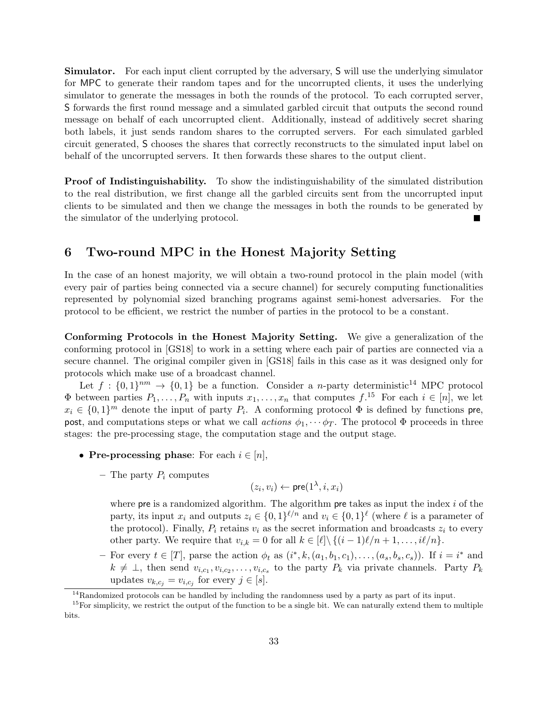Simulator. For each input client corrupted by the adversary, S will use the underlying simulator for MPC to generate their random tapes and for the uncorrupted clients, it uses the underlying simulator to generate the messages in both the rounds of the protocol. To each corrupted server, S forwards the first round message and a simulated garbled circuit that outputs the second round message on behalf of each uncorrupted client. Additionally, instead of additively secret sharing both labels, it just sends random shares to the corrupted servers. For each simulated garbled circuit generated, S chooses the shares that correctly reconstructs to the simulated input label on behalf of the uncorrupted servers. It then forwards these shares to the output client.

Proof of Indistinguishability. To show the indistinguishability of the simulated distribution to the real distribution, we first change all the garbled circuits sent from the uncorrupted input clients to be simulated and then we change the messages in both the rounds to be generated by the simulator of the underlying protocol.

## 6 Two-round MPC in the Honest Majority Setting

In the case of an honest majority, we will obtain a two-round protocol in the plain model (with every pair of parties being connected via a secure channel) for securely computing functionalities represented by polynomial sized branching programs against semi-honest adversaries. For the protocol to be efficient, we restrict the number of parties in the protocol to be a constant.

Conforming Protocols in the Honest Majority Setting. We give a generalization of the conforming protocol in [GS18] to work in a setting where each pair of parties are connected via a secure channel. The original compiler given in [GS18] fails in this case as it was designed only for protocols which make use of a broadcast channel.

Let  $f: \{0,1\}^{nm} \to \{0,1\}$  be a function. Consider a *n*-party deterministic<sup>14</sup> MPC protocol  $\Phi$  between parties  $P_1, \ldots, P_n$  with inputs  $x_1, \ldots, x_n$  that computes  $f^{15}$ . For each  $i \in [n]$ , we let  $x_i \in \{0,1\}^m$  denote the input of party  $P_i$ . A conforming protocol  $\Phi$  is defined by functions pre, post, and computations steps or what we call *actions*  $\phi_1, \dots, \phi_T$ . The protocol  $\Phi$  proceeds in three stages: the pre-processing stage, the computation stage and the output stage.

- Pre-processing phase: For each  $i \in [n]$ ,
	- The party  $P_i$  computes

$$
(z_i, v_i) \leftarrow \mathsf{pre}(1^{\lambda}, i, x_i)
$$

where  $pre$  is a randomized algorithm. The algorithm  $pre$  takes as input the index i of the party, its input  $x_i$  and outputs  $z_i \in \{0,1\}^{\ell/n}$  and  $v_i \in \{0,1\}^{\ell}$  (where  $\ell$  is a parameter of the protocol). Finally,  $P_i$  retains  $v_i$  as the secret information and broadcasts  $z_i$  to every other party. We require that  $v_{i,k} = 0$  for all  $k \in [\ell] \setminus \{(i-1)\ell/n + 1, \ldots, i\ell/n\}.$ 

- For every  $t \in [T]$ , parse the action  $\phi_t$  as  $(i^*, k, (a_1, b_1, c_1), \ldots, (a_s, b_s, c_s))$ . If  $i = i^*$  and  $k \neq \perp$ , then send  $v_{i,c_1}, v_{i,c_2}, \ldots, v_{i,c_s}$  to the party  $P_k$  via private channels. Party  $P_k$ updates  $v_{k,c_j} = v_{i,c_j}$  for every  $j \in [s]$ .

 $14R$ andomized protocols can be handled by including the randomness used by a party as part of its input.

 $15$  For simplicity, we restrict the output of the function to be a single bit. We can naturally extend them to multiple bits.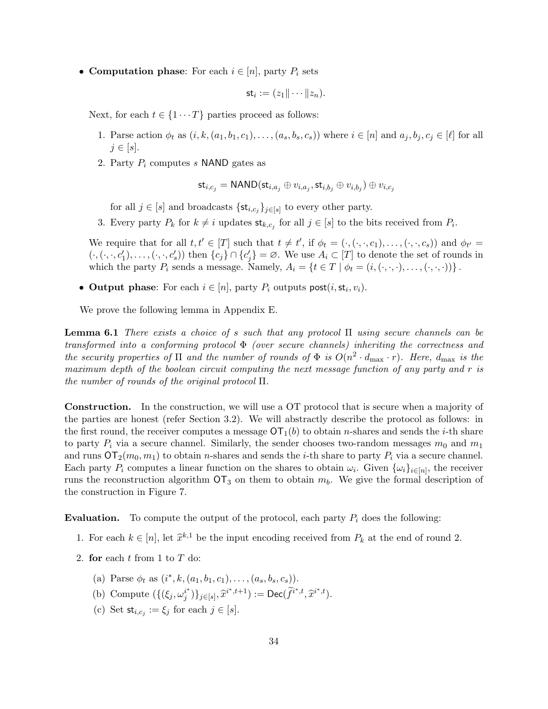• Computation phase: For each  $i \in [n]$ , party  $P_i$  sets

$$
\mathsf{st}_i := (z_1 \| \cdots \| z_n).
$$

Next, for each  $t \in \{1 \cdots T\}$  parties proceed as follows:

- 1. Parse action  $\phi_t$  as  $(i, k, (a_1, b_1, c_1), \ldots, (a_s, b_s, c_s))$  where  $i \in [n]$  and  $a_j, b_j, c_j \in [\ell]$  for all  $j \in [s]$ .
- 2. Party  $P_i$  computes s NAND gates as

$$
\mathsf{st}_{i,c_j} = \mathsf{NAND}(\mathsf{st}_{i,a_j} \oplus v_{i,a_j}, \mathsf{st}_{i,b_j} \oplus v_{i,b_j}) \oplus v_{i,c_j}
$$

for all  $j \in [s]$  and broadcasts  $\{\text{st}_{i,c_j}\}_{j \in [s]}$  to every other party.

3. Every party  $P_k$  for  $k \neq i$  updates  $\mathsf{st}_{k,c_j}$  for all  $j \in [s]$  to the bits received from  $P_i$ .

We require that for all  $t, t' \in [T]$  such that  $t \neq t'$ , if  $\phi_t = (\cdot, (\cdot, \cdot, c_1), \dots, (\cdot, \cdot, c_s))$  and  $\phi_{t'} =$  $(\cdot, (\cdot, \cdot, c'_1), \ldots, (\cdot, \cdot, c'_s))$  then  $\{c_j\} \cap \{c'_j\} = \varnothing$ . We use  $A_i \subset [T]$  to denote the set of rounds in which the party  $P_i$  sends a message. Namely,  $A_i = \{t \in T \mid \phi_t = (i, (\cdot, \cdot, \cdot), \dots, (\cdot, \cdot, \cdot))\}$ .

• Output phase: For each  $i \in [n]$ , party  $P_i$  outputs post $(i, st_i, v_i)$ .

We prove the following lemma in Appendix E.

**Lemma 6.1** There exists a choice of s such that any protocol  $\Pi$  using secure channels can be transformed into a conforming protocol  $\Phi$  (over secure channels) inheriting the correctness and the security properties of  $\Pi$  and the number of rounds of  $\Phi$  is  $O(n^2 \cdot d_{\max} \cdot r)$ . Here,  $d_{\max}$  is the maximum depth of the boolean circuit computing the next message function of any party and r is the number of rounds of the original protocol Π.

Construction. In the construction, we will use a OT protocol that is secure when a majority of the parties are honest (refer Section 3.2). We will abstractly describe the protocol as follows: in the first round, the receiver computes a message  $\mathsf{OT}_1(b)$  to obtain *n*-shares and sends the *i*-th share to party  $P_i$  via a secure channel. Similarly, the sender chooses two-random messages  $m_0$  and  $m_1$ and runs  $\mathsf{OT}_2(m_0, m_1)$  to obtain *n*-shares and sends the *i*-th share to party  $P_i$  via a secure channel. Each party  $P_i$  computes a linear function on the shares to obtain  $\omega_i$ . Given  $\{\omega_i\}_{i\in[n]}$ , the receiver runs the reconstruction algorithm  $\sigma_{3}$  on them to obtain  $m_b$ . We give the formal description of the construction in Figure 7.

**Evaluation.** To compute the output of the protocol, each party  $P_i$  does the following:

- 1. For each  $k \in [n]$ , let  $\hat{x}^{k,1}$  be the input encoding received from  $P_k$  at the end of round 2.
- 2. for each  $t$  from 1 to  $T$  do:
	- (a) Parse  $\phi_t$  as  $(i^*, k, (a_1, b_1, c_1), \ldots, (a_s, b_s, c_s)).$
	- (b) Compute  $(\{(\xi_j, \omega_j^{i^*})\})$  $\{\widetilde{x}^{i^*}\}_{j\in [s]}, \widehat{x}^{i^*,t+1}) := \mathsf{Dec}(\widetilde{f}^{i^*,t}, \widehat{x}^{i^*,t}).$
	- (c) Set  $\mathsf{st}_{i,c_j} := \xi_j$  for each  $j \in [s]$ .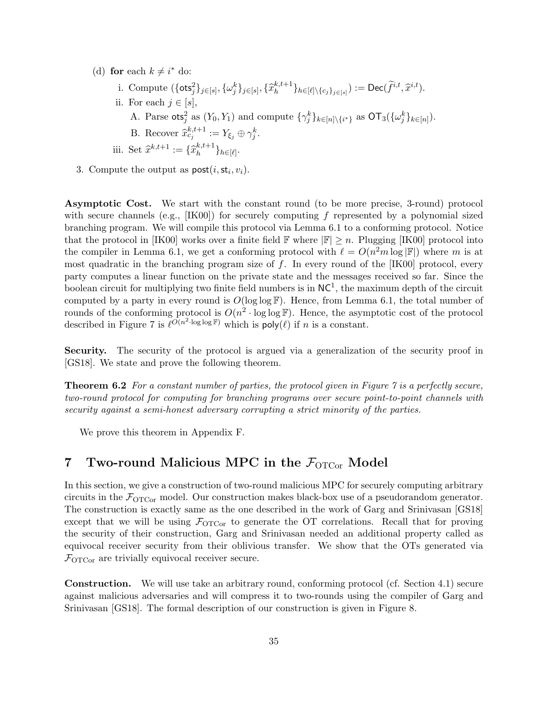- (d) for each  $k \neq i^*$  do:
	- i. Compute  $(\{\text{ots}_j^2\}_{j\in[s]}, {\{\omega_j^k\}_{j\in[s]}}, {\{\hat{x}_h^{k,t+1}\}})$  ${}_{h}^{k,t+1}\}_{h \in [\ell] \setminus {c_j} _{j \in [s]}}) := \mathsf{Dec}(\widetilde{f}^{i,t}, \widehat{x}^{i,t}).$ ii. For each  $j \in [s],$
	- A. Parse ots<sup>2</sup>/<sub>3</sub> as  $(Y_0, Y_1)$  and compute  $\{\gamma_j^k\}_{k \in [n] \setminus \{i^*\}}$  as  $\text{OT}_3(\{\omega_j^k\}_{k \in [n]})$ .
	- B. Recover  $\widehat{x}_{c_j}^{k,t+1} := Y_{\xi_j} \oplus \gamma_j^k$ .
	- iii. Set  $\widehat{x}^{k,t+1} := \{ \widehat{x}_h^{k,t+1} \}$  ${}_{h}^{\kappa,t+1}\}_{h\in[\ell]}$ .
- 3. Compute the output as  $post(i, st_i, v_i)$ .

Asymptotic Cost. We start with the constant round (to be more precise, 3-round) protocol with secure channels (e.g.,  $[K00]$ ) for securely computing f represented by a polynomial sized branching program. We will compile this protocol via Lemma 6.1 to a conforming protocol. Notice that the protocol in [IK00] works over a finite field  $\mathbb{F}$  where  $|\mathbb{F}| \geq n$ . Plugging [IK00] protocol into the compiler in Lemma 6.1, we get a conforming protocol with  $\ell = O(n^2m \log |\mathbb{F}|)$  where m is at most quadratic in the branching program size of  $f$ . In every round of the  $[K00]$  protocol, every party computes a linear function on the private state and the messages received so far. Since the boolean circuit for multiplying two finite field numbers is in  $NC<sup>1</sup>$ , the maximum depth of the circuit computed by a party in every round is  $O(\log \log F)$ . Hence, from Lemma 6.1, the total number of rounds of the conforming protocol is  $O(n^2 \cdot \log \log \mathbb{F})$ . Hence, the asymptotic cost of the protocol described in Figure 7 is  $\ell^{\tilde{O}(n^2 \cdot \log \log \mathbb{F})}$  which is poly $(\ell)$  if n is a constant.

Security. The security of the protocol is argued via a generalization of the security proof in [GS18]. We state and prove the following theorem.

**Theorem 6.2** For a constant number of parties, the protocol given in Figure 7 is a perfectly secure, two-round protocol for computing for branching programs over secure point-to-point channels with security against a semi-honest adversary corrupting a strict minority of the parties.

We prove this theorem in Appendix F.

# 7 Two-round Malicious MPC in the  $\mathcal{F}_{\text{OTCor}}$  Model

In this section, we give a construction of two-round malicious MPC for securely computing arbitrary circuits in the  $\mathcal{F}_{\text{OTCor}}$  model. Our construction makes black-box use of a pseudorandom generator. The construction is exactly same as the one described in the work of Garg and Srinivasan [GS18] except that we will be using  $\mathcal{F}_{\text{OTCor}}$  to generate the OT correlations. Recall that for proving the security of their construction, Garg and Srinivasan needed an additional property called as equivocal receiver security from their oblivious transfer. We show that the OTs generated via  $\mathcal{F}_{\text{OTCor}}$  are trivially equivocal receiver secure.

Construction. We will use take an arbitrary round, conforming protocol (cf. Section 4.1) secure against malicious adversaries and will compress it to two-rounds using the compiler of Garg and Srinivasan [GS18]. The formal description of our construction is given in Figure 8.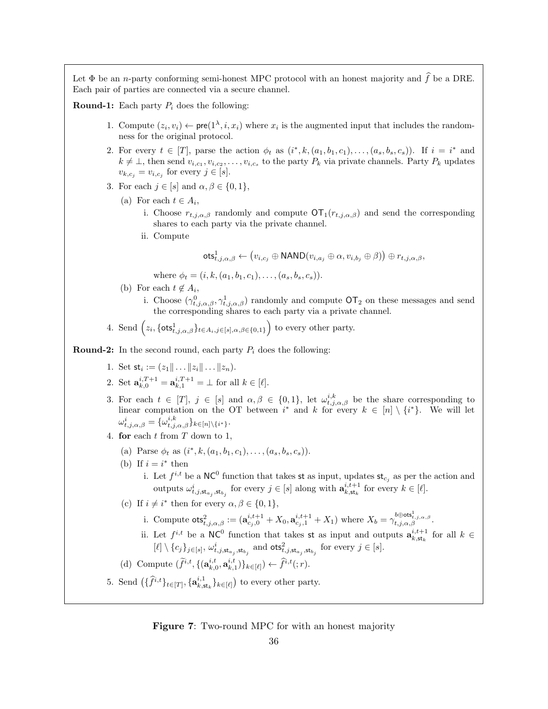Let  $\Phi$  be an *n*-party conforming semi-honest MPC protocol with an honest majority and  $\hat{f}$  be a DRE. Each pair of parties are connected via a secure channel.

**Round-1:** Each party  $P_i$  does the following:

- 1. Compute  $(z_i, v_i) \leftarrow \text{pre}(1^{\lambda}, i, x_i)$  where  $x_i$  is the augmented input that includes the randomness for the original protocol.
- 2. For every  $t \in [T]$ , parse the action  $\phi_t$  as  $(i^*, k, (a_1, b_1, c_1), \ldots, (a_s, b_s, c_s))$ . If  $i = i^*$  and  $k \neq \perp$ , then send  $v_{i,c_1}, v_{i,c_2}, \ldots, v_{i,c_s}$  to the party  $P_k$  via private channels. Party  $P_k$  updates  $v_{k,c_j} = v_{i,c_j}$  for every  $j \in [s]$ .
- 3. For each  $j \in [s]$  and  $\alpha, \beta \in \{0, 1\},\$ 
	- (a) For each  $t \in A_i$ ,
		- i. Choose  $r_{t,j,\alpha,\beta}$  randomly and compute  $\mathsf{OT}_1(r_{t,j,\alpha,\beta})$  and send the corresponding shares to each party via the private channel.
		- ii. Compute

$$
\mathsf{ots}^1_{t,j,\alpha,\beta} \leftarrow (v_{i,c_j} \oplus \mathsf{NAND}(v_{i,a_j} \oplus \alpha, v_{i,b_j} \oplus \beta)) \oplus r_{t,j,\alpha,\beta},
$$

where  $\phi_t = (i, k, (a_1, b_1, c_1), \ldots, (a_s, b_s, c_s)).$ 

- (b) For each  $t \notin A_i$ ,
	- i. Choose  $(\gamma_{t,j,\alpha,\beta}^0, \gamma_{t,j,\alpha,\beta}^1)$  randomly and compute  $\textsf{OT}_2$  on these messages and send the corresponding shares to each party via a private channel.
- 4. Send  $(z_i, {\text{ots}}_{t,j,\alpha,\beta}^1_{t \in A_i,j \in [s], \alpha,\beta \in \{0,1\}})$  to every other party.

**Round-2:** In the second round, each party  $P_i$  does the following:

1. Set 
$$
\mathsf{st}_i := (z_1 \| \dots \| z_i \| \dots \| z_n).
$$

2. Set 
$$
\mathbf{a}_{k,0}^{i,T+1} = \mathbf{a}_{k,1}^{i,T+1} = \perp
$$
 for all  $k \in [\ell]$ .

- 3. For each  $t \in [T], j \in [s]$  and  $\alpha, \beta \in \{0,1\}$ , let  $\omega_{t,j,\alpha,\beta}^{i,k}$  be the share corresponding to linear computation on the OT between  $i^*$  and k for every  $k \in [n] \setminus \{i^*\}$ . We will let  $\omega^i_{t,j,\alpha,\beta} = \{\omega^{i,k}_{t,j,\alpha,\beta}\}_{k \in [n] \setminus \{i^*\}}.$
- 4. for each t from T down to 1,
	- (a) Parse  $\phi_t$  as  $(i^*, k, (a_1, b_1, c_1), \ldots, (a_s, b_s, c_s)).$
	- (b) If  $i = i^*$  then
		- i. Let  $f^{i,t}$  be a NC<sup>0</sup> function that takes st as input, updates  $st_{c_j}$  as per the action and outputs  $\omega_{t,j,\mathbf{st}_{a_j},\mathbf{st}_{b_j}}^i$  for every  $j \in [s]$  along with  $\mathbf{a}_{k,\mathbf{st}_k}^{i,t+1}$  for every  $k \in [\ell]$ .
	- (c) If  $i \neq i^*$  then for every  $\alpha, \beta \in \{0, 1\},\$ 
		- i. Compute  $\text{ots}_{t,j,\alpha,\beta}^2 := (\mathbf{a}_{c_j,0}^{i,t+1} + X_0, \mathbf{a}_{c_j,1}^{i,t+1} + X_1)$  where  $X_b = \gamma_{t,j,\alpha,\beta}^{b \oplus \text{ots}_{t,j,\alpha,\beta}}$ .
		- ii. Let  $f^{i,t}$  be a NC<sup>0</sup> function that takes st as input and outputs  $\mathbf{a}_{k,\text{st}_k}^{i,t+1}$  for all  $k \in$  $[\ell] \setminus \{c_j\}_{j \in [s]}, \omega^i_{t,j, \mathsf{st}_{a_j}, \mathsf{st}_{b_j}} \text{ and } \mathsf{ots}^2_{t,j, \mathsf{st}_{a_j}, \mathsf{st}_{b_j}} \text{ for every } j \in [s].$

(d) Compute 
$$
(\widetilde{f}^{i,t}, \{(\mathbf{a}_{k,0}^{i,t}, \mathbf{a}_{k,1}^{i,t})\}_{k \in [\ell]}) \leftarrow \widehat{f}^{i,t}(:,r)
$$
.

5. Send  $(\{\hat{f}^{i,t}\}_{t\in[T]}, \{a^{i,1}_{k, \text{st}_k}\}_{k\in[\ell]})$  to every other party.

Figure 7: Two-round MPC for with an honest majority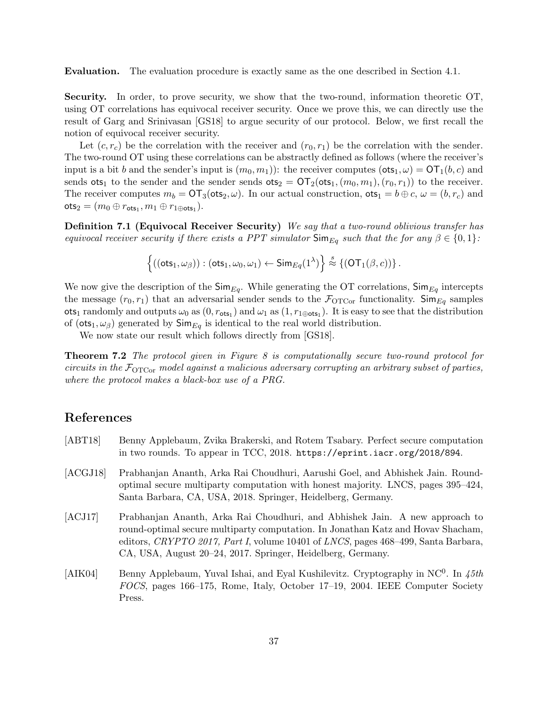Evaluation. The evaluation procedure is exactly same as the one described in Section 4.1.

Security. In order, to prove security, we show that the two-round, information theoretic OT, using OT correlations has equivocal receiver security. Once we prove this, we can directly use the result of Garg and Srinivasan [GS18] to argue security of our protocol. Below, we first recall the notion of equivocal receiver security.

Let  $(c, r_c)$  be the correlation with the receiver and  $(r_0, r_1)$  be the correlation with the sender. The two-round OT using these correlations can be abstractly defined as follows (where the receiver's input is a bit b and the sender's input is  $(m_0, m_1)$ : the receiver computes  $(\text{ots}_1, \omega) = \text{OT}_1(b, c)$  and sends ots<sub>1</sub> to the sender and the sender sends ots<sub>2</sub> =  $\overline{OT}_2(\overline{ots}_1, (m_0, m_1), (r_0, r_1))$  to the receiver. The receiver computes  $m_b = \text{OT}_3(\text{ots}_2, \omega)$ . In our actual construction,  $\text{ots}_1 = b \oplus c$ ,  $\omega = (b, r_c)$  and  ${\sf ots}_2=(m_0 \oplus r_{{\sf ots}_1},m_1 \oplus r_{1\oplus{\sf ots}_1}).$ 

Definition 7.1 (Equivocal Receiver Security) We say that a two-round oblivious transfer has equivocal receiver security if there exists a PPT simulator  $\textsf{Sim}_{Eq}$  such that the for any  $\beta \in \{0,1\}$ :

$$
\left\{\left((\text{ots}_1,\omega_\beta)\right): (\text{ots}_1,\omega_0,\omega_1)\leftarrow \text{Sim}_{Eq}(1^\lambda)\right\} \stackrel{s}{\approx} \left\{\left(\text{OT}_1(\beta,c)\right)\right\}.
$$

We now give the description of the  $\mathsf{Sim}_{Eq}$ . While generating the OT correlations,  $\mathsf{Sim}_{Eq}$  intercepts the message  $(r_0, r_1)$  that an adversarial sender sends to the  $\mathcal{F}_{\text{OTCor}}$  functionality. Sim<sub>Eq</sub> samples ots<sub>1</sub> randomly and outputs  $\omega_0$  as  $(0, r_{\text{ots}_1})$  and  $\omega_1$  as  $(1, r_{1\oplus \text{ots}_1})$ . It is easy to see that the distribution of (ots<sub>1</sub>,  $\omega_{\beta}$ ) generated by  $\mathsf{Sim}_{Eq}$  is identical to the real world distribution.

We now state our result which follows directly from [GS18].

Theorem 7.2 The protocol given in Figure 8 is computationally secure two-round protocol for circuits in the  $\mathcal{F}_{\text{OTCor}}$  model against a malicious adversary corrupting an arbitrary subset of parties, where the protocol makes a black-box use of a PRG.

## References

- [ABT18] Benny Applebaum, Zvika Brakerski, and Rotem Tsabary. Perfect secure computation in two rounds. To appear in TCC, 2018. https://eprint.iacr.org/2018/894.
- [ACGJ18] Prabhanjan Ananth, Arka Rai Choudhuri, Aarushi Goel, and Abhishek Jain. Roundoptimal secure multiparty computation with honest majority. LNCS, pages 395–424, Santa Barbara, CA, USA, 2018. Springer, Heidelberg, Germany.
- [ACJ17] Prabhanjan Ananth, Arka Rai Choudhuri, and Abhishek Jain. A new approach to round-optimal secure multiparty computation. In Jonathan Katz and Hovav Shacham, editors, CRYPTO 2017, Part I, volume 10401 of LNCS, pages 468–499, Santa Barbara, CA, USA, August 20–24, 2017. Springer, Heidelberg, Germany.
- [AIK04] Benny Applebaum, Yuval Ishai, and Eyal Kushilevitz. Cryptography in NC<sup>0</sup>. In  $45th$ FOCS, pages 166–175, Rome, Italy, October 17–19, 2004. IEEE Computer Society Press.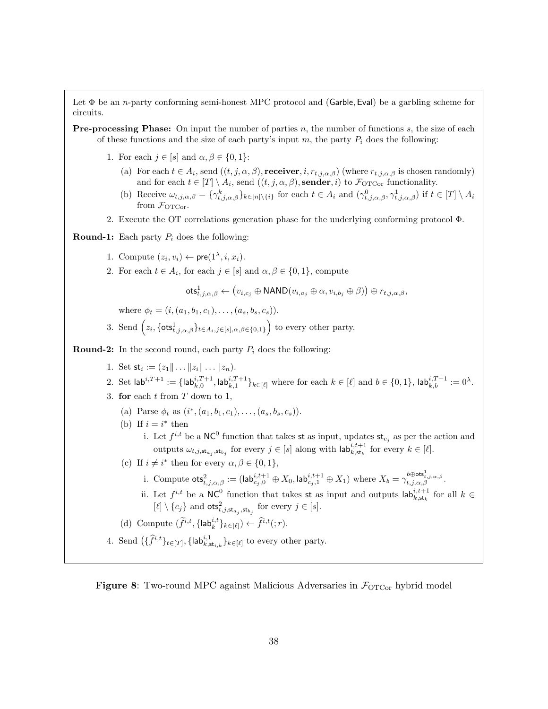Let  $\Phi$  be an *n*-party conforming semi-honest MPC protocol and (Garble, Eval) be a garbling scheme for circuits.

- **Pre-processing Phase:** On input the number of parties  $n$ , the number of functions  $s$ , the size of each of these functions and the size of each party's input m, the party  $P_i$  does the following:
	- 1. For each  $j \in [s]$  and  $\alpha, \beta \in \{0, 1\}$ :
		- (a) For each  $t \in A_i$ , send  $((t, j, \alpha, \beta)$ , **receiver**,  $i, r_{t, j, \alpha, \beta}$  (where  $r_{t, j, \alpha, \beta}$  is chosen randomly) and for each  $t \in [T] \setminus A_i$ , send  $((t, j, \alpha, \beta), \text{sender}, i)$  to  $\mathcal{F}_{\text{OTCor}}$  functionality.
		- (b) Receive  $\omega_{t,j,\alpha,\beta} = {\gamma_{t,j,\alpha,\beta}^k}_{k\in[n]\setminus\{i\}}$  for each  $t \in A_i$  and  $(\gamma_{t,j,\alpha,\beta}^0, \gamma_{t,j,\alpha,\beta}^1)$  if  $t \in [T] \setminus A_i$ from  $\mathcal{F}_{\text{OTCor}}$ .
	- 2. Execute the OT correlations generation phase for the underlying conforming protocol Φ.

**Round-1:** Each party  $P_i$  does the following:

- 1. Compute  $(z_i, v_i) \leftarrow \text{pre}(1^{\lambda}, i, x_i)$ .
- 2. For each  $t \in A_i$ , for each  $j \in [s]$  and  $\alpha, \beta \in \{0, 1\}$ , compute

$$
\mathsf{ots}^1_{t,j,\alpha,\beta} \leftarrow (v_{i,c_j} \oplus \mathsf{NAND}(v_{i,a_j} \oplus \alpha, v_{i,b_j} \oplus \beta)) \oplus r_{t,j,\alpha,\beta},
$$

where  $\phi_t = (i, (a_1, b_1, c_1), \ldots, (a_s, b_s, c_s)).$ 

3. Send  $(z_i, {\{\text{ots}\}}_{t,j,\alpha,\beta\}_{t\in A_i,j\in [s],\alpha,\beta\in\{0,1\}})$  to every other party.

**Round-2:** In the second round, each party  $P_i$  does the following:

- 1. Set  $\mathsf{st}_i := (z_1 \| \dots \| z_i \| \dots \| z_n).$
- 2. Set  $\mathsf{lab}^{i,T+1} := \{\mathsf{lab}_{k,0}^{i,T+1}, \mathsf{lab}_{k,1}^{i,T+1}\}_{k \in [\ell]}$  where for each  $k \in [\ell]$  and  $b \in \{0,1\}$ ,  $\mathsf{lab}_{k,b}^{i,T+1} := 0^\lambda$ .
- 3. for each  $t$  from  $T$  down to 1,
	- (a) Parse  $\phi_t$  as  $(i^*, (a_1, b_1, c_1), \ldots, (a_s, b_s, c_s)).$
	- (b) If  $i = i^*$  then

i. Let  $f^{i,t}$  be a NC<sup>0</sup> function that takes st as input, updates  $st_{c_j}$  as per the action and outputs  $\omega_{t,j,\mathsf{st}_{a_j},\mathsf{st}_{b_j}}$  for every  $j \in [s]$  along with  $\mathsf{lab}^{i,t+1}_{k,\mathsf{st}_k}$  for every  $k \in [\ell].$ 

- (c) If  $i \neq i^*$  then for every  $\alpha, \beta \in \{0, 1\},\$ 
	- i. Compute  $\text{ots}_{t,j,\alpha,\beta}^2 := (\textsf{lab}_{c_j,0}^{i,t+1} \oplus X_0, \textsf{lab}_{c_j,1}^{i,t+1} \oplus X_1)$  where  $X_b = \gamma_{t,j,\alpha,\beta}^{b \oplus \text{ots}_{t,j,\alpha,\beta}^1}$ .
	- ii. Let  $f^{i,t}$  be a NC<sup>0</sup> function that takes st as input and outputs lab<sub>k,stk</sub> for all  $k \in$  $[\ell] \setminus \{c_j\}$  and  $\text{ots}_{t,j,\text{st}_{a_j},\text{st}_{b_j}}^2$  for every  $j \in [s]$ .

(d) Compute 
$$
(\widetilde{f}^{i,t}, {\{\mathsf{lab}_k^{i,t}\}}_{k \in [\ell]}) \leftarrow \widehat{f}^{i,t}(:,r)
$$
.

4. Send  $\{\{\hat{f}^{i,t}\}_{t\in[T]}, \{\mathsf{lab}_{k,\mathsf{st}_{i,k}}^{i,1}\}_{k\in[\ell]}$  to every other party.

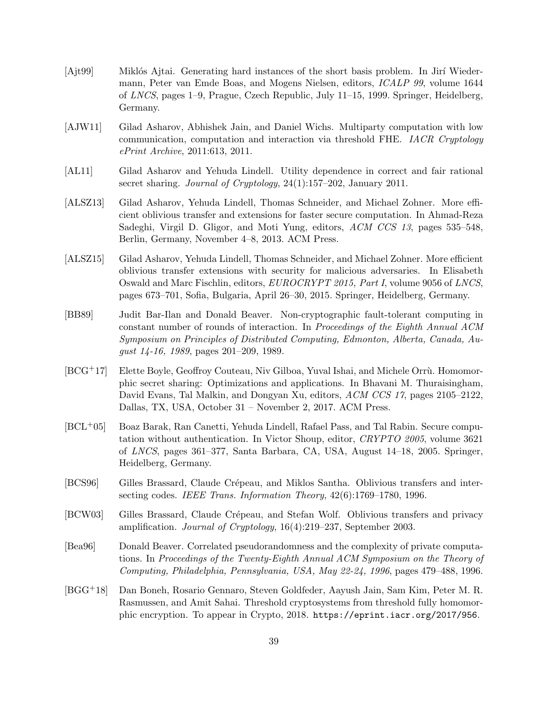- [Ajt99] Miklós Ajtai. Generating hard instances of the short basis problem. In Jirí Wiedermann, Peter van Emde Boas, and Mogens Nielsen, editors, ICALP 99, volume 1644 of LNCS, pages 1–9, Prague, Czech Republic, July 11–15, 1999. Springer, Heidelberg, Germany.
- [AJW11] Gilad Asharov, Abhishek Jain, and Daniel Wichs. Multiparty computation with low communication, computation and interaction via threshold FHE. IACR Cryptology ePrint Archive, 2011:613, 2011.
- [AL11] Gilad Asharov and Yehuda Lindell. Utility dependence in correct and fair rational secret sharing. *Journal of Cryptology*, 24(1):157–202, January 2011.
- [ALSZ13] Gilad Asharov, Yehuda Lindell, Thomas Schneider, and Michael Zohner. More efficient oblivious transfer and extensions for faster secure computation. In Ahmad-Reza Sadeghi, Virgil D. Gligor, and Moti Yung, editors, ACM CCS 13, pages 535–548, Berlin, Germany, November 4–8, 2013. ACM Press.
- [ALSZ15] Gilad Asharov, Yehuda Lindell, Thomas Schneider, and Michael Zohner. More efficient oblivious transfer extensions with security for malicious adversaries. In Elisabeth Oswald and Marc Fischlin, editors, EUROCRYPT 2015, Part I, volume 9056 of LNCS, pages 673–701, Sofia, Bulgaria, April 26–30, 2015. Springer, Heidelberg, Germany.
- [BB89] Judit Bar-Ilan and Donald Beaver. Non-cryptographic fault-tolerant computing in constant number of rounds of interaction. In Proceedings of the Eighth Annual ACM Symposium on Principles of Distributed Computing, Edmonton, Alberta, Canada, August 14-16, 1989, pages 201–209, 1989.
- $[BCG<sup>+</sup>17]$  Elette Boyle, Geoffroy Couteau, Niv Gilboa, Yuval Ishai, and Michele Orrù. Homomorphic secret sharing: Optimizations and applications. In Bhavani M. Thuraisingham, David Evans, Tal Malkin, and Dongyan Xu, editors, ACM CCS 17, pages 2105–2122, Dallas, TX, USA, October 31 – November 2, 2017. ACM Press.
- [BCL+05] Boaz Barak, Ran Canetti, Yehuda Lindell, Rafael Pass, and Tal Rabin. Secure computation without authentication. In Victor Shoup, editor, CRYPTO 2005, volume 3621 of LNCS, pages 361–377, Santa Barbara, CA, USA, August 14–18, 2005. Springer, Heidelberg, Germany.
- [BCS96] Gilles Brassard, Claude Crépeau, and Miklos Santha. Oblivious transfers and intersecting codes. IEEE Trans. Information Theory,  $42(6)$ :1769–1780, 1996.
- [BCW03] Gilles Brassard, Claude Crépeau, and Stefan Wolf. Oblivious transfers and privacy amplification. Journal of Cryptology, 16(4):219–237, September 2003.
- [Bea96] Donald Beaver. Correlated pseudorandomness and the complexity of private computations. In Proceedings of the Twenty-Eighth Annual ACM Symposium on the Theory of Computing, Philadelphia, Pennsylvania, USA, May 22-24, 1996, pages 479–488, 1996.
- [BGG+18] Dan Boneh, Rosario Gennaro, Steven Goldfeder, Aayush Jain, Sam Kim, Peter M. R. Rasmussen, and Amit Sahai. Threshold cryptosystems from threshold fully homomorphic encryption. To appear in Crypto, 2018. https://eprint.iacr.org/2017/956.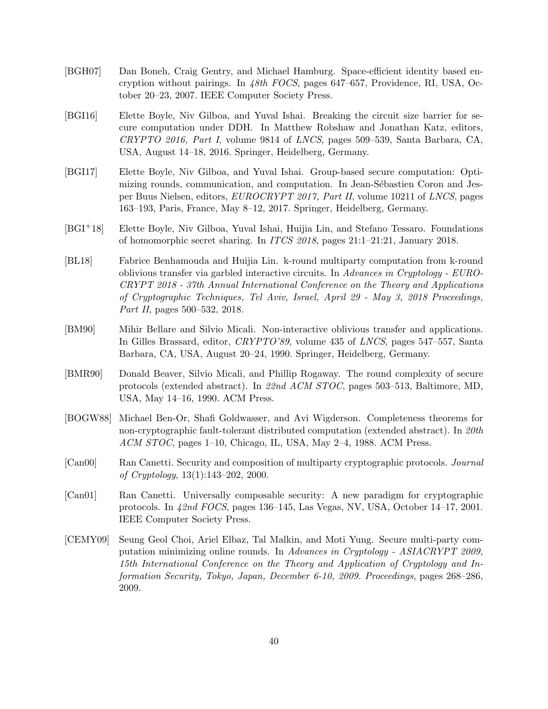- [BGH07] Dan Boneh, Craig Gentry, and Michael Hamburg. Space-efficient identity based encryption without pairings. In 48th FOCS, pages 647–657, Providence, RI, USA, October 20–23, 2007. IEEE Computer Society Press.
- [BGI16] Elette Boyle, Niv Gilboa, and Yuval Ishai. Breaking the circuit size barrier for secure computation under DDH. In Matthew Robshaw and Jonathan Katz, editors, CRYPTO 2016, Part I, volume 9814 of LNCS, pages 509–539, Santa Barbara, CA, USA, August 14–18, 2016. Springer, Heidelberg, Germany.
- [BGI17] Elette Boyle, Niv Gilboa, and Yuval Ishai. Group-based secure computation: Optimizing rounds, communication, and computation. In Jean-Sébastien Coron and Jesper Buus Nielsen, editors, EUROCRYPT 2017, Part II, volume 10211 of LNCS, pages 163–193, Paris, France, May 8–12, 2017. Springer, Heidelberg, Germany.
- [BGI+18] Elette Boyle, Niv Gilboa, Yuval Ishai, Huijia Lin, and Stefano Tessaro. Foundations of homomorphic secret sharing. In ITCS 2018, pages 21:1–21:21, January 2018.
- [BL18] Fabrice Benhamouda and Huijia Lin. k-round multiparty computation from k-round oblivious transfer via garbled interactive circuits. In Advances in Cryptology - EURO-CRYPT 2018 - 37th Annual International Conference on the Theory and Applications of Cryptographic Techniques, Tel Aviv, Israel, April 29 - May 3, 2018 Proceedings, Part II, pages 500–532, 2018.
- [BM90] Mihir Bellare and Silvio Micali. Non-interactive oblivious transfer and applications. In Gilles Brassard, editor, CRYPTO'89, volume 435 of LNCS, pages 547–557, Santa Barbara, CA, USA, August 20–24, 1990. Springer, Heidelberg, Germany.
- [BMR90] Donald Beaver, Silvio Micali, and Phillip Rogaway. The round complexity of secure protocols (extended abstract). In 22nd ACM STOC, pages 503–513, Baltimore, MD, USA, May 14–16, 1990. ACM Press.
- [BOGW88] Michael Ben-Or, Shafi Goldwasser, and Avi Wigderson. Completeness theorems for non-cryptographic fault-tolerant distributed computation (extended abstract). In 20th ACM STOC, pages 1–10, Chicago, IL, USA, May 2–4, 1988. ACM Press.
- [Can00] Ran Canetti. Security and composition of multiparty cryptographic protocols. Journal of Cryptology, 13(1):143–202, 2000.
- [Can01] Ran Canetti. Universally composable security: A new paradigm for cryptographic protocols. In 42nd FOCS, pages 136–145, Las Vegas, NV, USA, October 14–17, 2001. IEEE Computer Society Press.
- [CEMY09] Seung Geol Choi, Ariel Elbaz, Tal Malkin, and Moti Yung. Secure multi-party computation minimizing online rounds. In Advances in Cryptology - ASIACRYPT 2009, 15th International Conference on the Theory and Application of Cryptology and Information Security, Tokyo, Japan, December 6-10, 2009. Proceedings, pages 268–286, 2009.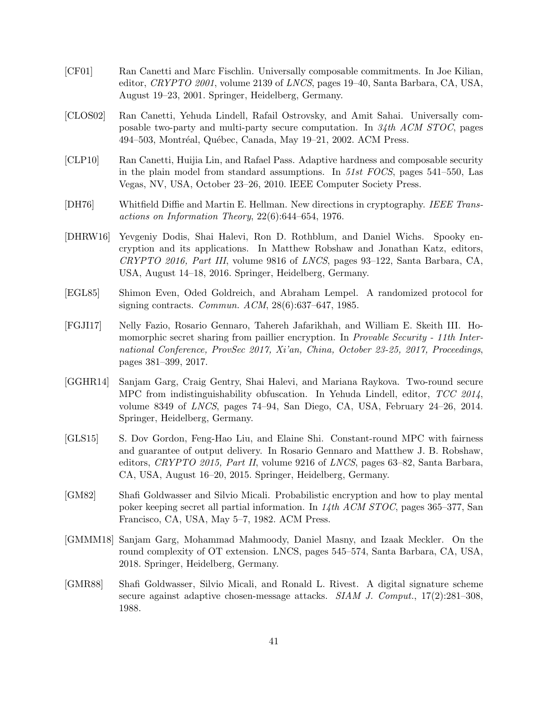- [CF01] Ran Canetti and Marc Fischlin. Universally composable commitments. In Joe Kilian, editor, CRYPTO 2001, volume 2139 of LNCS, pages 19–40, Santa Barbara, CA, USA, August 19–23, 2001. Springer, Heidelberg, Germany.
- [CLOS02] Ran Canetti, Yehuda Lindell, Rafail Ostrovsky, and Amit Sahai. Universally composable two-party and multi-party secure computation. In 34th ACM STOC, pages 494–503, Montréal, Québec, Canada, May 19–21, 2002. ACM Press.
- [CLP10] Ran Canetti, Huijia Lin, and Rafael Pass. Adaptive hardness and composable security in the plain model from standard assumptions. In  $51st$  FOCS, pages 541–550, Las Vegas, NV, USA, October 23–26, 2010. IEEE Computer Society Press.
- [DH76] Whitfield Diffie and Martin E. Hellman. New directions in cryptography. IEEE Transactions on Information Theory, 22(6):644–654, 1976.
- [DHRW16] Yevgeniy Dodis, Shai Halevi, Ron D. Rothblum, and Daniel Wichs. Spooky encryption and its applications. In Matthew Robshaw and Jonathan Katz, editors, CRYPTO 2016, Part III, volume 9816 of LNCS, pages 93–122, Santa Barbara, CA, USA, August 14–18, 2016. Springer, Heidelberg, Germany.
- [EGL85] Shimon Even, Oded Goldreich, and Abraham Lempel. A randomized protocol for signing contracts. Commun. ACM, 28(6):637–647, 1985.
- [FGJI17] Nelly Fazio, Rosario Gennaro, Tahereh Jafarikhah, and William E. Skeith III. Homomorphic secret sharing from paillier encryption. In *Provable Security - 11th Inter*national Conference, ProvSec 2017, Xi'an, China, October 23-25, 2017, Proceedings, pages 381–399, 2017.
- [GGHR14] Sanjam Garg, Craig Gentry, Shai Halevi, and Mariana Raykova. Two-round secure MPC from indistinguishability obfuscation. In Yehuda Lindell, editor, TCC 2014, volume 8349 of LNCS, pages 74–94, San Diego, CA, USA, February 24–26, 2014. Springer, Heidelberg, Germany.
- [GLS15] S. Dov Gordon, Feng-Hao Liu, and Elaine Shi. Constant-round MPC with fairness and guarantee of output delivery. In Rosario Gennaro and Matthew J. B. Robshaw, editors, CRYPTO 2015, Part II, volume 9216 of LNCS, pages 63–82, Santa Barbara, CA, USA, August 16–20, 2015. Springer, Heidelberg, Germany.
- [GM82] Shafi Goldwasser and Silvio Micali. Probabilistic encryption and how to play mental poker keeping secret all partial information. In 14th ACM STOC, pages 365–377, San Francisco, CA, USA, May 5–7, 1982. ACM Press.
- [GMMM18] Sanjam Garg, Mohammad Mahmoody, Daniel Masny, and Izaak Meckler. On the round complexity of OT extension. LNCS, pages 545–574, Santa Barbara, CA, USA, 2018. Springer, Heidelberg, Germany.
- [GMR88] Shafi Goldwasser, Silvio Micali, and Ronald L. Rivest. A digital signature scheme secure against adaptive chosen-message attacks.  $SIAM$  J. Comput.,  $17(2):281-308$ , 1988.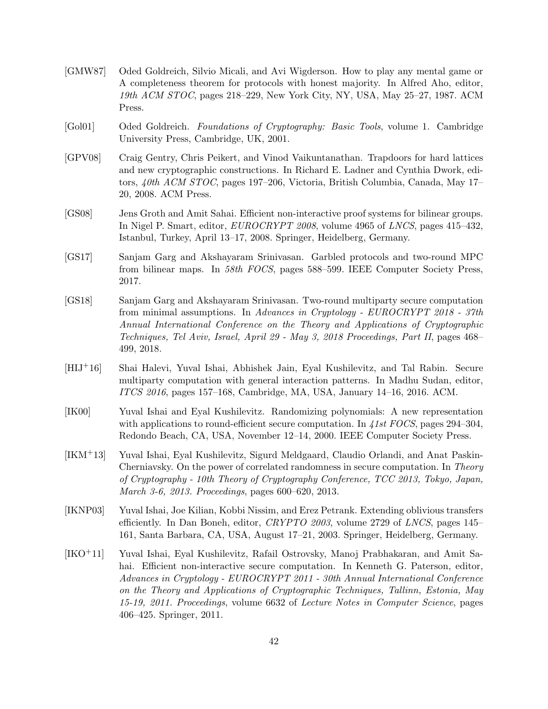- [GMW87] Oded Goldreich, Silvio Micali, and Avi Wigderson. How to play any mental game or A completeness theorem for protocols with honest majority. In Alfred Aho, editor, 19th ACM STOC, pages 218–229, New York City, NY, USA, May 25–27, 1987. ACM Press.
- [Gol01] Oded Goldreich. Foundations of Cryptography: Basic Tools, volume 1. Cambridge University Press, Cambridge, UK, 2001.
- [GPV08] Craig Gentry, Chris Peikert, and Vinod Vaikuntanathan. Trapdoors for hard lattices and new cryptographic constructions. In Richard E. Ladner and Cynthia Dwork, editors, 40th ACM STOC, pages 197–206, Victoria, British Columbia, Canada, May 17– 20, 2008. ACM Press.
- [GS08] Jens Groth and Amit Sahai. Efficient non-interactive proof systems for bilinear groups. In Nigel P. Smart, editor, EUROCRYPT 2008, volume 4965 of LNCS, pages 415–432, Istanbul, Turkey, April 13–17, 2008. Springer, Heidelberg, Germany.
- [GS17] Sanjam Garg and Akshayaram Srinivasan. Garbled protocols and two-round MPC from bilinear maps. In 58th FOCS, pages 588–599. IEEE Computer Society Press, 2017.
- [GS18] Sanjam Garg and Akshayaram Srinivasan. Two-round multiparty secure computation from minimal assumptions. In Advances in Cryptology - EUROCRYPT 2018 - 37th Annual International Conference on the Theory and Applications of Cryptographic Techniques, Tel Aviv, Israel, April 29 - May 3, 2018 Proceedings, Part II, pages 468– 499, 2018.
- [HIJ+16] Shai Halevi, Yuval Ishai, Abhishek Jain, Eyal Kushilevitz, and Tal Rabin. Secure multiparty computation with general interaction patterns. In Madhu Sudan, editor, ITCS 2016, pages 157–168, Cambridge, MA, USA, January 14–16, 2016. ACM.
- [IK00] Yuval Ishai and Eyal Kushilevitz. Randomizing polynomials: A new representation with applications to round-efficient secure computation. In  $41st FOCS$ , pages 294–304, Redondo Beach, CA, USA, November 12–14, 2000. IEEE Computer Society Press.
- [IKM+13] Yuval Ishai, Eyal Kushilevitz, Sigurd Meldgaard, Claudio Orlandi, and Anat Paskin-Cherniavsky. On the power of correlated randomness in secure computation. In Theory of Cryptography - 10th Theory of Cryptography Conference, TCC 2013, Tokyo, Japan, March 3-6, 2013. Proceedings, pages 600–620, 2013.
- [IKNP03] Yuval Ishai, Joe Kilian, Kobbi Nissim, and Erez Petrank. Extending oblivious transfers efficiently. In Dan Boneh, editor, CRYPTO 2003, volume 2729 of LNCS, pages 145– 161, Santa Barbara, CA, USA, August 17–21, 2003. Springer, Heidelberg, Germany.
- [IKO+11] Yuval Ishai, Eyal Kushilevitz, Rafail Ostrovsky, Manoj Prabhakaran, and Amit Sahai. Efficient non-interactive secure computation. In Kenneth G. Paterson, editor, Advances in Cryptology - EUROCRYPT 2011 - 30th Annual International Conference on the Theory and Applications of Cryptographic Techniques, Tallinn, Estonia, May 15-19, 2011. Proceedings, volume 6632 of Lecture Notes in Computer Science, pages 406–425. Springer, 2011.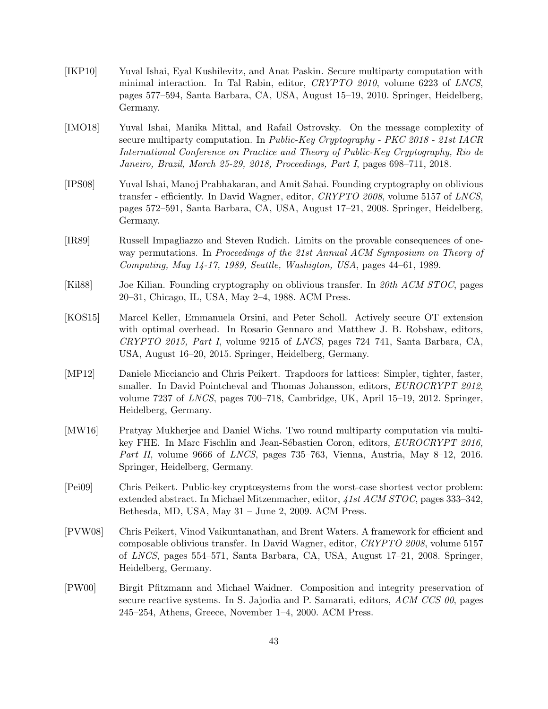- [IKP10] Yuval Ishai, Eyal Kushilevitz, and Anat Paskin. Secure multiparty computation with minimal interaction. In Tal Rabin, editor, CRYPTO 2010, volume 6223 of LNCS, pages 577–594, Santa Barbara, CA, USA, August 15–19, 2010. Springer, Heidelberg, Germany.
- [IMO18] Yuval Ishai, Manika Mittal, and Rafail Ostrovsky. On the message complexity of secure multiparty computation. In Public-Key Cryptography - PKC 2018 - 21st IACR International Conference on Practice and Theory of Public-Key Cryptography, Rio de Janeiro, Brazil, March 25-29, 2018, Proceedings, Part I, pages 698–711, 2018.
- [IPS08] Yuval Ishai, Manoj Prabhakaran, and Amit Sahai. Founding cryptography on oblivious transfer - efficiently. In David Wagner, editor, CRYPTO 2008, volume 5157 of LNCS, pages 572–591, Santa Barbara, CA, USA, August 17–21, 2008. Springer, Heidelberg, Germany.
- [IR89] Russell Impagliazzo and Steven Rudich. Limits on the provable consequences of oneway permutations. In Proceedings of the 21st Annual ACM Symposium on Theory of Computing, May 14-17, 1989, Seattle, Washigton, USA, pages 44–61, 1989.
- [Kil88] Joe Kilian. Founding cryptography on oblivious transfer. In 20th ACM STOC, pages 20–31, Chicago, IL, USA, May 2–4, 1988. ACM Press.
- [KOS15] Marcel Keller, Emmanuela Orsini, and Peter Scholl. Actively secure OT extension with optimal overhead. In Rosario Gennaro and Matthew J. B. Robshaw, editors, CRYPTO 2015, Part I, volume 9215 of LNCS, pages 724–741, Santa Barbara, CA, USA, August 16–20, 2015. Springer, Heidelberg, Germany.
- [MP12] Daniele Micciancio and Chris Peikert. Trapdoors for lattices: Simpler, tighter, faster, smaller. In David Pointcheval and Thomas Johansson, editors, *EUROCRYPT 2012*, volume 7237 of LNCS, pages 700–718, Cambridge, UK, April 15–19, 2012. Springer, Heidelberg, Germany.
- [MW16] Pratyay Mukherjee and Daniel Wichs. Two round multiparty computation via multikey FHE. In Marc Fischlin and Jean-Sébastien Coron, editors, EUROCRYPT 2016, Part II, volume 9666 of LNCS, pages 735–763, Vienna, Austria, May 8–12, 2016. Springer, Heidelberg, Germany.
- [Pei09] Chris Peikert. Public-key cryptosystems from the worst-case shortest vector problem: extended abstract. In Michael Mitzenmacher, editor, 41st ACM STOC, pages 333–342, Bethesda, MD, USA, May 31 – June 2, 2009. ACM Press.
- [PVW08] Chris Peikert, Vinod Vaikuntanathan, and Brent Waters. A framework for efficient and composable oblivious transfer. In David Wagner, editor, CRYPTO 2008, volume 5157 of LNCS, pages 554–571, Santa Barbara, CA, USA, August 17–21, 2008. Springer, Heidelberg, Germany.
- [PW00] Birgit Pfitzmann and Michael Waidner. Composition and integrity preservation of secure reactive systems. In S. Jajodia and P. Samarati, editors, ACM CCS 00, pages 245–254, Athens, Greece, November 1–4, 2000. ACM Press.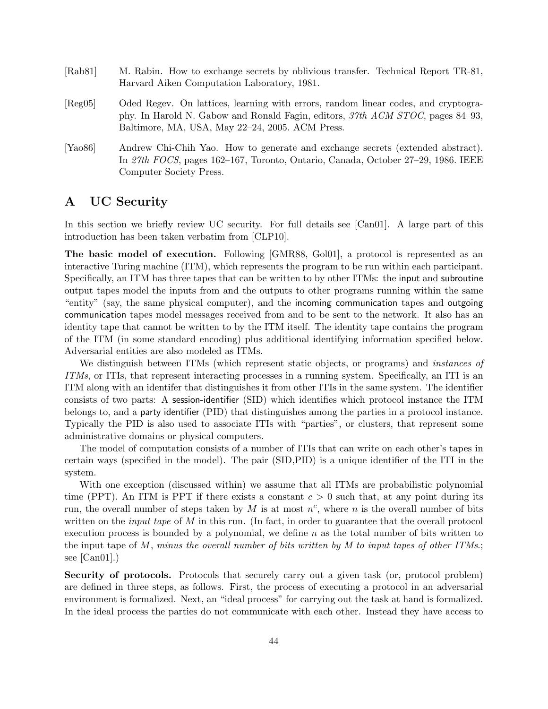| [Rab81] | M. Rabin. How to exchange secrets by oblivious transfer. Technical Report TR-81,<br>Harvard Aiken Computation Laboratory, 1981.                                                                                         |
|---------|-------------------------------------------------------------------------------------------------------------------------------------------------------------------------------------------------------------------------|
| [Reg05] | Oded Regev. On lattices, learning with errors, random linear codes, and cryptogra-<br>phy. In Harold N. Gabow and Ronald Fagin, editors, 37th ACM STOC, pages 84–93,<br>Baltimore, MA, USA, May 22-24, 2005. ACM Press. |
| [Ya086] | Andrew Chi-Chih Yao. How to generate and exchange secrets (extended abstract).<br>In 27th FOCS, pages 162-167, Toronto, Ontario, Canada, October 27-29, 1986. IEEE<br>Computer Society Press.                           |

## A UC Security

In this section we briefly review UC security. For full details see [Can01]. A large part of this introduction has been taken verbatim from [CLP10].

The basic model of execution. Following [GMR88, Gol01], a protocol is represented as an interactive Turing machine (ITM), which represents the program to be run within each participant. Specifically, an ITM has three tapes that can be written to by other ITMs: the input and subroutine output tapes model the inputs from and the outputs to other programs running within the same "entity" (say, the same physical computer), and the incoming communication tapes and outgoing communication tapes model messages received from and to be sent to the network. It also has an identity tape that cannot be written to by the ITM itself. The identity tape contains the program of the ITM (in some standard encoding) plus additional identifying information specified below. Adversarial entities are also modeled as ITMs.

We distinguish between ITMs (which represent static objects, or programs) and *instances of* ITMs, or ITIs, that represent interacting processes in a running system. Specifically, an ITI is an ITM along with an identifer that distinguishes it from other ITIs in the same system. The identifier consists of two parts: A session-identifier (SID) which identifies which protocol instance the ITM belongs to, and a party identifier (PID) that distinguishes among the parties in a protocol instance. Typically the PID is also used to associate ITIs with "parties", or clusters, that represent some administrative domains or physical computers.

The model of computation consists of a number of ITIs that can write on each other's tapes in certain ways (specified in the model). The pair (SID,PID) is a unique identifier of the ITI in the system.

With one exception (discussed within) we assume that all ITMs are probabilistic polynomial time (PPT). An ITM is PPT if there exists a constant  $c > 0$  such that, at any point during its run, the overall number of steps taken by M is at most  $n^c$ , where n is the overall number of bits written on the *input tape* of  $M$  in this run. (In fact, in order to guarantee that the overall protocol execution process is bounded by a polynomial, we define  $n$  as the total number of bits written to the input tape of  $M$ , minus the overall number of bits written by  $M$  to input tapes of other ITMs.; see [Can01].)

Security of protocols. Protocols that securely carry out a given task (or, protocol problem) are defined in three steps, as follows. First, the process of executing a protocol in an adversarial environment is formalized. Next, an "ideal process" for carrying out the task at hand is formalized. In the ideal process the parties do not communicate with each other. Instead they have access to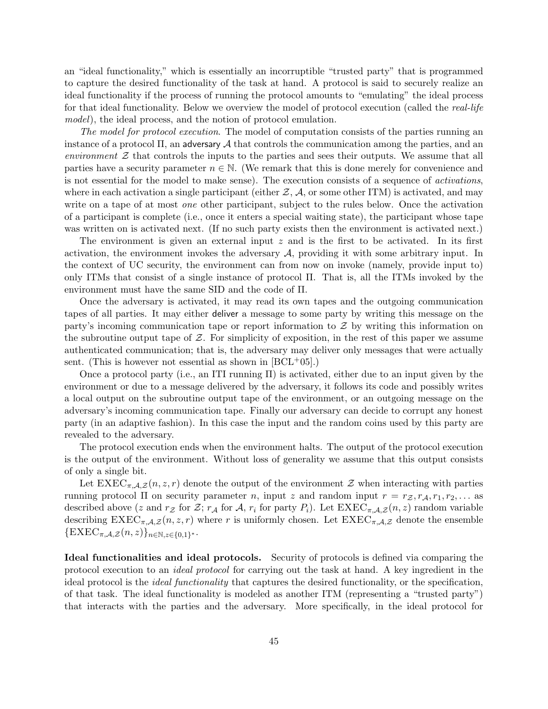an "ideal functionality," which is essentially an incorruptible "trusted party" that is programmed to capture the desired functionality of the task at hand. A protocol is said to securely realize an ideal functionality if the process of running the protocol amounts to "emulating" the ideal process for that ideal functionality. Below we overview the model of protocol execution (called the real-life model), the ideal process, and the notion of protocol emulation.

The model for protocol execution. The model of computation consists of the parties running an instance of a protocol  $\Pi$ , an adversary A that controls the communication among the parties, and an environment  $\mathcal Z$  that controls the inputs to the parties and sees their outputs. We assume that all parties have a security parameter  $n \in \mathbb{N}$ . (We remark that this is done merely for convenience and is not essential for the model to make sense). The execution consists of a sequence of activations, where in each activation a single participant (either  $\mathcal{Z}, \mathcal{A}$ , or some other ITM) is activated, and may write on a tape of at most *one* other participant, subject to the rules below. Once the activation of a participant is complete (i.e., once it enters a special waiting state), the participant whose tape was written on is activated next. (If no such party exists then the environment is activated next.)

The environment is given an external input  $z$  and is the first to be activated. In its first activation, the environment invokes the adversary  $A$ , providing it with some arbitrary input. In the context of UC security, the environment can from now on invoke (namely, provide input to) only ITMs that consist of a single instance of protocol Π. That is, all the ITMs invoked by the environment must have the same SID and the code of Π.

Once the adversary is activated, it may read its own tapes and the outgoing communication tapes of all parties. It may either deliver a message to some party by writing this message on the party's incoming communication tape or report information to  $Z$  by writing this information on the subroutine output tape of  $\mathcal Z$ . For simplicity of exposition, in the rest of this paper we assume authenticated communication; that is, the adversary may deliver only messages that were actually sent. (This is however not essential as shown in  $[BCL^+05]$ .)

Once a protocol party (i.e., an ITI running  $\Pi$ ) is activated, either due to an input given by the environment or due to a message delivered by the adversary, it follows its code and possibly writes a local output on the subroutine output tape of the environment, or an outgoing message on the adversary's incoming communication tape. Finally our adversary can decide to corrupt any honest party (in an adaptive fashion). In this case the input and the random coins used by this party are revealed to the adversary.

The protocol execution ends when the environment halts. The output of the protocol execution is the output of the environment. Without loss of generality we assume that this output consists of only a single bit.

Let  $\text{EXEC}_{\pi,\mathcal{A},\mathcal{Z}}(n,z,r)$  denote the output of the environment Z when interacting with parties running protocol  $\Pi$  on security parameter n, input z and random input  $r = r_{\mathcal{Z}}, r_{\mathcal{A}}, r_1, r_2, \ldots$  as described above (z and  $r_{\mathcal{Z}}$  for  $\mathcal{Z}; r_{\mathcal{A}}$  for  $\mathcal{A}, r_i$  for party  $P_i$ ). Let  $\text{EXEC}_{\pi,\mathcal{A},\mathcal{Z}}(n,z)$  random variable describing  $\text{EXEC}_{\pi,\mathcal{A},\mathcal{Z}}(n,z,r)$  where r is uniformly chosen. Let  $\text{EXEC}_{\pi,\mathcal{A},\mathcal{Z}}$  denote the ensemble  $\{\text{EXEC}_{\pi,\mathcal{A},\mathcal{Z}}(n,z)\}_{n\in\mathbb{N},z\in\{0,1\}^*}.$ 

Ideal functionalities and ideal protocols. Security of protocols is defined via comparing the protocol execution to an ideal protocol for carrying out the task at hand. A key ingredient in the ideal protocol is the ideal functionality that captures the desired functionality, or the specification, of that task. The ideal functionality is modeled as another ITM (representing a "trusted party") that interacts with the parties and the adversary. More specifically, in the ideal protocol for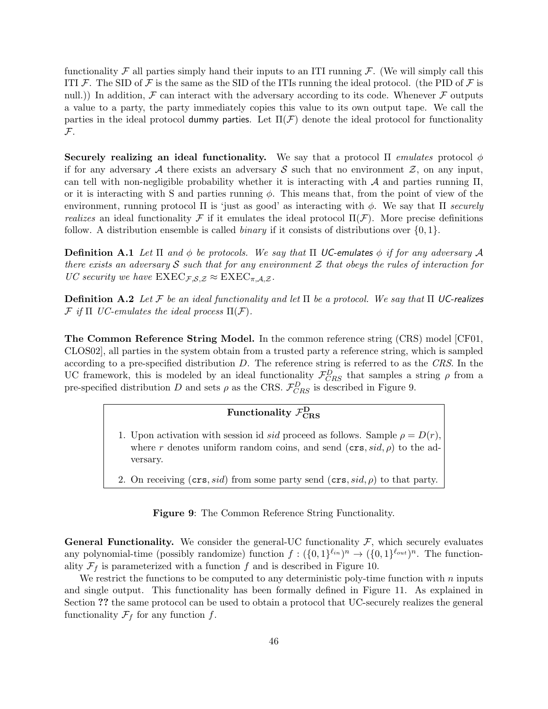functionality  $\mathcal F$  all parties simply hand their inputs to an ITI running  $\mathcal F$ . (We will simply call this ITI F. The SID of F is the same as the SID of the ITIs running the ideal protocol. (the PID of F is null.) In addition,  $\mathcal F$  can interact with the adversary according to its code. Whenever  $\mathcal F$  outputs a value to a party, the party immediately copies this value to its own output tape. We call the parties in the ideal protocol dummy parties. Let  $\Pi(\mathcal{F})$  denote the ideal protocol for functionality  $\mathcal{F}.$ 

Securely realizing an ideal functionality. We say that a protocol  $\Pi$  emulates protocol  $\phi$ if for any adversary A there exists an adversary S such that no environment  $\mathcal{Z}$ , on any input, can tell with non-negligible probability whether it is interacting with  $\mathcal A$  and parties running  $\Pi$ , or it is interacting with S and parties running  $\phi$ . This means that, from the point of view of the environment, running protocol  $\Pi$  is 'just as good' as interacting with  $\phi$ . We say that  $\Pi$  securely *realizes* an ideal functionality F if it emulates the ideal protocol  $\Pi(\mathcal{F})$ . More precise definitions follow. A distribution ensemble is called *binary* if it consists of distributions over  $\{0, 1\}$ .

**Definition A.1** Let  $\Pi$  and  $\phi$  be protocols. We say that  $\Pi$  UC-emulates  $\phi$  if for any adversary A there exists an adversary S such that for any environment  $\mathcal Z$  that obeys the rules of interaction for UC security we have  $\text{EXEC}_{\mathcal{F},\mathcal{S},\mathcal{Z}} \approx \text{EXEC}_{\pi,\mathcal{A},\mathcal{Z}}$ .

**Definition A.2** Let F be an ideal functionality and let  $\Pi$  be a protocol. We say that  $\Pi$  UC-realizes  $\mathcal F$  if  $\Pi$  UC-emulates the ideal process  $\Pi(\mathcal F)$ .

The Common Reference String Model. In the common reference string (CRS) model [CF01, CLOS02], all parties in the system obtain from a trusted party a reference string, which is sampled according to a pre-specified distribution  $D$ . The reference string is referred to as the CRS. In the UC framework, this is modeled by an ideal functionality  $\mathcal{F}_{CRS}^D$  that samples a string  $\rho$  from a pre-specified distribution D and sets  $\rho$  as the CRS.  $\mathcal{F}_{CRS}^D$  is described in Figure 9.

# Functionality  $\mathcal{F}_{\text{CRS}}^{\text{D}}$

- 1. Upon activation with session id *sid* proceed as follows. Sample  $\rho = D(r)$ , where r denotes uniform random coins, and send  $(crs, sid, \rho)$  to the adversary.
- 2. On receiving (crs, sid) from some party send (crs, sid,  $\rho$ ) to that party.

Figure 9: The Common Reference String Functionality.

**General Functionality.** We consider the general-UC functionality  $\mathcal{F}$ , which securely evaluates any polynomial-time (possibly randomize) function  $f: (\{0,1\}^{\ell_{in}})^n \to (\{0,1\}^{\ell_{out}})^n$ . The functionality  $\mathcal{F}_f$  is parameterized with a function f and is described in Figure 10.

We restrict the functions to be computed to any deterministic poly-time function with  $n$  inputs and single output. This functionality has been formally defined in Figure 11. As explained in Section ?? the same protocol can be used to obtain a protocol that UC-securely realizes the general functionality  $\mathcal{F}_f$  for any function  $f$ .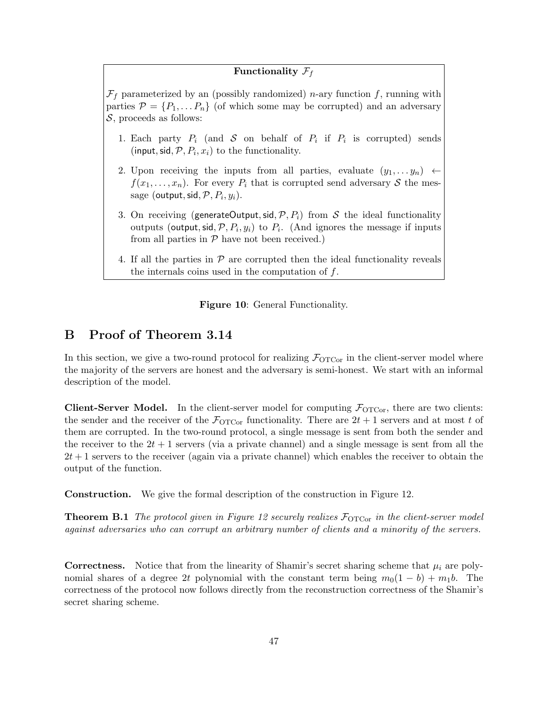### Functionality  $\mathcal{F}_f$

 $\mathcal{F}_f$  parameterized by an (possibly randomized) *n*-ary function f, running with parties  $\mathcal{P} = \{P_1, \ldots, P_n\}$  (of which some may be corrupted) and an adversary  $S$ , proceeds as follows:

- 1. Each party  $P_i$  (and S on behalf of  $P_i$  if  $P_i$  is corrupted) sends (input, sid,  $P$ ,  $P_i$ ,  $x_i$ ) to the functionality.
- 2. Upon receiving the inputs from all parties, evaluate  $(y_1, \ldots, y_n) \leftarrow$  $f(x_1, \ldots, x_n)$ . For every  $P_i$  that is corrupted send adversary S the message (output, sid,  $\mathcal{P}, P_i, y_i$ ).
- 3. On receiving (generateOutput, sid,  $P$ ,  $P_i$ ) from S the ideal functionality outputs (output, sid,  $P, P_i, y_i$ ) to  $P_i$ . (And ignores the message if inputs from all parties in  $P$  have not been received.)
- 4. If all the parties in  $\mathcal P$  are corrupted then the ideal functionality reveals the internals coins used in the computation of f.

Figure 10: General Functionality.

## B Proof of Theorem 3.14

In this section, we give a two-round protocol for realizing  $\mathcal{F}_{\text{OTCor}}$  in the client-server model where the majority of the servers are honest and the adversary is semi-honest. We start with an informal description of the model.

**Client-Server Model.** In the client-server model for computing  $\mathcal{F}_{\text{OTCor}}$ , there are two clients: the sender and the receiver of the  $\mathcal{F}_{\text{OTCor}}$  functionality. There are  $2t + 1$  servers and at most t of them are corrupted. In the two-round protocol, a single message is sent from both the sender and the receiver to the  $2t + 1$  servers (via a private channel) and a single message is sent from all the  $2t + 1$  servers to the receiver (again via a private channel) which enables the receiver to obtain the output of the function.

Construction. We give the formal description of the construction in Figure 12.

**Theorem B.1** The protocol given in Figure 12 securely realizes  $\mathcal{F}_{\text{OTCor}}$  in the client-server model against adversaries who can corrupt an arbitrary number of clients and a minority of the servers.

**Correctness.** Notice that from the linearity of Shamir's secret sharing scheme that  $\mu_i$  are polynomial shares of a degree 2t polynomial with the constant term being  $m_0(1 - b) + m_1b$ . The correctness of the protocol now follows directly from the reconstruction correctness of the Shamir's secret sharing scheme.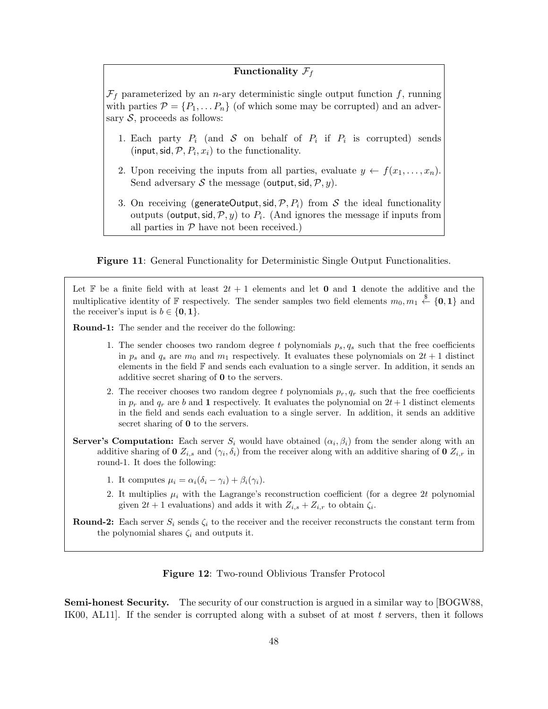### Functionality  $\mathcal{F}_f$

 $\mathcal{F}_f$  parameterized by an *n*-ary deterministic single output function f, running with parties  $\mathcal{P} = \{P_1, \ldots, P_n\}$  (of which some may be corrupted) and an adversary  $S$ , proceeds as follows:

- 1. Each party  $P_i$  (and S on behalf of  $P_i$  if  $P_i$  is corrupted) sends (input, sid,  $P$ ,  $P_i$ ,  $x_i$ ) to the functionality.
- 2. Upon receiving the inputs from all parties, evaluate  $y \leftarrow f(x_1, \ldots, x_n)$ . Send adversary S the message (output, sid,  $\mathcal{P}, y$ ).
- 3. On receiving (generateOutput, sid,  $P, P_i$ ) from S the ideal functionality outputs (output, sid,  $P, y$ ) to  $P_i$ . (And ignores the message if inputs from all parties in  $P$  have not been received.)

Figure 11: General Functionality for Deterministic Single Output Functionalities.

Let  $\mathbb F$  be a finite field with at least  $2t + 1$  elements and let **0** and **1** denote the additive and the multiplicative identity of F respectively. The sender samples two field elements  $m_0, m_1 \stackrel{\$}{\leftarrow} \{0,1\}$  and the receiver's input is  $b \in \{0, 1\}.$ 

Round-1: The sender and the receiver do the following:

- 1. The sender chooses two random degree t polynomials  $p_s, q_s$  such that the free coefficients in  $p_s$  and  $q_s$  are  $m_0$  and  $m_1$  respectively. It evaluates these polynomials on  $2t + 1$  distinct elements in the field F and sends each evaluation to a single server. In addition, it sends an additive secret sharing of 0 to the servers.
- 2. The receiver chooses two random degree t polynomials  $p_r, q_r$  such that the free coefficients in  $p_r$  and  $q_r$  are b and 1 respectively. It evaluates the polynomial on  $2t+1$  distinct elements in the field and sends each evaluation to a single server. In addition, it sends an additive secret sharing of  $\mathbf{0}$  to the servers.
- **Server's Computation:** Each server  $S_i$  would have obtained  $(\alpha_i, \beta_i)$  from the sender along with an additive sharing of **0**  $Z_{i,s}$  and  $(\gamma_i, \delta_i)$  from the receiver along with an additive sharing of **0**  $Z_{i,r}$  in round-1. It does the following:
	- 1. It computes  $\mu_i = \alpha_i(\delta_i \gamma_i) + \beta_i(\gamma_i)$ .
	- 2. It multiplies  $\mu_i$  with the Lagrange's reconstruction coefficient (for a degree 2t polynomial) given  $2t + 1$  evaluations) and adds it with  $Z_{i,s} + Z_{i,r}$  to obtain  $\zeta_i$ .
- **Round-2:** Each server  $S_i$  sends  $\zeta_i$  to the receiver and the receiver reconstructs the constant term from the polynomial shares  $\zeta_i$  and outputs it.

### Figure 12: Two-round Oblivious Transfer Protocol

Semi-honest Security. The security of our construction is argued in a similar way to [BOGW88, IK00, AL11. If the sender is corrupted along with a subset of at most  $t$  servers, then it follows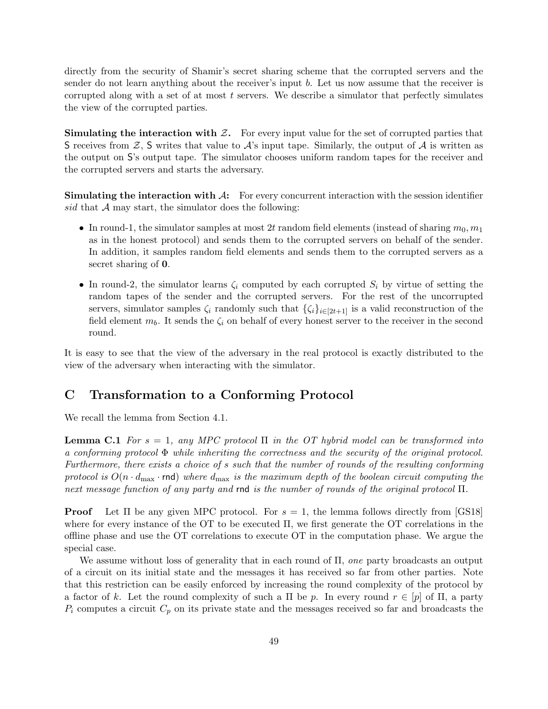directly from the security of Shamir's secret sharing scheme that the corrupted servers and the sender do not learn anything about the receiver's input b. Let us now assume that the receiver is corrupted along with a set of at most  $t$  servers. We describe a simulator that perfectly simulates the view of the corrupted parties.

**Simulating the interaction with Z.** For every input value for the set of corrupted parties that S receives from  $\mathcal{Z}$ , S writes that value to  $\mathcal{A}$ 's input tape. Similarly, the output of  $\mathcal{A}$  is written as the output on S's output tape. The simulator chooses uniform random tapes for the receiver and the corrupted servers and starts the adversary.

**Simulating the interaction with**  $\mathcal{A}$ **:** For every concurrent interaction with the session identifier sid that  $A$  may start, the simulator does the following:

- In round-1, the simulator samples at most 2t random field elements (instead of sharing  $m_0, m_1$ as in the honest protocol) and sends them to the corrupted servers on behalf of the sender. In addition, it samples random field elements and sends them to the corrupted servers as a secret sharing of 0.
- In round-2, the simulator learns  $\zeta_i$  computed by each corrupted  $S_i$  by virtue of setting the random tapes of the sender and the corrupted servers. For the rest of the uncorrupted servers, simulator samples  $\zeta_i$  randomly such that  $\{\zeta_i\}_{i\in[2t+1]}$  is a valid reconstruction of the field element  $m_b$ . It sends the  $\zeta_i$  on behalf of every honest server to the receiver in the second round.

It is easy to see that the view of the adversary in the real protocol is exactly distributed to the view of the adversary when interacting with the simulator.

## C Transformation to a Conforming Protocol

We recall the lemma from Section 4.1.

**Lemma C.1** For  $s = 1$ , any MPC protocol  $\Pi$  in the OT hybrid model can be transformed into a conforming protocol Φ while inheriting the correctness and the security of the original protocol. Furthermore, there exists a choice of s such that the number of rounds of the resulting conforming protocol is  $O(n \cdot d_{\text{max}} \cdot \text{rnd})$  where  $d_{\text{max}}$  is the maximum depth of the boolean circuit computing the next message function of any party and rnd is the number of rounds of the original protocol Π.

**Proof** Let  $\Pi$  be any given MPC protocol. For  $s = 1$ , the lemma follows directly from [GS18] where for every instance of the OT to be executed Π, we first generate the OT correlations in the offline phase and use the OT correlations to execute OT in the computation phase. We argue the special case.

We assume without loss of generality that in each round of  $\Pi$ , *one* party broadcasts an output of a circuit on its initial state and the messages it has received so far from other parties. Note that this restriction can be easily enforced by increasing the round complexity of the protocol by a factor of k. Let the round complexity of such a  $\Pi$  be p. In every round  $r \in [p]$  of  $\Pi$ , a party  $P_i$  computes a circuit  $C_p$  on its private state and the messages received so far and broadcasts the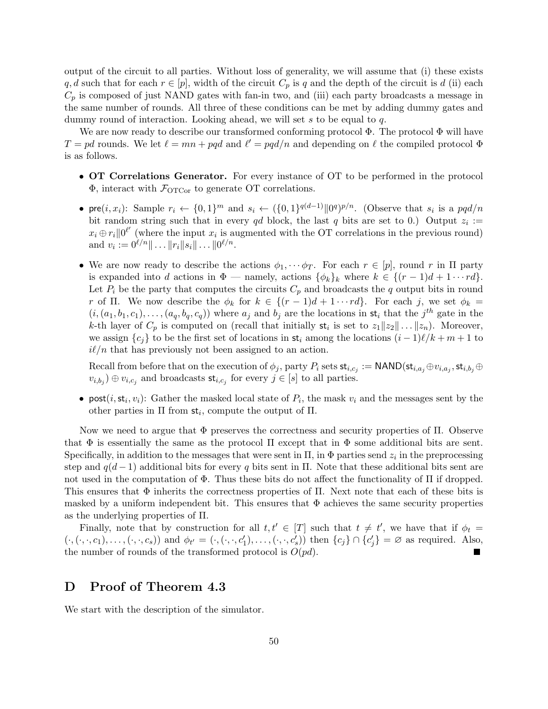output of the circuit to all parties. Without loss of generality, we will assume that (i) these exists q, d such that for each  $r \in [p]$ , width of the circuit  $C_p$  is q and the depth of the circuit is d (ii) each  $C_p$  is composed of just NAND gates with fan-in two, and (iii) each party broadcasts a message in the same number of rounds. All three of these conditions can be met by adding dummy gates and dummy round of interaction. Looking ahead, we will set s to be equal to q.

We are now ready to describe our transformed conforming protocol  $\Phi$ . The protocol  $\Phi$  will have  $T = pd$  rounds. We let  $\ell = mn + pqd$  and  $\ell' = pqd/n$  and depending on  $\ell$  the compiled protocol  $\Phi$ is as follows.

- OT Correlations Generator. For every instance of OT to be performed in the protocol  $\Phi$ , interact with  $\mathcal{F}_{\text{OTCor}}$  to generate OT correlations.
- pre $(i, x_i)$ : Sample  $r_i \leftarrow \{0, 1\}^m$  and  $s_i \leftarrow (\{0, 1\}^{q(d-1)} \|0^q)^{p/n}$ . (Observe that  $s_i$  is a  $pqd/n$ bit random string such that in every qd block, the last q bits are set to 0.) Output  $z_i :=$  $x_i \oplus r_i$  ||0<sup>e'</sup> (where the input  $x_i$  is augmented with the OT correlations in the previous round) and  $v_i := 0^{\ell/n} || \dots ||r_i|| s_i || \dots || 0^{\ell/n}$ .
- We are now ready to describe the actions  $\phi_1, \dots, \phi_T$ . For each  $r \in [p]$ , round r in  $\Pi$  party is expanded into d actions in  $\Phi$  — namely, actions  $\{\phi_k\}_k$  where  $k \in \{(r-1)d+1 \cdots rd\}$ . Let  $P_i$  be the party that computes the circuits  $C_p$  and broadcasts the q output bits in round r of Π. We now describe the  $\phi_k$  for  $k \in \{(r-1)d+1\cdots rd\}$ . For each j, we set  $\phi_k =$  $(i, (a_1, b_1, c_1), \ldots, (a_q, b_q, c_q))$  where  $a_j$  and  $b_j$  are the locations in  $st_i$  that the  $j^{th}$  gate in the k-th layer of  $C_p$  is computed on (recall that initially  $st_i$  is set to  $z_1 || z_2 || \dots || z_n$ ). Moreover, we assign  ${c_i}$  to be the first set of locations in  $s_i$  among the locations  $(i - 1)\ell/k + m + 1$  to  $i\ell/n$  that has previously not been assigned to an action.

Recall from before that on the execution of  $\phi_j$ , party  $P_i$  sets  $\mathsf{st}_{i,c_j} := \mathsf{NAND}(\mathsf{st}_{i,a_j} \oplus v_{i,a_j}, \mathsf{st}_{i,b_j} \oplus v_{i,a_j})$  $(v_{i,b_j}) \oplus v_{i,c_j}$  and broadcasts  $\mathsf{st}_{i,c_j}$  for every  $j \in [s]$  to all parties.

• post(*i*, st<sub>i</sub>,  $v_i$ ): Gather the masked local state of  $P_i$ , the mask  $v_i$  and the messages sent by the other parties in  $\Pi$  from  $st_i$ , compute the output of  $\Pi$ .

Now we need to argue that  $\Phi$  preserves the correctness and security properties of  $\Pi$ . Observe that  $\Phi$  is essentially the same as the protocol  $\Pi$  except that in  $\Phi$  some additional bits are sent. Specifically, in addition to the messages that were sent in  $\Pi$ , in  $\Phi$  parties send  $z_i$  in the preprocessing step and  $q(d-1)$  additional bits for every q bits sent in Π. Note that these additional bits sent are not used in the computation of Φ. Thus these bits do not affect the functionality of Π if dropped. This ensures that Φ inherits the correctness properties of Π. Next note that each of these bits is masked by a uniform independent bit. This ensures that  $\Phi$  achieves the same security properties as the underlying properties of Π.

Finally, note that by construction for all  $t, t' \in [T]$  such that  $t \neq t'$ , we have that if  $\phi_t =$  $(\cdot, (\cdot, \cdot, c_1), \ldots, (\cdot, \cdot, c_s))$  and  $\phi_{t'} = (\cdot, (\cdot, \cdot, c'_1), \ldots, (\cdot, \cdot, c'_s))$  then  $\{c_j\} \cap \{c'_j\} = \emptyset$  as required. Also, the number of rounds of the transformed protocol is  $O(p d)$ .

## D Proof of Theorem 4.3

We start with the description of the simulator.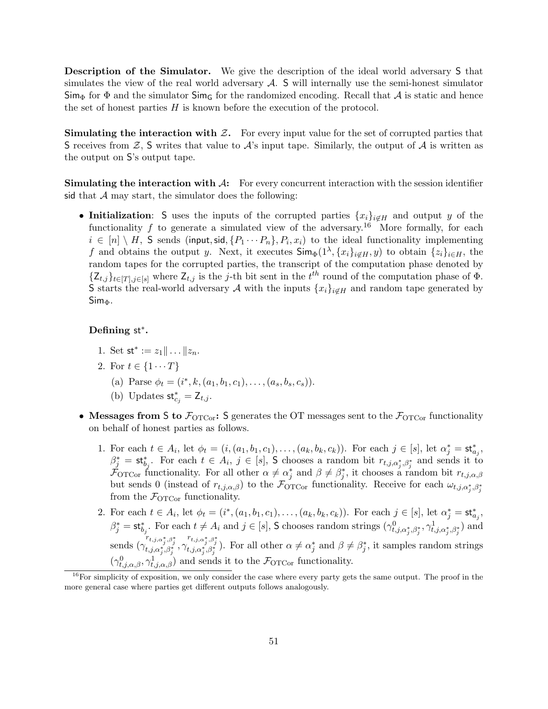Description of the Simulator. We give the description of the ideal world adversary S that simulates the view of the real world adversary  $A$ . S will internally use the semi-honest simulator  $\mathsf{Sim}_{\Phi}$  for  $\Phi$  and the simulator  $\mathsf{Sim}_{\mathsf{G}}$  for the randomized encoding. Recall that A is static and hence the set of honest parties  $H$  is known before the execution of the protocol.

**Simulating the interaction with**  $\mathcal{Z}$ **.** For every input value for the set of corrupted parties that S receives from  $\mathcal{Z}$ , S writes that value to  $\mathcal{A}$ 's input tape. Similarly, the output of  $\mathcal{A}$  is written as the output on S's output tape.

**Simulating the interaction with**  $\mathcal{A}$ **:** For every concurrent interaction with the session identifier sid that  $A$  may start, the simulator does the following:

• Initialization: S uses the inputs of the corrupted parties  $\{x_i\}_{i\in H}$  and output y of the functionality f to generate a simulated view of the adversary.<sup>16</sup> More formally, for each  $i \in [n] \setminus H$ , S sends (input, sid,  $\{P_1 \cdots P_n\}$ ,  $P_i$ ,  $x_i$ ) to the ideal functionality implementing f and obtains the output y. Next, it executes  $\textsf{Sim}_{\Phi}(1^{\lambda}, \{x_i\}_{i \notin H}, y)$  to obtain  $\{z_i\}_{i \in H}$ , the random tapes for the corrupted parties, the transcript of the computation phase denoted by  $\{Z_{t,j}\}_{t\in[T],j\in[s]}$  where  $Z_{t,j}$  is the j-th bit sent in the  $t^{th}$  round of the computation phase of  $\Phi$ . S starts the real-world adversary A with the inputs  $\{x_i\}_{i\in H}$  and random tape generated by SimΦ.

### Defining st<sup>\*</sup>.

- 1. Set  $\mathsf{st}^* := z_1 \| \dots \| z_n$ .
- 2. For  $t \in \{1 \cdots T\}$ 
	- (a) Parse  $\phi_t = (i^*, k, (a_1, b_1, c_1), \ldots, (a_s, b_s, c_s)).$
	- (b) Updates  $\mathsf{st}_{c_j}^* = \mathsf{Z}_{t,j}$ .
- Messages from S to  $\mathcal{F}_{\text{OTCor}}$ : S generates the OT messages sent to the  $\mathcal{F}_{\text{OTCor}}$  functionality on behalf of honest parties as follows.
	- 1. For each  $t \in A_i$ , let  $\phi_t = (i, (a_1, b_1, c_1), \ldots, (a_k, b_k, c_k))$ . For each  $j \in [s]$ , let  $\alpha_j^* = \mathsf{st}_{a_j}^*$ ,  $\beta_j^* = \mathsf{st}_{b_j}^*$ . For each  $t \in A_i$ ,  $j \in [s]$ , S chooses a random bit  $r_{t,j,\alpha_j^*,\beta_j^*}$  and sends it to  $\mathcal{F}_{\text{OTCor}}$  functionality. For all other  $\alpha \neq \alpha_j^*$  and  $\beta \neq \beta_j^*$ , it chooses a random bit  $r_{t,j,\alpha,\beta}$ but sends 0 (instead of  $r_{t,j,\alpha,\beta}$ ) to the  $\mathcal{F}_{\text{OTCor}}$  functionality. Receive for each  $\omega_{t,j,\alpha_j^*,\beta_j^*}$ from the  $\mathcal{F}_{\text{OTCor}}$  functionality.
	- 2. For each  $t \in A_i$ , let  $\phi_t = (i^*, (a_1, b_1, c_1), \dots, (a_k, b_k, c_k))$ . For each  $j \in [s]$ , let  $\alpha_j^* = \mathsf{st}_{a_j}^*$ ,  $\beta_j^* = \mathsf{st}_{b_j}^*$ . For each  $t \neq A_i$  and  $j \in [s]$ , S chooses random strings  $(\gamma_{t,j,\alpha_j^*,\beta_j^*}^0, \gamma_{t,j,\alpha_j^*,\beta_j^*}^1)$  and sends  $(\gamma_{t,j,\alpha_j^*,\beta_j^*}^{r_{t,j,\alpha_j^*,\beta_j^*}}$ ,  $\gamma_{t,j,\alpha_j^*,\beta_j^*}^{r_{t,j,\alpha_j^*,\beta_j^*}})$ . For all other  $\alpha \neq \alpha_j^*$  and  $\beta \neq \beta_j^*$ , it samples random strings  $(\gamma_{t,j,\alpha,\beta}^0, \gamma_{t,j,\alpha,\beta}^1)$  and sends it to the  $\mathcal{F}_{\text{OTCor}}$  functionality.

 $16$ For simplicity of exposition, we only consider the case where every party gets the same output. The proof in the more general case where parties get different outputs follows analogously.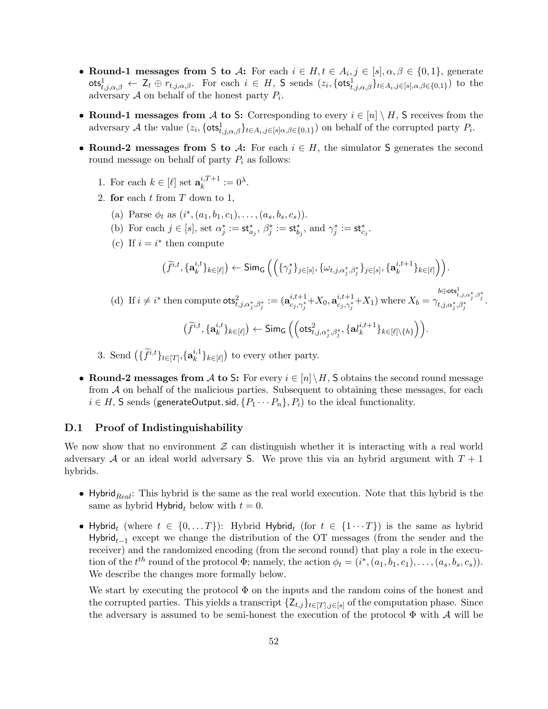- Round-1 messages from S to A: For each  $i \in H, t \in A_i, j \in [s], \alpha, \beta \in \{0,1\}$ , generate  $\textsf{ots}_{t,j,\alpha,\beta}^1 \leftarrow \mathsf{Z}_t \oplus r_{t,j,\alpha,\beta}.$  For each  $i \in H$ , S sends  $(z_i, \{\textsf{ots}_{t,j,\alpha,\beta}^1\}_{t \in A_i,j \in [s], \alpha,\beta \in \{0,1\}})$  to the adversary  $A$  on behalf of the honest party  $P_i$ .
- Round-1 messages from A to S: Corresponding to every  $i \in [n] \setminus H$ , S receives from the adversary A the value  $(z_i, {\{\text{ots}1\}}_{t,j,\alpha,\beta}\}_{t\in A_i,j\in [s]\alpha,\beta\in \{0,1\}})$  on behalf of the corrupted party  $P_i$ .
- Round-2 messages from S to A: For each  $i \in H$ , the simulator S generates the second round message on behalf of party  $P_i$  as follows:
	- 1. For each  $k \in [\ell]$  set  $\mathbf{a}_k^{i,T+1}$  $i^{T+1}_{k} := 0^{\lambda}.$
	- 2. for each  $t$  from  $T$  down to 1,
		- (a) Parse  $\phi_t$  as  $(i^*, (a_1, b_1, c_1), \ldots, (a_s, b_s, c_s)).$
		- (b) For each  $j \in [s]$ , set  $\alpha_j^* := \mathsf{st}_{a_j}^*, \ \beta_j^* := \mathsf{st}_{b_j}^*,$  and  $\gamma_j^* := \mathsf{st}_{c_j}^*$ .
		- (c) If  $i = i^*$  then compute

$$
(\widetilde{f}^{i,t}, \{a_k^{i,t}\}_{k\in[\ell]}) \leftarrow \text{Sim}_\mathsf{G}\left(\left\{\{\gamma_j^*\}_{j\in[s]}, \{\omega_{t,j,\alpha_j^*,\beta_j^*}\}_{j\in[s]}, \{\mathbf{a}_k^{i,t+1}\}_{k\in[\ell]}\right)\right).
$$

(d) If  $i \neq i^*$  then compute  $\text{ots} \text{ets}^2_{t,j,\alpha^*_j,\beta^*_j} := (\textbf{a}_{c_j,\gamma^*_j}^{i,t+1} + X_0, \textbf{a}_{c_j,\gamma^*_j}^{i,t+1} + X_1)$  where  $X_b = \gamma$  $b\oplus$ ots $\frac{1}{t,j,\alpha_j^*,\beta_j^*}$  $t,j,\alpha_j^*,\beta_j^*$ .  $(\widetilde{f}^{i,t},\{\mathbf{a}^{i,t}_k$  $\{k_i^{i,t}\}_{k\in[\ell]})\leftarrow \mathsf{Sim}_{\mathsf{G}}\left(\left(\mathsf{ots}^2_{t,j,\alpha_j^*,\beta_j^*}, \{\mathbf{a} l^{i,t+1}_k\}\right)$  $_{k}^{i,t+1}\}_{k\in\left[ \ell\right] \backslash\left\{ h\right\} }\Big)\Big).$ 

3. Send  $\left( \{ \widetilde{f}^{i,t} \}_{t \in [T]}, \{ \mathbf{a}_k^{i,1} \} \right)$  $\{k_k^{i,1}\}_{k\in[\ell]}$  to every other party.

• Round-2 messages from A to S: For every  $i \in [n] \backslash H$ , S obtains the second round message from A on behalf of the malicious parties. Subsequent to obtaining these messages, for each  $i \in H$ , S sends (generateOutput, sid,  $\{P_1 \cdots P_n\}$ ,  $P_i$ ) to the ideal functionality.

### D.1 Proof of Indistinguishability

We now show that no environment  $\mathcal Z$  can distinguish whether it is interacting with a real world adversary A or an ideal world adversary S. We prove this via an hybrid argument with  $T + 1$ hybrids.

- Hybrid<sub>Real</sub>: This hybrid is the same as the real world execution. Note that this hybrid is the same as hybrid  $Hybrid_t$  below with  $t = 0$ .
- Hybrid<sub>t</sub> (where  $t \in \{0, ..., T\}$ ): Hybrid Hybrid<sub>t</sub> (for  $t \in \{1...T\}$ ) is the same as hybrid Hybrid<sub>t−1</sub> except we change the distribution of the OT messages (from the sender and the receiver) and the randomized encoding (from the second round) that play a role in the execution of the  $t^{th}$  round of the protocol  $\Phi$ ; namely, the action  $\phi_t = (i^*, (a_1, b_1, c_1), \ldots, (a_s, b_s, c_s))$ . We describe the changes more formally below.

We start by executing the protocol  $\Phi$  on the inputs and the random coins of the honest and the corrupted parties. This yields a transcript  $\{Z_{t,j}\}_{t\in[T],j\in[s]}$  of the computation phase. Since the adversary is assumed to be semi-honest the execution of the protocol  $\Phi$  with  $\mathcal A$  will be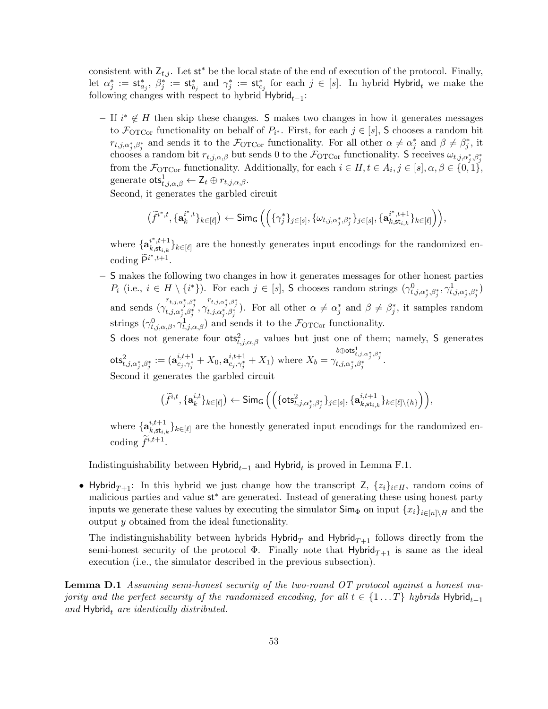consistent with  $Z_{t,j}$ . Let st<sup>\*</sup> be the local state of the end of execution of the protocol. Finally, let  $\alpha_j^* := \mathsf{st}_{a_j}^*$ ,  $\beta_j^* := \mathsf{st}_{b_j}^*$  and  $\gamma_j^* := \mathsf{st}_{c_j}^*$  for each  $j \in [s]$ . In hybrid Hybrid<sub>t</sub> we make the following changes with respect to hybrid  $\text{Hybrid}_{t-1}$ :

− If  $i^* \notin H$  then skip these changes. S makes two changes in how it generates messages to  $\mathcal{F}_{\text{OTCor}}$  functionality on behalf of  $P_{i^*}$ . First, for each  $j \in [s]$ , S chooses a random bit  $r_{t,j,\alpha_j^*,\beta_j^*}$  and sends it to the  $\mathcal{F}_{\text{OTCor}}$  functionality. For all other  $\alpha \neq \alpha_j^*$  and  $\beta \neq \beta_j^*$ , it chooses a random bit  $r_{t,j,\alpha,\beta}$  but sends 0 to the  $\mathcal{F}_{\text{OTCor}}$  functionality. S receives  $\omega_{t,j,\alpha_j^*,\beta_j^*}$ from the  $\mathcal{F}_{\text{OTCor}}$  functionality. Additionally, for each  $i \in H, t \in A_i, j \in [s], \alpha, \beta \in \{0, 1\},$ generate  $\textsf{ots}_{t,j,\alpha,\beta}^1 \leftarrow \mathsf{Z}_t \oplus r_{t,j,\alpha,\beta}.$ 

Second, it generates the garbled circuit

$$
(\widetilde{f}^{i^*,t}, \{a_k^{i^*,t}\}_{k\in[\ell]}) \leftarrow \text{Sim}_\text{G}\left( \left( \{\gamma_j^*\}_{j\in[s]}, \{\omega_{t,j,\alpha_j^*,\beta_j^*}\}_{j\in[s]}, \{a_{k,\text{st}_{i,k}}^{i^*,t+1}\}_{k\in[\ell]} \right) \right),
$$

where  $\{a_{k,st}^{i^*,t+1}\}$  $\{k, st_{i,k}\}_{k \in [\ell]}$  are the honestly generates input encodings for the randomized encoding  $\widetilde{\mathsf{P}}^{i^*,t+1}$ .

– S makes the following two changes in how it generates messages for other honest parties  $P_i$  (i.e.,  $i \in H \setminus \{i^*\}$ ). For each  $j \in [s]$ , S chooses random strings  $(\gamma_{t,j,\alpha_j^*,\beta_j^*}^0, \gamma_{t,j,\alpha_j^*,\beta_j^*}^1)$ and sends  $(\gamma_{t,j,\alpha_j^*,\beta_j^*}^{r_{t,j,\alpha_j^*,\beta_j^*}} , \gamma_{t,j,\alpha_j^*,\beta_j^*}^{r_{t,j,\alpha_j^*,\beta_j^*}})$ . For all other  $\alpha \neq \alpha_j^*$  and  $\beta \neq \beta_j^*$ , it samples random strings  $(\gamma_{t,j,\alpha,\beta}^0, \gamma_{t,j,\alpha,\beta}^1)$  and sends it to the  $\mathcal{F}_{\text{OTCor}}$  functionality.

S does not generate four  $\text{ots}_{t,j,\alpha,\beta}^2$  values but just one of them; namely, S generates  ${\sf ots}_{t,j,\alpha_j^*,\beta_j^*}^2:=(\mathbf{a}_{c_j,\gamma_j^*}^{i,t+1}+X_0,\mathbf{a}_{c_j,\gamma_j^*}^{i,t+1}+X_1) \text{ where } X_b=\gamma$  $b\oplus$ ots $^1_{t,j,\alpha_j^*,\beta_j^*}$  ,  $t,j,\alpha_j^*,\beta_j^*$  . Second it generates the garbled circuit

$$
\big(\widetilde{f}^{i,t}, \{\mathbf{a}^{i,t}_k\}_{k\in[\ell]}\big) \leftarrow \mathrm{Sim}_{\mathsf{G}}\left( \Big( \{\mathrm{ots}^2_{t,j,\alpha^*_j,\beta^*_j}\}_{j\in[s]}, \{\mathbf{a}^{i,t+1}_{k,\mathsf{st}_{i,k}}\}_{k\in[\ell]\backslash\{h\}} \Big) \right)\!,
$$

where  $\{a_k^{i,t+1}$  $\{k, t+1 \atop k, st_i, k}\}_{k \in [\ell]}$  are the honestly generated input encodings for the randomized encoding  $\tilde{f}^{i,t+1}$ .

Indistinguishability between  $\text{Hybrid}_{t-1}$  and  $\text{Hybrid}_{t}$  is proved in Lemma F.1.

• Hybrid<sub>T+1</sub>: In this hybrid we just change how the transcript Z,  $\{z_i\}_{i\in H}$ , random coins of malicious parties and value st<sup>∗</sup> are generated. Instead of generating these using honest party inputs we generate these values by executing the simulator  $\mathsf{Sim}_{\Phi}$  on input  $\{x_i\}_{i\in[n]\setminus H}$  and the output y obtained from the ideal functionality.

The indistinguishability between hybrids  $Hybrid_T$  and  $Hybrid_{T+1}$  follows directly from the semi-honest security of the protocol  $\Phi$ . Finally note that Hybrid $T_{+1}$  is same as the ideal execution (i.e., the simulator described in the previous subsection).

Lemma D.1 Assuming semi-honest security of the two-round OT protocol against a honest majority and the perfect security of the randomized encoding, for all  $t \in \{1...T\}$  hybrids Hybrid<sub>t−1</sub> and  $Hybrid<sub>t</sub>$  are identically distributed.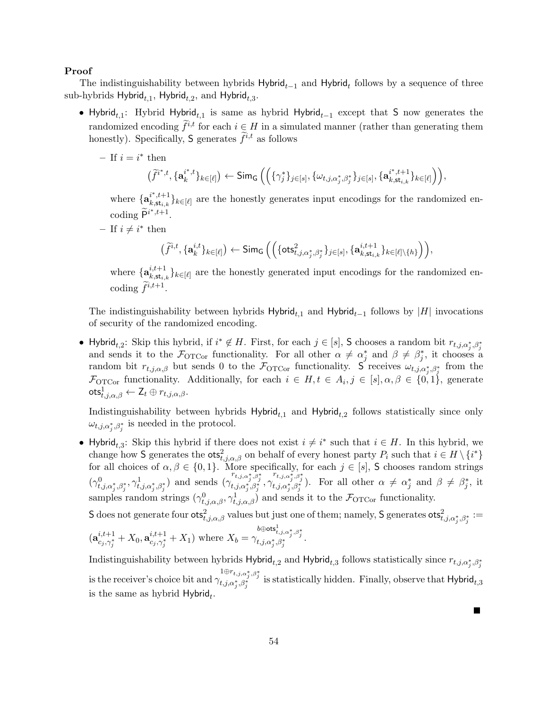#### Proof

The indistinguishability between hybrids  $\text{Hybrid}_{t-1}$  and  $\text{Hybrid}_{t}$  follows by a sequence of three  $\text{sub-hybrids}\; \mathsf{Hybrid}_{t,1}, \, \mathsf{Hybrid}_{t,2}, \, \text{and}\; \mathsf{Hybrid}_{t,3}.$ 

- Hybrid<sub>t,1</sub>: Hybrid Hybrid<sub>t,1</sub> is same as hybrid Hybrid<sub>t−1</sub> except that S now generates the randomized encoding  $f^{i,t}$  for each  $i \in H$  in a simulated manner (rather than generating them honestly). Specifically, S generates  $\tilde{f}^{i,t}$  as follows
	- $-$  If  $i = i^*$  then

$$
(\widetilde{f}^{i^*,t}, \{a_k^{i^*,t}\}_{k\in[\ell]}) \leftarrow \text{Sim}_{\textbf{G}}\left( \left( \{\gamma_j^*\}_{j\in[s]}, \{\omega_{t,j,\alpha_j^*,\beta_j^*}\}_{j\in[s]}, \{a_{k,\textbf{st}_{i,k}}^{i^*,t+1}\}_{k\in[\ell]} \right) \right),
$$

where  $\{a_{k,st}^{i^*,t+1}\}$  $\{k, st_{i,k}\}_{k \in [\ell]}$  are the honestly generates input encodings for the randomized encoding  $\widetilde{\mathsf{P}}^{i^*,t+1}$ .

 $-$  If  $i \neq i^*$  then

$$
\big(\widetilde{f}^{i,t}, \{\mathbf{a}^{i,t}_k\}_{k\in[\ell]}\big) \leftarrow \mathsf{Sim}_{\mathsf{G}}\left( \Big( \{\mathsf{ots}^2_{t,j,\alpha^*_j,\beta^*_j}\}_{j\in[s]}, \{\mathbf{a}^{i,t+1}_{k,\mathsf{st}_{i,k}}\}_{k\in[\ell]\backslash\{h\}} \Big) \right)\!,
$$

where  $\{a_k^{i,t+1}$  $\{k, t+1 \atop k, st_i, k}\}_{k \in [\ell]}$  are the honestly generated input encodings for the randomized encoding  $\tilde{f}^{i,t+1}$ .

The indistinguishability between hybrids  $\text{Hybrid}_{t,1}$  and  $\text{Hybrid}_{t-1}$  follows by |H| invocations of security of the randomized encoding.

• Hybrid<sub>t,2</sub>: Skip this hybrid, if  $i^* \notin H$ . First, for each  $j \in [s]$ , S chooses a random bit  $r_{t,j,\alpha_j^*,\beta_j^*}$ and sends it to the  $\mathcal{F}_{\text{OTCor}}$  functionality. For all other  $\alpha \neq \alpha_j^*$  and  $\beta \neq \beta_j^*$ , it chooses a random bit  $r_{t,j,\alpha,\beta}$  but sends 0 to the  $\mathcal{F}_{\text{OTCor}}$  functionality. S receives  $\omega_{t,j,\alpha_j^*,\beta_j^*}$  from the  $\mathcal{F}_{\text{OTCor}}$  functionality. Additionally, for each  $i \in H, t \in A_i, j \in [s], \alpha, \beta \in \{0,1\}$ , generate  $\mathsf{ots}^1_{t,j,\alpha,\beta} \leftarrow \mathsf{Z}_t \oplus r_{t,j,\alpha,\beta}.$ 

Indistinguishability between hybrids  $H$ ybrid $_{t,1}$  and  $H$ ybrid $_{t,2}$  follows statistically since only  $\omega_{t,j,\alpha_j^*,\beta_j^*}$  is needed in the protocol.

• Hybrid<sub>t,3</sub>: Skip this hybrid if there does not exist  $i \neq i^*$  such that  $i \in H$ . In this hybrid, we change how S generates the  $\text{ots}^2_{t,j,\alpha,\beta}$  on behalf of every honest party  $P_i$  such that  $i \in H \setminus \{i^*\}$ for all choices of  $\alpha, \beta \in \{0, 1\}$ . More specifically, for each  $j \in [s]$ , S chooses random strings  $(\gamma_{t,j,\alpha_j^*,\beta_j^*}^0, \gamma_{t,j,\alpha_j^*,\beta_j^*}^1)$  and sends  $(\gamma_{t,j,\alpha_j^*,\beta_j^*}^r, \gamma_{t,j,\alpha_j^*,\beta_j^*}^r)$ . For all other  $\alpha \neq \alpha_j^*$  and  $\beta \neq \beta_j^*$ , it samples random strings  $(\gamma_{t,j,\alpha,\beta}^0, \gamma_{t,j,\alpha,\beta}^1)$  and sends it to the  $\mathcal{F}_{\text{OTCor}}$  functionality.

S does not generate four  ${\sf ots}^2_{t,j,\alpha,\beta}$  values but just one of them; namely, S generates  ${\sf ots}^2_{t,j,\alpha_j^*,\beta_j^*}:=$  $(\mathbf{a}_{c_j,\gamma_j^*}^{i,t+1} + X_0, \mathbf{a}_{c_j,\gamma_j^*}^{i,t+1} + X_1)$  where  $X_b = \gamma$  $b\oplus$ ots $^{1}_{t,j,\alpha_{j}^{*},\beta_{j}^{*}} \ \ i,j,\alpha_{j}^{*},\beta_{j}^{*}$ .

Indistinguishability between hybrids  $\mathsf{Hybrid}_{t,2}$  and  $\mathsf{Hybrid}_{t,3}$  follows statistically since  $r_{t,j,\alpha_j^*,\beta_j^*}$ is the receiver's choice bit and  $\gamma_{t,j,\alpha_j^*,\beta_j^*}^{1\oplus r_{t,j,\alpha_j^*,\beta_j^*}}$  is statistically hidden. Finally, observe that  $\mathsf{Hybrid}_{t,3}$ is the same as hybrid  $Hybrid_t$ .

 $\blacksquare$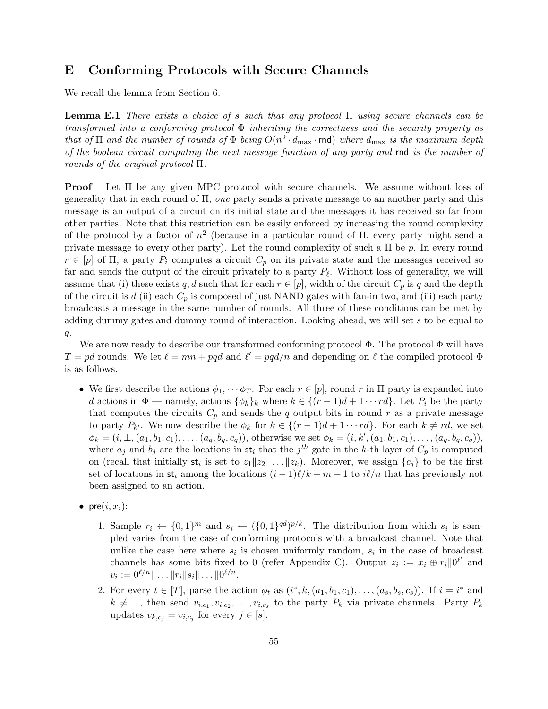## E Conforming Protocols with Secure Channels

We recall the lemma from Section 6.

**Lemma E.1** There exists a choice of s such that any protocol  $\Pi$  using secure channels can be transformed into a conforming protocol Φ inheriting the correctness and the security property as that of  $\Pi$  and the number of rounds of  $\Phi$  being  $O(n^2 \cdot d_{\max} \cdot \text{rnd})$  where  $d_{\max}$  is the maximum depth of the boolean circuit computing the next message function of any party and rnd is the number of rounds of the original protocol Π.

Proof Let Π be any given MPC protocol with secure channels. We assume without loss of generality that in each round of Π, one party sends a private message to an another party and this message is an output of a circuit on its initial state and the messages it has received so far from other parties. Note that this restriction can be easily enforced by increasing the round complexity of the protocol by a factor of  $n^2$  (because in a particular round of  $\Pi$ , every party might send a private message to every other party). Let the round complexity of such a  $\Pi$  be p. In every round  $r \in [p]$  of  $\Pi$ , a party  $P_i$  computes a circuit  $C_p$  on its private state and the messages received so far and sends the output of the circuit privately to a party  $P_\ell$ . Without loss of generality, we will assume that (i) these exists q, d such that for each  $r \in [p]$ , width of the circuit  $C_p$  is q and the depth of the circuit is d (ii) each  $C_p$  is composed of just NAND gates with fan-in two, and (iii) each party broadcasts a message in the same number of rounds. All three of these conditions can be met by adding dummy gates and dummy round of interaction. Looking ahead, we will set s to be equal to  $q$ .

We are now ready to describe our transformed conforming protocol  $\Phi$ . The protocol  $\Phi$  will have  $T = pd$  rounds. We let  $\ell = mn + pqd$  and  $\ell' = pqd/n$  and depending on  $\ell$  the compiled protocol  $\Phi$ is as follows.

- We first describe the actions  $\phi_1, \dots, \phi_T$ . For each  $r \in [p]$ , round r in  $\Pi$  party is expanded into d actions in  $\Phi$  — namely, actions  $\{\phi_k\}_k$  where  $k \in \{(r-1)d+1 \cdots rd\}$ . Let  $P_i$  be the party that computes the circuits  $C_p$  and sends the q output bits in round r as a private message to party  $P_{k'}$ . We now describe the  $\phi_k$  for  $k \in \{(r-1)d+1 \cdots rd\}$ . For each  $k \neq rd$ , we set  $\phi_k = (i, \perp, (a_1, b_1, c_1), \ldots, (a_q, b_q, c_q))$ , otherwise we set  $\phi_k = (i, k', (a_1, b_1, c_1), \ldots, (a_q, b_q, c_q))$ , where  $a_j$  and  $b_j$  are the locations in  $st_i$  that the  $j<sup>th</sup>$  gate in the k-th layer of  $C_p$  is computed on (recall that initially  $st_i$  is set to  $z_1||z_2|| \ldots ||z_k$ ). Moreover, we assign  $\{c_j\}$  to be the first set of locations in  $st_i$  among the locations  $(i - 1)\ell/k + m + 1$  to  $i\ell/n$  that has previously not been assigned to an action.
- pre $(i, x_i)$ :
	- 1. Sample  $r_i \leftarrow \{0,1\}^m$  and  $s_i \leftarrow (\{0,1\}^{qd})^{p/k}$ . The distribution from which  $s_i$  is sampled varies from the case of conforming protocols with a broadcast channel. Note that unlike the case here where  $s_i$  is chosen uniformly random,  $s_i$  in the case of broadcast channels has some bits fixed to 0 (refer Appendix C). Output  $z_i := x_i \oplus r_i ||0^{\ell'}$  and  $v_i := 0^{\ell/n} \| \dots \| r_i \| s_i \| \dots \| 0^{\ell/n}.$
	- 2. For every  $t \in [T]$ , parse the action  $\phi_t$  as  $(i^*, k, (a_1, b_1, c_1), \ldots, (a_s, b_s, c_s))$ . If  $i = i^*$  and  $k \neq \perp$ , then send  $v_{i,c_1}, v_{i,c_2}, \ldots, v_{i,c_s}$  to the party  $P_k$  via private channels. Party  $P_k$ updates  $v_{k,c_j} = v_{i,c_j}$  for every  $j \in [s]$ .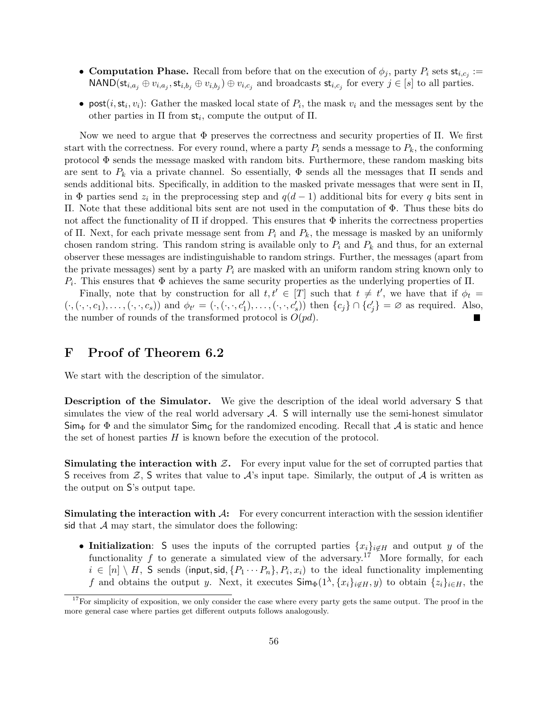- Computation Phase. Recall from before that on the execution of  $\phi_j$ , party  $P_i$  sets  $\mathsf{st}_{i,c_j} :=$  $\mathsf{NAND}(\mathsf{st}_{i,a_j} \oplus v_{i,a_j}, \mathsf{st}_{i,b_j} \oplus v_{i,b_j}) \oplus v_{i,c_j}$  and broadcasts  $\mathsf{st}_{i,c_j}$  for every  $j \in [s]$  to all parties.
- post(*i*, st<sub>i</sub>,  $v_i$ ): Gather the masked local state of  $P_i$ , the mask  $v_i$  and the messages sent by the other parties in  $\Pi$  from  $st_i$ , compute the output of  $\Pi$ .

Now we need to argue that  $\Phi$  preserves the correctness and security properties of  $\Pi$ . We first start with the correctness. For every round, where a party  $P_i$  sends a message to  $P_k$ , the conforming protocol  $\Phi$  sends the message masked with random bits. Furthermore, these random masking bits are sent to  $P_k$  via a private channel. So essentially,  $\Phi$  sends all the messages that  $\Pi$  sends and sends additional bits. Specifically, in addition to the masked private messages that were sent in Π, in  $\Phi$  parties send  $z_i$  in the preprocessing step and  $q(d-1)$  additional bits for every q bits sent in Π. Note that these additional bits sent are not used in the computation of Φ. Thus these bits do not affect the functionality of  $\Pi$  if dropped. This ensures that  $\Phi$  inherits the correctness properties of Π. Next, for each private message sent from  $P_i$  and  $P_k$ , the message is masked by an uniformly chosen random string. This random string is available only to  $P_i$  and  $P_k$  and thus, for an external observer these messages are indistinguishable to random strings. Further, the messages (apart from the private messages) sent by a party  $P_i$  are masked with an uniform random string known only to  $P_i$ . This ensures that  $\Phi$  achieves the same security properties as the underlying properties of  $\Pi$ .

Finally, note that by construction for all  $t, t' \in [T]$  such that  $t \neq t'$ , we have that if  $\phi_t =$  $(\cdot, (\cdot, \cdot, c_1), \ldots, (\cdot, \cdot, c_s))$  and  $\phi_{t'} = (\cdot, (\cdot, \cdot, c'_1), \ldots, (\cdot, \cdot, c'_s))$  then  $\{c_j\} \cap \{c'_j\} = \emptyset$  as required. Also, the number of rounds of the transformed protocol is  $O(p d)$ .  $\blacksquare$ 

### F Proof of Theorem 6.2

We start with the description of the simulator.

Description of the Simulator. We give the description of the ideal world adversary S that simulates the view of the real world adversary  $A$ . S will internally use the semi-honest simulator  $\mathsf{Sim}_{\Phi}$  for  $\Phi$  and the simulator  $\mathsf{Sim}_{\mathsf{G}}$  for the randomized encoding. Recall that A is static and hence the set of honest parties  $H$  is known before the execution of the protocol.

**Simulating the interaction with Z.** For every input value for the set of corrupted parties that S receives from  $\mathcal{Z}$ , S writes that value to  $\mathcal{A}$ 's input tape. Similarly, the output of  $\mathcal{A}$  is written as the output on S's output tape.

**Simulating the interaction with**  $\mathcal{A}$ **:** For every concurrent interaction with the session identifier sid that  $A$  may start, the simulator does the following:

• Initialization: S uses the inputs of the corrupted parties  $\{x_i\}_{i\in H}$  and output y of the functionality f to generate a simulated view of the adversary.<sup>17</sup> More formally, for each  $i \in [n] \setminus H$ , S sends (input, sid,  $\{P_1 \cdots P_n\}$ ,  $P_i$ ,  $x_i$ ) to the ideal functionality implementing f and obtains the output y. Next, it executes  $\textsf{Sim}_{\Phi}(1^{\lambda}, \{x_i\}_{i \notin H}, y)$  to obtain  $\{z_i\}_{i \in H}$ , the

 $17$  For simplicity of exposition, we only consider the case where every party gets the same output. The proof in the more general case where parties get different outputs follows analogously.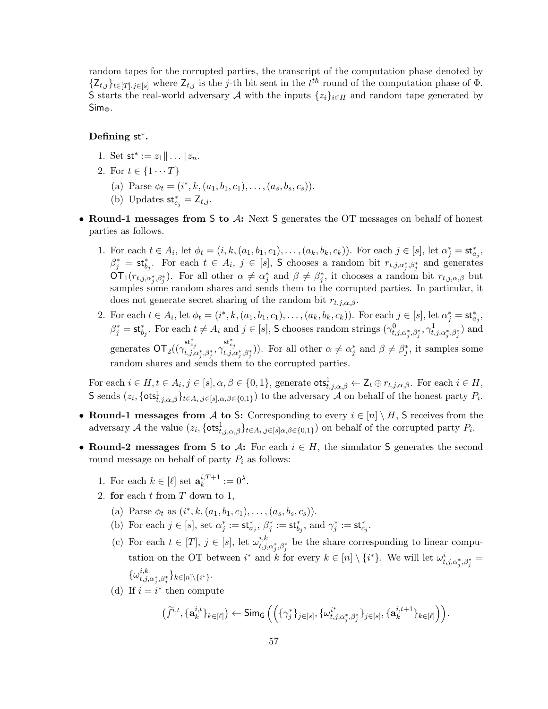random tapes for the corrupted parties, the transcript of the computation phase denoted by  $\{Z_{t,j}\}_{t\in[T],j\in[s]}$  where  $Z_{t,j}$  is the j-th bit sent in the  $t^{th}$  round of the computation phase of  $\Phi$ . S starts the real-world adversary A with the inputs  $\{z_i\}_{i\in H}$  and random tape generated by  $\mathsf{Sim}_{\Phi}$ .

### Defining st<sup>\*</sup>.

- 1. Set  $\mathsf{st}^* := z_1 \| \dots \| z_n$ .
- 2. For  $t \in \{1 \cdots T\}$ 
	- (a) Parse  $\phi_t = (i^*, k, (a_1, b_1, c_1), \dots, (a_s, b_s, c_s)).$
	- (b) Updates  $\mathsf{st}_{c_j}^* = \mathsf{Z}_{t,j}$ .
- Round-1 messages from S to A: Next S generates the OT messages on behalf of honest parties as follows.
	- 1. For each  $t \in A_i$ , let  $\phi_t = (i, k, (a_1, b_1, c_1), \ldots, (a_k, b_k, c_k))$ . For each  $j \in [s]$ , let  $\alpha_j^* = \mathsf{st}_{a_j}^*$ ,  $\beta_j^* = \mathsf{st}_{b_j}^*$ . For each  $t \in A_i$ ,  $j \in [s]$ , S chooses a random bit  $r_{t,j,\alpha_j^*,\beta_j^*}$  and generates  $\overline{\text{OT}}_1(r_{t,j,\alpha_j^*,\beta_j^*})$ . For all other  $\alpha \neq \alpha_j^*$  and  $\beta \neq \beta_j^*$ , it chooses a random bit  $r_{t,j,\alpha,\beta}$  but samples some random shares and sends them to the corrupted parties. In particular, it does not generate secret sharing of the random bit  $r_{t,i,\alpha,\beta}$ .
	- 2. For each  $t \in A_i$ , let  $\phi_t = (i^*, k, (a_1, b_1, c_1), \ldots, (a_k, b_k, c_k))$ . For each  $j \in [s]$ , let  $\alpha_j^* = \mathsf{st}_{a_j}^*$ ,  $\beta_j^* = \mathsf{st}_{b_j}^*$ . For each  $t \neq A_i$  and  $j \in [s]$ , S chooses random strings  $(\gamma_{t,j,\alpha_j^*,\beta_j^*}^0, \gamma_{t,j,\alpha_j^*,\beta_j^*}^1)$  and generates  $\text{OT}_2((\gamma_{t,j,\alpha_j^*,\beta_j^*}^{\text{st}_{c_j^*}}, \gamma_{t,j,\alpha_j^*,\beta_j^*}^{\text{st}_{c_j^*}}))$ . For all other  $\alpha \neq \alpha_j^*$  and  $\beta \neq \beta_j^*$ , it samples some random shares and sends them to the corrupted parties.

For each  $i \in H, t \in A_i, j \in [s], \alpha, \beta \in \{0,1\}$ , generate  $\text{ots}_{t,j,\alpha,\beta}^1 \leftarrow \mathsf{Z}_t \oplus r_{t,j,\alpha,\beta}$ . For each  $i \in H$ , S sends  $(z_i, {\{\text{ots}\n\}}_{t,j,\alpha,\beta}\}_{t\in A_i,j\in [s],\alpha,\beta\in \{0,1\}})$  to the adversary  $\mathcal A$  on behalf of the honest party  $P_i$ .

- Round-1 messages from A to S: Corresponding to every  $i \in [n] \setminus H$ , S receives from the adversary A the value  $(z_i, {\{\text{ots}1\}}_{t,j,\alpha,\beta}\}_{t\in A_i,j\in [s]\alpha,\beta\in \{0,1\}})$  on behalf of the corrupted party  $P_i$ .
- Round-2 messages from S to A: For each  $i \in H$ , the simulator S generates the second round message on behalf of party  $P_i$  as follows:
	- 1. For each  $k \in [\ell]$  set  $\mathbf{a}_k^{i,T+1}$  $i^{T+1}_{k} := 0^{\lambda}.$
	- 2. for each  $t$  from  $T$  down to 1.
		- (a) Parse  $\phi_t$  as  $(i^*, k, (a_1, b_1, c_1), \ldots, (a_s, b_s, c_s)).$
		- (b) For each  $j \in [s]$ , set  $\alpha_j^* := \mathsf{st}_{a_j}^*, \ \beta_j^* := \mathsf{st}_{b_j}^*,$  and  $\gamma_j^* := \mathsf{st}_{c_j}^*$ .
		- (c) For each  $t \in [T], j \in [s],$  let  $\omega_{t,j,\alpha_j^*,\beta_j^*}^{i,k}$  be the share corresponding to linear computation on the OT between  $i^*$  and  $k$  for every  $k \in [n] \setminus \{i^*\}$ . We will let  $\omega_{t,j,\alpha_j^*,\beta_j^*}^* =$  $\{\omega^{i,k}_{t,j,\alpha_j^*,\beta_j^*}\}_{k\in[n]\backslash\{i^*\}}.$
		- (d) If  $i = i^*$  then compute

$$
(\widetilde{f}^{i,t}, \{a_k^{i,t}\}_{k\in[\ell]}) \leftarrow \text{Sim}_\text{G}\left( \left( \{\gamma_j^*\}_{j\in[s]}, \{\omega_{t,j,\alpha_j^*,\beta_j^*}^{i^*}\}_{j\in[s]}, \{a_k^{i,t+1}\}_{k\in[\ell]} \right) \right).
$$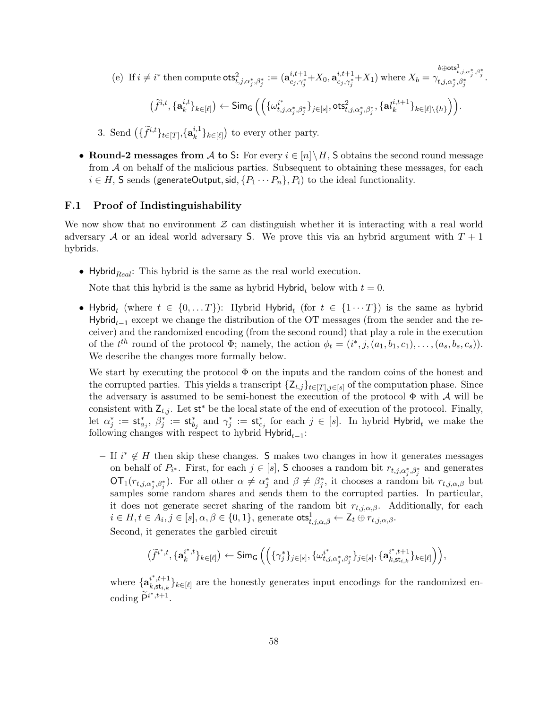(e) If  $i \neq i^*$  then compute  $\text{ots}_{t,j,\alpha_j^*,\beta_j^*}^* := (\textbf{a}_{c_j,\gamma_j^*}^{i,t+1} + X_0, \textbf{a}_{c_j,\gamma_j^*}^{i,t+1} + X_1)$  where  $X_b = \gamma$  $b\oplus$ ots $^1_{t,j,\alpha_j^*,\beta_j^*}$ <br> $t,j,\alpha_j^*,\beta_j^*$ 

$$
(\tilde{f}^{i,t}, \{a_k^{i,t}\}_{k\in[\ell]}) \leftarrow \textsf{Sim}_{\textsf{G}}\left( \left( \{ \omega_{t,j,\alpha_j^*,\beta_j^*}^{i^*}\}_{j\in[s]}, \textsf{ots}_{t,j,\alpha_j^*,\beta_j^*}^{2}, \{a l_k^{i,t+1}\}_{k\in[\ell]\setminus\{h\}} \right) \right).
$$

3. Send  $\left\{\{\widetilde{f}^{i,t}\}_{t\in[T]},\{\mathbf{a}_k^{i,1}\}\right\}$  $\{k+1\}_{k\in[\ell]}$  to every other party.

• Round-2 messages from A to S: For every  $i \in [n] \backslash H$ , S obtains the second round message from  $A$  on behalf of the malicious parties. Subsequent to obtaining these messages, for each  $i \in H$ , S sends (generateOutput, sid,  $\{P_1 \cdots P_n\}$ ,  $P_i$ ) to the ideal functionality.

### F.1 Proof of Indistinguishability

We now show that no environment  $\mathcal Z$  can distinguish whether it is interacting with a real world adversary A or an ideal world adversary S. We prove this via an hybrid argument with  $T + 1$ hybrids.

• Hybrid $_{Real}$ : This hybrid is the same as the real world execution.

Note that this hybrid is the same as hybrid  $H$ ybrid, below with  $t = 0$ .

• Hybrid<sub>t</sub> (where  $t \in \{0, \ldots T\}$ ): Hybrid Hybrid<sub>t</sub> (for  $t \in \{1 \cdots T\}$ ) is the same as hybrid Hybrid<sub>t−1</sub> except we change the distribution of the OT messages (from the sender and the receiver) and the randomized encoding (from the second round) that play a role in the execution of the  $t^{th}$  round of the protocol  $\Phi$ ; namely, the action  $\phi_t = (i^*, j, (a_1, b_1, c_1), \ldots, (a_s, b_s, c_s)).$ We describe the changes more formally below.

We start by executing the protocol  $\Phi$  on the inputs and the random coins of the honest and the corrupted parties. This yields a transcript  $\{Z_{t,j}\}_{t\in[T],j\in[s]}$  of the computation phase. Since the adversary is assumed to be semi-honest the execution of the protocol  $\Phi$  with  $\mathcal A$  will be consistent with  $Z_{t,j}$ . Let st<sup>\*</sup> be the local state of the end of execution of the protocol. Finally, let  $\alpha_j^* := \mathsf{st}_{a_j}^*$ ,  $\beta_j^* := \mathsf{st}_{b_j}^*$  and  $\gamma_j^* := \mathsf{st}_{c_j}^*$  for each  $j \in [s]$ . In hybrid Hybrid<sub>t</sub> we make the following changes with respect to hybrid  $\text{Hybrid}_{t-1}$ :

− If  $i^* \notin H$  then skip these changes. S makes two changes in how it generates messages on behalf of  $P_{i^*}$ . First, for each  $j \in [s]$ , S chooses a random bit  $r_{t,j,\alpha_j^*,\beta_j^*}$  and generates  $\text{OT}_1(r_{t,j,\alpha_j^*,\beta_j^*})$ . For all other  $\alpha \neq \alpha_j^*$  and  $\beta \neq \beta_j^*$ , it chooses a random bit  $r_{t,j,\alpha,\beta}$  but samples some random shares and sends them to the corrupted parties. In particular, it does not generate secret sharing of the random bit  $r_{t,i,\alpha,\beta}$ . Additionally, for each  $i \in H, t \in A_i, j \in [s], \alpha, \beta \in \{0, 1\}$ , generate  $\text{ots}_{t,j,\alpha,\beta}^1 \leftarrow \mathsf{Z}_t \oplus r_{t,j,\alpha,\beta}.$ 

Second, it generates the garbled circuit

$$
(\widetilde{f}^{i^*,t}, \{a_k^{i^*,t}\}_{k\in[\ell]}) \leftarrow \text{Sim}_\text{G}\left(\left(\{\gamma_j^*\}_{j\in[s]}, \{\omega_{t,j,\alpha_j^*,\beta_j^*}^{i^*}\}_{j\in[s]}, \{a_{k,\text{st}_{i,k}}^{i^*,t+1}\}_{k\in[\ell]}\right)\right),
$$

where  $\{a_{k,st}^{i^*,t+1}\}$  $\{k, st_{i,k}\}_{k \in [\ell]}$  are the honestly generates input encodings for the randomized encoding  $\widetilde{\mathsf{P}}^{i^*,t+1}$ .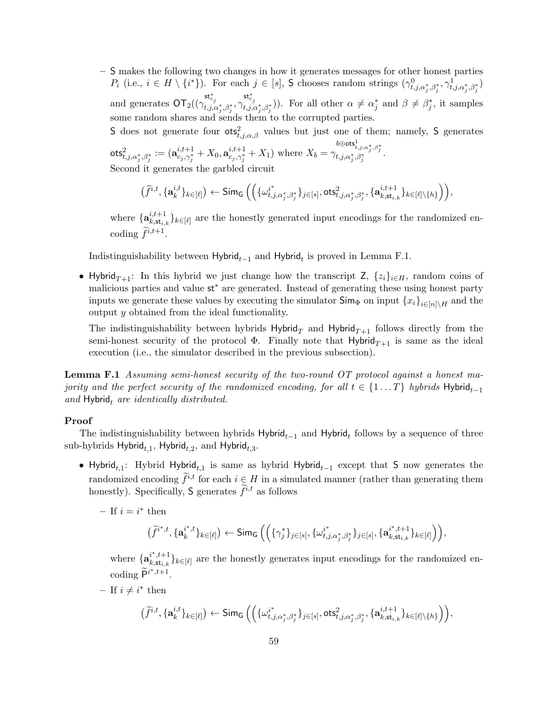– S makes the following two changes in how it generates messages for other honest parties  $P_i$  (i.e.,  $i \in H \setminus \{i^*\}$ ). For each  $j \in [s]$ , S chooses random strings  $(\gamma_{t,j,\alpha_j^*,\beta_j^*}^0, \gamma_{t,j,\alpha_j^*,\beta_j^*}^1)$ and generates  $\text{OT}_2((\gamma_{t,j,\alpha_j^*,\beta_j^*}^{\text{st}_{c_j^*}}, \gamma_{t,j,\alpha_j^*,\beta_j^*}^{\text{st}_{c_j^*}}))$ . For all other  $\alpha \neq \alpha_j^*$  and  $\beta \neq \beta_j^*$ , it samples some random shares and sends them to the corrupted parties.

S does not generate four  $\mathsf{ots}^2_{t,j,\alpha,\beta}$  values but just one of them; namely, S generates  ${\sf ots}_{t,j,\alpha_j^*,\beta_j^*}^2:=(\mathbf{a}_{c_j,\gamma_j^*}^{i,t+1}+X_0,\mathbf{a}_{c_j,\gamma_j^*}^{i,t+1}+X_1) \text{ where } X_b=\gamma$  $b\oplus$ ots $^1_{t,j,\alpha_j^*,\beta_j^*}$ <br> $t,j,\alpha_j^*,\beta_j^*$ Second it generates the garbled circuit

$$
\big(\widetilde{f}^{i,t}, \{\mathbf{a}_k^{i,t}\}_{k\in[\ell]}\big) \leftarrow \mathsf{Sim}_{\mathsf{G}}\left( \Big( \{\omega_{t,j,\alpha_j^*,\beta_j^*}^{i^*}\}_{j\in[s]},\mathsf{ots}_{t,j,\alpha_j^*,\beta_j^*}^{2}, \{\mathbf{a}_{k,\mathsf{st}_{i,k}}^{i,t+1}\}_{k\in[\ell]\setminus\{h\}} \Big) \right),
$$

where  $\{a_k^{i,t+1}$  $\{k, t+1 \atop k, st_{i,k}\}_{k \in [\ell]}$  are the honestly generated input encodings for the randomized encoding  $\widetilde{f}^{i,t+1}$ .

Indistinguishability between  $\mathsf{Hybrid}_{t-1}$  and  $\mathsf{Hybrid}_{t}$  is proved in Lemma F.1.

• Hybrid<sub>T+1</sub>: In this hybrid we just change how the transcript Z,  $\{z_i\}_{i\in H}$ , random coins of malicious parties and value st<sup>∗</sup> are generated. Instead of generating these using honest party inputs we generate these values by executing the simulator  $\mathsf{Sim}_{\Phi}$  on input  $\{x_i\}_{i\in[n]\setminus H}$  and the output y obtained from the ideal functionality.

The indistinguishability between hybrids  $Hybrid_T$  and  $Hybrid_{T+1}$  follows directly from the semi-honest security of the protocol  $\Phi$ . Finally note that Hybrid<sub>T+1</sub> is same as the ideal execution (i.e., the simulator described in the previous subsection).

**Lemma F.1** Assuming semi-honest security of the two-round OT protocol against a honest majority and the perfect security of the randomized encoding, for all  $t \in \{1...T\}$  hybrids  $\text{Hybrid}_{t-1}$ and  $Hybrid_t$  are identically distributed.

### Proof

The indistinguishability between hybrids  $\text{Hybrid}_{t-1}$  and  $\text{Hybrid}_{t}$  follows by a sequence of three  $\text{sub-hybrids}\; \mathsf{Hybrid}_{t,1}, \; \mathsf{Hybrid}_{t,2}, \; \text{and}\; \mathsf{Hybrid}_{t,3}.$ 

• Hybrid<sub>t,1</sub>: Hybrid Hybrid<sub>t,1</sub> is same as hybrid Hybrid<sub>t-1</sub> except that S now generates the randomized encoding  $\tilde{f}^{i,t}$  for each  $i \in H$  in a simulated manner (rather than generating them honestly). Specifically, S generates  $\tilde{f}^{i,t}$  as follows

$$
- \hbox{ If } i = i^* \hbox{ then }
$$

$$
(\widetilde{f}^{i^*,t}, \{a_k^{i^*,t}\}_{k\in[\ell]}) \leftarrow \text{Sim}_{\textbf{G}}\left( \left( \{\gamma_j^*\}_{j\in[s]}, \{\omega_{t,j,\alpha_j^*,\beta_j^*}^{i^*}\}_{j\in[s]}, \{a_{k,\mathbf{st}_{i,k}}^{i^*,t+1}\}_{k\in[\ell]} \right) \right),
$$

where  $\{a_{k,st}^{i^*,t+1}\}$  $\{k, st_{i,k}\}_{k \in [\ell]}$  are the honestly generates input encodings for the randomized encoding  $\widetilde{\mathsf{P}}^{i^*,t+1}$ .

 $-$  If  $i \neq i^*$  then

$$
(\widetilde{f}^{i,t}, \{ \mathbf{a}^{i,t}_k \}_{k \in [\ell]} ) \leftarrow \mathsf{Sim}_{\mathsf{G}} \left( \left( \{ \omega^{i^*}_{t,j,\alpha^*_j,\beta^*_j} \}_{j \in [s]}, \mathsf{ots}^2_{t,j,\alpha^*_j,\beta^*_j}, \{ \mathbf{a}^{i,t+1}_{k,\mathsf{st}_{i,k}} \}_{k \in [\ell] \setminus \{h\}} \right) \right),
$$